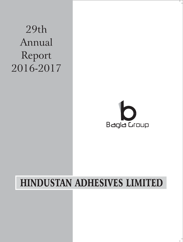# 29th Annual Report 2016-2017



# HINDUSTAN ADHESIVES LIMITED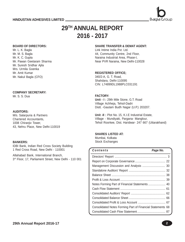

# **29TH ANNUAL REPORT 2016 - 2017**

## **BOARD OF DIRECTORS:**

Mr. L. K. Bagla Mr. M. S. Bagla Mr. K. C. Gupta Mr. Pawan Geetaram Sharma Mr. Suresh Sridhar Ajila Mrs. Urmila Goenka Mr. Amit Kumar Mr. Nakul Bagla (CFO)

#### **COMPANY SECRETARY:**

Mr. S. S. Dua

#### **AUDITORS:**

M/s. Salarpuria & Partners Chartered Accountants, 1008 Chiranjiv Tower, 43, Nehru Place, New Delhi-110019

#### **BANKERS:**

IDBI Bank, Indian Red Cross Society Building 1 Red Cross Road, New Delhi - 110001

Allahabad Bank, International Branch, 3<sup>rd</sup> Floor, 17, Parliament Street, New Delhi - 110 001

## **SHARE TRANSFER & DEMAT AGENT:**

Link Intime India Pvt. Ltd. 44, Community Centre, 2nd Floor, Naraina Industrial Area, Phase-I, Near PVR Naraina, New Delhi-110028

#### **REGISTERED OFFICE;**

340/2-A, G. T. Road, Shahdara, Delhi-110095 CIN: L74899DL1988PLC031191

## **FACTORY:**

**Unit - I :** 29th Mile Stone, G.T. Road Village Achheja, Tehsil-Dadri Distt. -Gautam Budh Nagar (U.P.) 203207.

**Unit -II :** Plot No. 15, K.I.E Industrial Estate, Village - Mundiyaki, Pargana- Manglour, Tehsil Roorkee, Dist. Haridwar- 247 667 (Uttarakhand)

## **SHARES LISTED AT:**

Mumbai, Kolkata Stock Exchanges

| Contents<br>Page No.                                       |
|------------------------------------------------------------|
|                                                            |
|                                                            |
|                                                            |
|                                                            |
|                                                            |
|                                                            |
|                                                            |
|                                                            |
|                                                            |
|                                                            |
|                                                            |
| Consolidated Notes Forming Part of Financial Statements 68 |
|                                                            |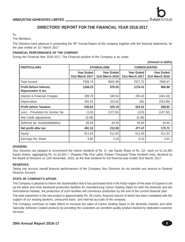

*(Amount in lakhs)*

# **DIRECTORS' REPORT FOR THE FINANCIAL YEAR 2016-2017**

To,

The Members,

The Directors have pleasure in presenting the 29<sup>th</sup> Annual Report of the company together with the financial statements, for the year ended on 31st March 2017.

## **FINANCIAL PERFORMANCE OF THE COMPANY**

During the Financial Year 2016-2017, The Financial position of the Company is as under:

| וכוואו ווו ומוטיותן                                  |                                             |                                             |                                             |                                             |  |  |  |  |
|------------------------------------------------------|---------------------------------------------|---------------------------------------------|---------------------------------------------|---------------------------------------------|--|--|--|--|
| <b>PARTICULARS</b>                                   |                                             | <b>STANDALONE</b>                           | <b>CONSOLIDATED</b>                         |                                             |  |  |  |  |
|                                                      | <b>Year Ended</b><br><b>31st March 2017</b> | <b>Year Ended</b><br><b>31st March 2016</b> | <b>Year Ended</b><br><b>31st March 2017</b> | <b>Year Ended</b><br><b>31st March 2016</b> |  |  |  |  |
| Total Income                                         | 7505.74                                     | 6925.98                                     | 7671.72                                     | 7065.97                                     |  |  |  |  |
| <b>Profit Before Interest,</b><br>Depreciation & tax | 1168.23                                     | 979.35                                      | 1176.41                                     | 966.99                                      |  |  |  |  |
| Interest & Financial Charges                         | 289.78                                      | 340.54                                      | 293.40                                      | (344.18)                                    |  |  |  |  |
| Depreciation                                         | 342.81                                      | 313.62                                      | 361                                         | (333.99)                                    |  |  |  |  |
| <b>Profit before Taxation</b>                        | 535.64                                      | 325.19                                      | 522.01                                      | 288.82                                      |  |  |  |  |
| Less: - Provisions for Income Tax                    | (110)                                       | (137.50)                                    | (110)                                       | (137.50)                                    |  |  |  |  |
| Mat Credit adjustments                               | (0.38)                                      |                                             | (0.38)                                      |                                             |  |  |  |  |
| Deferred tax Assets/(liabilities)                    | 65.84                                       | 24.40                                       | 65.84                                       | 24.40                                       |  |  |  |  |
| Net profit after tax                                 | 491.10                                      | 212.09                                      | 477.47                                      | 175.72                                      |  |  |  |  |
| Equity                                               | 511.63                                      | 511.63                                      | 511.63                                      | 511.63                                      |  |  |  |  |
| Earnings Per Share                                   | 9.60                                        | 4.15                                        | 9.33                                        | 3.43                                        |  |  |  |  |

## **DIVIDEND:**

Your Directors are pleased to recommend the interim dividend of Rs. 1/– per Equity Share of Rs. 10/– each on 51,16,300 Equity shares, aggregating Rs. 51,16,300 /– (Rupees Fifty One Lakhs Sixteen Thousand Three Hundred only), declared by the Board of Directors on 12th November, 2016, as the final dividend for the financial year ended 31st March, 2017.

## **RESERVES:**

Taking into account overall financial performances of the Company. Your Directors do not transfer any amount to General Reserve Account.

## **STATE OF COMPANY'S AFFAIR:**

The Company is pleased to inform the shareholders that it has purchased land in the Kutch region of the state of Gujarat to set up the latest and most advanced production facilities for manufacturing Carton Sealing Tapes for both the domestic and the international markets, the production of such facilities will commence production by the end of the current financial year.

The total investment in the new project is approximately Rs. 35 crores, financial closure of which has been completed with the support of our existing bankers, unsecured loans and internal accruals of the company.

The Company continues to make efforts to increase the sales of Carton Sealing Tapes in the domestic markets and other Specialty Adhesive Coated products by providing the customers an excellent quality product backed by dedicated customer services.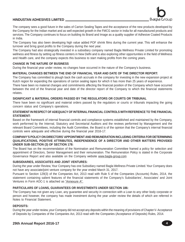

The company sees a good future in the sales of Carton Sealing Tapes and the acceptance of the new products developed by the Company for the Indian market and as well expected growth in the FMCG sector in India for all manufactured products and services. The Company continues to focus on building its Brand and Image as a quality supplier of Adhesive Coated Products in India.

The Company has also been developing high value added POF shrink films during the current year. This will enhance the turnover and bring good profits to the Company during the next year.

The Company had also strategically invested in a subsidiary company named Bagla Wellness Private Limited for promoting wellness and fitness by setting up fitness centers in New Delhi and is also exploring other opportunities in the field of Wellness and Health care, and the company expects this business to start making profits from the coming years.

#### **CHANGE IN THE NATURE OF BUSINESS**

During the financial year under review, no changes have occurred in the nature of the Company's business.

## **MATERIAL CHANGES BETWEEN THE END OF FINANCIAL YEAR AND DATE OF THE DIRECTOR REPORT:**

The Company has committed to plough back the cash accruals in the company for investing in the new expansion project at Kutch region for expanding the operations of carton sealing tapes for which it has more than 25 years of experience.

There have been no material changes and commitments affecting the financial position of the Company which have occurred between the end of the financial year and date of the director report of the Company to which the financial statements relates.

## **SIGNIFICANT & MATERIAL ORDERS PASSED BY THE REGULATORS OR COURTS OR TRIBUNAL**

There have been no significant and material orders passed by the regulators or courts or tribunals impacting the going concern status and Company's operations.

## **STATEMENT IN RESPECT OF ADEQUACY OF INTERNAL FINANCIAL CONTROLS WITH REFERENCE TO THE FINANCIAL STATEMENT:**

Based on the framework of internal financial controls and compliance systems established and maintained by the Company, work performed by the Internal, Statutory and Secretarial Auditors and the reviews performed by Management and the relevant Board Committees, including the Audit Committee, the Board is of the opinion that the Company's internal financial controls were adequate and effective during the financial year 2016-17.

## **COMPANY'S POLICY ON DIRECTORS' APPOINTMENT AND REMUNERATION INCLUDING CRITERIA FOR DETERMINING QUALIFICATIONS, POSITIVE ATTRIBUTES, INDEPENDENCE OF A DIRECTOR AND OTHER MATTERS PROVIDED UNDER SUB-SECTION (3) OF SECTION 178:**

The Board has on the recommendation of the Nomination and Remuneration Committee framed a policy for selection and appointment of Directors, Senior Management and their remuneration. The Remuneration Policy is stated in the Corporate Governance Report and also available on the Company website www.bagla-group.com

## **SUBSIDIARIES, ASSOCIATES AND JOINT VENTURES:**

During the year under Review, Your Company has one Subsidiary named Bagla Wellness Private Limited. Your Company does not have any associate/joint venture company for the year ended March 31, 2017.

Pursuant to Section 129(3) of the Companies Act, 2013 read with Rule 5 of the Companies (Accounts) Rules, 2014, the statement containing salient features of the financial statements of the Company's Subsidiaries', Associates' and Joint Ventures in Form AOC-1 is attached as "Annexure A".

## **PARTICULARS OF LOANS, GUARANTEES OR INVESTMENTS UNDER SECTION 186:**

The Company has not given any Loan, any guarantee and security in connection with a Loan to any other body corporate or person and however, the company has made investment during the year under review the details of which are referred in Notes to Financial Statement.

#### **DEPOSITS:**

During the year under review, your Company did not accept any deposits within the meaning of provisions of Chapter V- Acceptance of Deposits by Companies of the Companies Act, 2013 read with the Companies (Acceptance of Deposits) Rules, 2014.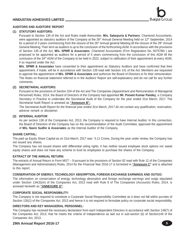

## **AUDITORS AND AUDITORS' REPORT**

## **(1) STATUTORY AUDITORS:**

Pursuant to Section 139 of the Act and Rules made thereunder, **M/s. Salarpuria & Partners**, Chartered Accountants, were appointed as statutory auditors of the Company at the 26<sup>th</sup> Annual General Meeting held on 12<sup>th</sup> September, 2014 for a period of 3 years commencing from the closure of the 26<sup>th</sup> Annual general Meeting till the closure of the 29<sup>th</sup> Annual General Meeting. Their term as auditors is up to the conclusion of the forthcoming AGM. In accordance with the provisions of Section 139 of the Act, **M/s. SPMR & Associates**, Chartered Accountants (Firm Registration No. 007578N ) are proposed to be appointed as auditors for a period of 5 years commencing from the conclusion of this AGM till the conclusion of the 34<sup>th</sup> AGM of the Company to be held in 2022, subject to ratification of their appointment at every AGM, if so required under the Act.

**M/s. SPMR & Associates** have consented to their appointment as Statutory Auditors and have confirmed that their appointment, if made, will be in accordance with Section 139 read with Section 141 of the Act. Members are requested to approve the appointment of **M/s. SPMR & Associates** and authorize the Board of Directors to fix their remuneration. The Notes on financial statement referred to in the Auditors' Report are self-explanatory and do not call for any further comments.

## **(2) SECRETARIAL AUDITORS:**

Pursuant to the provisions of Section 204 of the Act and The Companies (Appointment and Remuneration of Managerial Personnel) Rules, 2014, the Board of Directors of the Company had appointed **Mr. Puneet Kumar Pandey**, a Company Secretary in Practice to undertake the Secretarial Audit of the Company for the year ended 31st March, 2017. The Secretarial Audit Report is annexed as **"Annexure B".**

*The Secretarial Audit Report for the financial year ended 31st March, 2017 do not contain any qualification, reservation, adverse remark or disclaimer.*

#### **(3) INTERNAL AUDITOR**

As per section 138 of the Companies Act, 2013, the Company is required to have Internal Auditor. In this connection, the Board of Directors of the Company has on the recommendation of the Audit Committee, approved the appointment of **M/s. Navin Sudhir & Associates** as the Internal Auditor of the Company.

#### **SHARE CAPITAL:**

The paid up Equity Share Capital as on 31st March, 2017 was ' 5.11 Crores. During the year under review, the Company has not issued any shares.

The Company has not issued shares with differential voting rights. It has neither issued employee stock options nor sweat equity shares and does not have any scheme to fund its employees to purchase the shares of the Company.

## **EXTRACT OF THE ANNUAL RETURN:**

The extracts of Annual Return in Form MGT – 9 pursuant to the provisions of Section 92 read with Rule 12 of the Companies (Management and Administration) Rules, 2014 for the Financial Year 2016-17 is furnished in **"Annexure C"** and is attached to this report.

#### **CONSERVATION OF ENERGY, TECHNOLOGY ABSORPTION, FOREIGN EXCHANGE EARNINGS AND OUTGO:**

The information on conservation of energy, technology absorption and foreign exchange earnings and outgo stipulated under Section 134(3)(m) of the Companies Act, 2013 read with Rule 8 of The Companies (Accounts) Rules, 2014, is annexed herewith as **"ANNEXURE D".**

#### **CORPORATE SOCIAL RESPONSIBILITY:**

The Company is not required to constitute a Corporate Social Responsibility Committee as it does not fall within purview of Section 135(1) of the Companies Act, 2013 and hence it is not required to formulate policy on corporate social responsibility.

#### **DIRECTORS AND KEY MANAGERIAL PERSONNEL:**

The Company has received the necessary declaration from each Independent Directors in accordance with Section 149(7) of the Companies Act, 2013, that he meets the criteria of independence as laid out in sub-section (6) of Section149 of the Companies Act, 2013.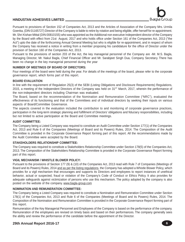

Pursuant to provisions of Section 152 of Companies Act, 2013 and the Articles of Association of the Company Mrs. Urmila Goenka, (DIN 01165727) Director of the Company is liable to retire by rotation and being eligible, offer herself for re-appointment. Mr. Shri Kishan Mittal (DIN:00810155) who was appointed as the Additional non executive Independent director of the Company by the Board with effect from 21st August, 2017 and who holds office under Section 161 of the Companies Act, 2013 ("the Act") upto the date of the forthcoming Annual General Meeting but who is eligible for re-appointment, and in respect of whom the Company has received a notice in writing from a member proposing his candidature for the office of Director under the provision of Section 160 of the Companies Act, 2013.

Pursuant to the provisions of section 203 of the Act, the key managerial personnel of the Company are -Mr. M.S. Bagla, Managing Director, Mr. Nakul Bagla, Chief Financial Officer and Mr. Sarabjeet Singh Dua, Company Secretary. There has been no change in the key managerial personnel during the year

## **NUMBER OF MEETINGS OF BOARD OF DIRECTORS:**

Four meetings of the board were held during the year. For details of the meetings of the board, please refer to the corporate governance report, which forms part of this report.

## **BOARD EVALUATION**

In line with the requirement of Regulation 25(3) of the SEBI (Listing Obligations and Disclosure Requirements) Regulations, 2015, a meeting of the Independent Directors of the Company was held on  $31<sup>ST</sup>$  March, 2017, wherein the performance of the non-independent directors including Chairman was evaluated.

The Board, based on the recommendation of the Nomination and Remuneration Committee ("NRC"), evaluated the effectiveness of its functioning and that of the Committees and of individual directors by seeking their inputs on various aspects of Board/Committee Governance.

The aspects covered in the evaluation included the contribution to and monitoring of corporate governance practices, participation in the long-term strategic planning and fulfillment of Directors' obligations and fiduciary responsibilities, including but not limited to active participation at the Board and Committee meetings.

## **AUDIT COMMITTEE:**

The Company being a Listed Company was required to constitute an Audit Committee under Section 177(1) of the Companies Act, 2013 and Rule 6 of the Companies (Meetings of Board and its Powers) Rules, 2014. The Composition of the Audit Committee is provided in the Corporate Governance Report forming part of this report. All the recommendations made by the Audit Committee were accepted by the Board.

## **STAKEHOLDERS RELATIONSHIP COMMITTEE:**

The Company was required to constitute a Stakeholders Relationship Committee under Section 178(5) of the Companies Act, 2013. The Composition of the Stakeholders Relationship Committee is provided in the Corporate Governance Report forming part of this report.

## **VIGIL MECHANISM / WHISTLE BLOWER POLICY:**

Pursuant to the provisions of Section 177 (9) & (10) of the Companies Act, 2013 read with Rule 7 of Companies (Meetings of Board and its Powers) Rules, 2014 and as per the listing regulations, the Company has adopted a Whistle Blower Policy, which provides for a vigil mechanism that encourages and supports its Directors and employees to report instances of unethical behavior, actual or suspected, fraud or violation of the Company's Code of Conduct or Ethics Policy. It also provides for adequate safeguards against victimization of persons who use this mechanism. The policy adopted by the company is also posted on the website of the company. www.bagla-group.com

## **NOMINATION AND REMUNERATION COMMITTEE:**

The Company being a Listed Company was required to constitute a Nomination and Remuneration Committee under Section 178(1) of the Companies Act, 2013 and Rule 6 of the Companies (Meetings of Board and its Powers) Rules, 2014. The Composition of the Nomination and Remuneration Committee is provided in the Corporate Governance Report forming part of this report.

Remuneration of the Key Managerial Personnel and Employees of the Company is based on the performance of the company. Remuneration of the employees are revised on timely basis and based on their performances. The company generally sees the ability and review the performance of the candidate before the appointment of the Director.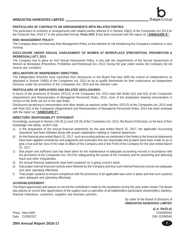

## **PARTICULARS OF CONTRACTS OR ARRANGEMENTS WITH RELATED PARTIES:**

The particulars of contracts or arrangements with related parties referred to in Section 188(1) of the Companies Act 2013 for the Financial Year 2016-17 in the prescribed format, **Form AOC 2** has been enclosed with the report as **"ANNEXURE E"**.

#### **RISK MANAGEMENT POLICY:**

The Company does not have any Risk Management Policy as the element of risk threatening the Company's existence is very minimal.

#### **DISCLOSURE UNDER SEXUAL HARASSMENT OF WOMEN AT WORKPLACE (PREVENTION, PROHIBITION & REDRESSAL) ACT, 2013**

The Company has in place an Anti Sexual Harassment Policy, in line with the requirements of the Sexual Harassment of Women at Workplace (Prevention, Prohibition and Redressal) Act, 2013. During the year under review, the Company did not receive any complaint.

#### **DECLARATION OF INDEPENDENT DIRECTORS:**

The Independent Directors have submitted their disclosures to the Board that they fulfill the criteria of independence as stipulated in Section 149(6) of the Companies Act, 2013 so as to qualify themselves for their continuance as Independent Directors under the provisions of the Companies Act, 2013 and the relevant rules.

#### **PARTICULARS OF EMPLOYEES AND RELATED DISCLOSURES:**

In terms of the provisions of Section 197(12) of the Companies Act, 2013 read with Rules 5(2) and 5(3) of the Companies (Appointment and Remuneration of Managerial Personnel) Rules, 2014, none of the employees drawing remuneration in excess of the limits set out in the said Rules.

Disclosures pertaining to remuneration and other details as required under Section 197(12) of the Companies Act, 2013 read with Rule 5(1) of the Companies (Appointment and Remuneration of Managerial Personnel) Rules, 2014 has been enclosed with the report as **"ANNEXURE F".**

#### **DIRECTORS' RESPONSIBILITY STATEMENT:**

Accordingly, pursuant to Section 134 (3) (c) and 134 (5) of the Companies Act, 2013, the Board of Directors, to the best of their knowledge and ability, confirm that:

- a) in the preparation of the annual financial statements for the year ended March 31, 2017, the applicable Accounting Standards had been followed along with proper explanation relating to material departures.
- b) for the financial year ended March 31, 2017, such accounting policies as mentioned in the Notes to the financial statements have been applied consistently and judgments and estimates that are reasonable and prudent have been made so as to give a true and fair view of the state of affairs of the Company and of the Profit of the Company for the year ended March 31, 2017.
- c) that proper and sufficient care has been taken for the maintenance of adequate accounting records in accordance with the provisions of the Companies Act, 2013 for safeguarding the assets of the Company and for preventing and detecting fraud and other irregularities.
- d) the annual financial statements have been prepared on a going concern basis.
- e) that proper internal financial controls were followed by the Company and that such internal financial controls are adequate and were operating effectively.
- f) That proper systems to ensure compliance with the provisions of all applicable laws were in place and that such systems were adequate and operating effectively.

#### **ACKNOWLEDGEMENT:**

The Board appreciates and places on record the contribution made by the employees during the year under review. The Board also places on record their appreciation of the support and co-operation of all stakeholders particularly shareholders, bankers, financial institutions, customers, suppliers and business partners.

> By order of the Board of Directors of **HINDUSTAN ADHESIVES LIMITED**

**(L.K. BAGLA)** Place : New Delhi CHAIRMAN CHAIRMAN

Date : 21/08/2017 DIN: 01596548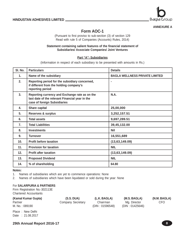

## **ANNEXURE A**

# **Form AOC-1**

(Pursuant to first proviso to sub-section (3) of section 129 Read with rule 5 of Companies (Accounts) Rules, 2014)

## **Statement containing salient features of the financial statement of Subsidiaries/ Associate Companies/ Joint Ventures**

## **Part "A": Subsidiaries**

(Information in respect of each subsidiary to be presented with amounts in Rs.)

| SI. No. | <b>Particulars</b>                                                                                                                | <b>Details</b>                        |
|---------|-----------------------------------------------------------------------------------------------------------------------------------|---------------------------------------|
| 1.      | Name of the subsidiary                                                                                                            | <b>BAGLA WELLNESS PRIVATE LIMITED</b> |
| 2.      | Reporting period for the subsidiary concerned,<br>if different from the holding company's<br>reporting period                     |                                       |
| 3.      | Reporting currency and Exchange rate as on the<br>last date of the relevant Financial year in the<br>case of foreign Subsidiaries | N.A.                                  |
| 4.      | Share capital                                                                                                                     | 25,00,000                             |
| 5.      | Reserves & surplus                                                                                                                | 3,252,157.51                          |
| 6.      | <b>Total assets</b>                                                                                                               | 9,697,289.51                          |
| 7.      | <b>Total Liabilities</b>                                                                                                          | 39,45,132.00                          |
| 8.      | <b>Investments</b>                                                                                                                | <b>Nil</b>                            |
| 9.      | <b>Turnover</b>                                                                                                                   | 16,551,689                            |
| 10.     | <b>Profit before taxation</b>                                                                                                     | (13, 63, 149.09)                      |
| 11.     | <b>Provision for taxation</b>                                                                                                     | <b>NIL</b>                            |
| 12.     | <b>Profit after taxation</b>                                                                                                      | (13, 63, 149.09)                      |
| 13.     | <b>Proposed Dividend</b>                                                                                                          | <b>NIL</b>                            |
| 14.     | % of shareholding                                                                                                                 | 64.80                                 |

#### **Notes:**

1. Names of subsidiaries which are yet to commence operations: None

2. Names of subsidiaries which have been liquidated or sold during the year: None

## For **SALARPURIA & PARTNERS**

Firm Registration No.-302113E Chartered Accountants

| (Kamal Kumar Gupta) | (S.S.DUA)         | (L.K. BAGLA)    | (M.S. BAGLA)    | (N.M. BAGLA) |
|---------------------|-------------------|-----------------|-----------------|--------------|
| Partner             | Company Secretary | Chairman        | Ma. Director    | CFO          |
| M. No. : 089190     |                   | (DIN: 01596548) | (DIN: 01425646) |              |
| Place: New Delhi    |                   |                 |                 |              |

**29th Annual Report 2016-17 8**

Date : 21.08.2017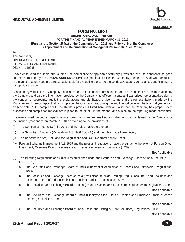

## **ANNEXURE-B**

# **FORM NO. MR-3**

## **SECRETARIAL AUDIT REPORT FOR THE FINANCIAL YEAR ENDED MARCH 31, 2017 [Pursuant to Section 204(1) of the Companies Act, 2013 and Rule No. 9 of the Companies (Appointment and Remuneration of Managerial Personnel) Rules, 2014]**

To, The Members, **HINDUSTAN ADHESIVES LIMITED** 340/2A, G.T. ROAD, SHAHDARA, DELHI – 110095

I have conducted the secretarial audit of the compliance of applicable statutory provisions and the adherence to good corporate practices by **HINDUSTAN ADHESIVES LIMITED** (hereinafter called the Company). Secretarial Audit was conducted in a manner that provided me a reasonable basis for evaluating the corporate conducts/statutory compliances and expressing my opinion thereon.

Based on my verification of Company's books, papers, minute books, forms and returns filed and other records maintained by the Company and also the information provided by the Company, its officers, agents and authorized representatives during the conduct of secretarial audit, the explanations and clarifications given to me and the representations made by the Management, I hereby report that in my opinion, the Company has, during the audit period covering the financial year ended on March 31, 2017, complied with the statutory provisions listed hereunder and also that the Company has proper Board processes and compliance mechanism in place to the extent, in the manner and subject to the reporting made hereinafter:

I have examined the books, papers, minute books, forms and returns filed and other records maintained by the Company for the financial year ended on March 31, 2017 according to the provisions of:

- (i) The Companies Act, 2013 ('The Act') and the rules made there under;
- (ii) The Securities Contracts (Regulation) Act, 1956 ('SCRA') and the rules made there under;
- (iii) The Depositories Act, 1996 and the Regulations and Bye-laws framed there under;
- (iv) Foreign Exchange Management Act, 1999 and the rules and regulations made thereunder to the extent of Foreign Direct Investment, Overseas Direct Investment and External Commercial Borrowings (ECB);

#### **Not Applicable**

- (v) The following Regulations and Guidelines prescribed under the Securities and Exchange Board of India Act, 1992 ('SEBI Act'):
	- a. The Securities and Exchange Board of India (Substantial Acquisition of Shares and Takeovers) Regulations, 2011.
	- b. The Securities and Exchange Board of India (Prohibition of Insider Trading) Regulations, 1992 and Securities and Exchange Board of India (Prohibition of Insider Trading) Regulations, 2015;
	- c. The Securities and Exchange Board of India (Issue of Capital and Disclosure Requirements) Regulations, 2009.

#### **Not Applicable**

d. The Securities and Exchange Board of India (Employee Stock Option Scheme and Employee Stock Purchase Scheme) Guidelines, 1999.

#### **Not Applicable**

e. The Securities and Exchange Board of India (Issue and Listing of Debt Securities) Regulations, 2008.

#### **Not Applicable**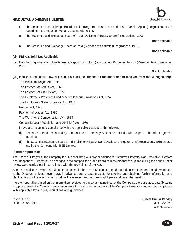- f. The Securities and Exchange Board of India (Registrars to an Issue and Share Transfer Agents) Regulations, 1993 regarding the Companies Act and dealing with client.
- g. The Securities and Exchange Board of India (Delisting of Equity Shares) Regulations, 2009.
- h. The Securities and Exchange Board of India (Buyback of Securities) Regulations, 1998.
- (vi) RBI Act, 1934 **Not Applicable**
- (vii) Non-Banking Financial (Non-Deposit Accepting or Holding) Companies Prudential Norms (Reserve Bank) Directions, 2007.

# (viii) Industrial and Labour Laws which inter-alia includes **(based on the confirmation received from the Management):**

The Minimum Wages Act, 1948

The Payment of Bonus Act, 1965

The Payment of Gratuity Act, 1972

The Employee's Provident Fund & Miscellaneous Provisions Act, 1952

The Employee's State Insurance Act, 1948

Factory Act, 1948

Payment of Wages Act, 1936

The Workmen's Compensation Act, 1923

Contact Labour (Regulation and Abolition) Act, 1970

I have also examined compliance with the applicable clauses of the following:

- (i) Secretarial Standards issued by The Institute of Company Secretaries of India with respect to board and general meetings.
- (ii) The Securities Exchange Board of India (Listing Obligations and Disclosure Requirements) Regulations, 2015 entered into by the Company with BSE Limited.

# **I further report that:**

The Board of Director of the Company is duly constituted with proper balance of Executive Directors, Non-Executive Directors and Independent Directors. The changes in the composition of the Board of Directors that took place during the period under review were carried out in compliance with the provisions of the Act.

Adequate notice is given to all Directors to schedule the Board Meetings. Agenda and detailed notes on Agenda were sent to the Directors at least seven days in advance, and a system exists for seeking and obtaining further information and clarifications on the agenda items before the meeting and for meaningful participation at the meeting.

I further report that based on the information received and records maintained by the Company, there are adequate Systems and processes in the Company commensurate with the size and operations of the Company to monitor and ensure compliance with applicable laws, rules, regulations and guidelines.

Place : Delhi **Puneet Kumar Pandey** Date : 21/08/2017 M No- A29848 C P No.10913



**Not Applicable**

**Not Applicable**

**Not Applicable**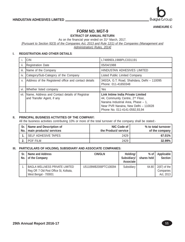

## **ANNEXURE C**

# **FORM NO. MGT-9**

**EXTRACT OF ANNUAL RETURN**

As on the financial year ended on 31<sup>st</sup> March, 2017.

*[Pursuant to Section 92(3) of the Companies Act, 2013 and Rule 12(1) of the Companies (Management and Administration) Rules, 2014]*

## **I. REGISTRATION AND OTHER DETAILS**:

|     | <b>CIN</b>                                                                        | L74899DL1988PLC031191                                                                                                                                                                             |
|-----|-----------------------------------------------------------------------------------|---------------------------------------------------------------------------------------------------------------------------------------------------------------------------------------------------|
| Ш.  | Registration Date                                                                 | 05/04/1988                                                                                                                                                                                        |
|     | iii. Name of the Company                                                          | HINDUSTAN ADHESIVES LIMITED                                                                                                                                                                       |
| iv. | Category/Sub-Category of the Company                                              | Listed Public Limited Company                                                                                                                                                                     |
| v.  | Address of the Registered office and contact details                              | 340/2A, G.T. Road, Shahdara, Delhi - 110095<br>Phone: 011-41650348                                                                                                                                |
|     | vi. Whether listed company                                                        | Yes                                                                                                                                                                                               |
|     | vii. Name, Address and Contact details of Registrar<br>and Transfer Agent, if any | Link Intime India Private Limited<br>44, Community Centre, 2 <sup>nd</sup> Floor,<br>Naraina Industrial Area, Phase - 1,<br>Near PVR Naraina, New Delhi - 110028<br>Phone No. 011-4141-0592,93,94 |

## **II. PRINCIPAL BUSINESS ACTIVITIES OF THE COMPANY:**

All the business activities contributing 10% or more of the total turnover of the company shall be stated:-

| Sr. Name and Description of<br>No. main products/ services | NIC Code of<br>the Product/ service | % to total turnover<br>of the company |
|------------------------------------------------------------|-------------------------------------|---------------------------------------|
| I SELF ADHESIVE TAPES                                      | 2429                                | $67.01\%$                             |
| I POF FILM                                                 | 2429                                | 32.99%                                |

#### **III. PARTICULARS OF HOLDING, SUBSIDIARY AND ASSOCIATE COMPANIES:**

| Sr. | <b>Name and Address</b><br>No. of the Company                                                     | <b>CIN/GLN</b>        | Holding/<br>Subsidiary/<br>Associate | $%$ of<br>shares held | Applicable<br>Section                    |
|-----|---------------------------------------------------------------------------------------------------|-----------------------|--------------------------------------|-----------------------|------------------------------------------|
|     | BAGLA WELLNESS PRIVATE LIMITED<br>Reg Off: 7 Old Post Office St, Kolkata,<br>West Bengal - 700001 | U51109WB2006PTC108394 | Subsidiary                           | 64.80                 | $2(87)$ of the<br>Companies<br>Act. 2013 |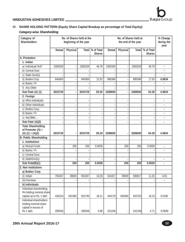

## **IV. SHARE HOLDING PATTERN (Equity Share Capital Breakup as percentage of Total Equity):**

## *Category-wise Shareholding*

| Category of<br><b>Shareholders</b>                                                    |                | No. of Shares held at the<br>beginning of the year |         |                                     | No. of Shares held at<br>the end of the year |                |         |                             | % Change<br>during the<br>year |
|---------------------------------------------------------------------------------------|----------------|----------------------------------------------------|---------|-------------------------------------|----------------------------------------------|----------------|---------|-----------------------------|--------------------------------|
|                                                                                       | Demat          | Physical                                           |         | Total   % of Total<br><b>Shares</b> | Demat                                        | Physical       | Total   | % of Total<br><b>Shares</b> |                                |
| A. Promoters                                                                          |                |                                                    |         |                                     |                                              |                |         |                             |                                |
| 1. Indian                                                                             |                |                                                    |         |                                     |                                              |                |         |                             |                                |
| a) Individual/HUF                                                                     | 2393329        |                                                    | 2393329 | 46.78                               | 2393329                                      |                | 2393329 | 46.78                       |                                |
| b) Central Govt                                                                       |                |                                                    |         |                                     |                                              |                |         |                             |                                |
| c) State Govt(s)                                                                      |                | ä,                                                 |         |                                     |                                              | ä,             |         |                             |                                |
| d) Bodies Corp                                                                        | 640400         | ä,                                                 | 640400  | 12.52                               | 895366                                       | ä,             | 895366  | 17.50                       | 4.9834                         |
| e) Banks / FI                                                                         |                | ۰                                                  |         |                                     |                                              | ×              |         |                             |                                |
| f) Any Other                                                                          |                |                                                    |         |                                     |                                              |                |         |                             |                                |
| Sub-Total (A) (1)                                                                     | 3033729        |                                                    | 3033729 | 59.30                               | 3288695                                      |                | 3288695 | 64.28                       | 4.9834                         |
| 2. Foreign                                                                            |                |                                                    |         |                                     |                                              |                |         |                             |                                |
| a) NRIs-Individuals                                                                   | $\blacksquare$ | ä,                                                 |         | $\blacksquare$                      | $\blacksquare$                               | $\blacksquare$ |         | ä,                          | $\blacksquare$                 |
| b) Other-Individuals                                                                  | ä,             | ä,                                                 | ×       | ×                                   | ä,                                           | $\blacksquare$ |         | ×,                          | ä,                             |
| c) Bodies Corp.                                                                       | ä              | ä,                                                 |         | ä,                                  | ä,                                           | ä,             |         | ä,                          | ä,                             |
| d) Banks / FI                                                                         |                |                                                    |         | $\blacksquare$                      |                                              |                |         | ä,                          |                                |
| c) Any Other                                                                          | ä,             | ä,                                                 | à.      | ä,                                  | ä,                                           | ä,             |         | ä,                          | ä,                             |
| Sub-Total (A)(2)                                                                      | i.             | ۰                                                  |         | $\blacksquare$                      | $\qquad \qquad \blacksquare$                 | ×,             |         |                             |                                |
| <b>Total Shareholding</b>                                                             |                |                                                    |         |                                     |                                              |                |         |                             |                                |
| of Promoter $(A)$ =                                                                   |                |                                                    |         |                                     |                                              |                |         |                             |                                |
| $(A) (1) + (A)(2)$                                                                    | 3033729        |                                                    | 3033729 | 59.30                               | 3288695                                      |                | 3288695 | 64.28                       | 4.9834                         |
| <b>B. Public Shareholding</b>                                                         |                |                                                    |         |                                     |                                              |                |         |                             |                                |
| 1. Institutions                                                                       |                |                                                    |         |                                     |                                              |                |         |                             |                                |
| a) Mutual Funds                                                                       | ä,             | 200                                                | 200     | 0.0039                              |                                              | 200            | 200     | 0.0039                      | ä,                             |
| b) Banks / FI                                                                         | ä,             |                                                    |         |                                     |                                              |                |         |                             |                                |
| c) Central Govt.                                                                      |                |                                                    |         |                                     |                                              |                |         |                             |                                |
| d) StateGovt(s).                                                                      | ä,             |                                                    |         |                                     |                                              |                |         |                             |                                |
| Sub-Total(B)(1)                                                                       |                | 200                                                | 200     | 0.0039                              |                                              | 200            | 200     | 0.0039                      | ä,                             |
| 2. Non Institutions                                                                   |                |                                                    |         |                                     |                                              |                |         |                             |                                |
| a) Bodies Corp.                                                                       |                |                                                    |         |                                     |                                              |                |         |                             |                                |
| $(i)$ Indian                                                                          | 793267         | 39000                                              | 832267  | 16.26                               | 541817                                       | 39000          | 580817  | 11.35                       | $-4.91$                        |
| (ii) Overseas                                                                         |                |                                                    |         |                                     |                                              |                |         |                             |                                |
| b) Individuals                                                                        |                |                                                    |         |                                     |                                              |                |         |                             |                                |
| Individual shareholding<br>Rs holding nominal share<br>capital up to Rs. 1 lakh       | 430210         | 501580                                             | 931790  | 18.21                               | 440179                                       | 492584         | 932763  | 18.23                       | 0.0190                         |
| Individual shareholders<br>holding nominal share<br>capital in excess of<br>Rs 1 lakh | 290548         |                                                    | 290548  | 5.68                                | 241248                                       |                | 241248  | 4.71                        | $-0.9636$                      |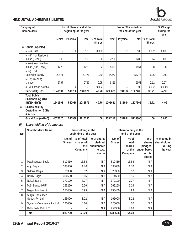

| Category of<br><b>Shareholders</b>                          | No. of Shares held at the<br>beginning of the year |          |         | No. of Shares held at<br>the end of the year |         |          |         | % Change<br>during the<br>year |         |
|-------------------------------------------------------------|----------------------------------------------------|----------|---------|----------------------------------------------|---------|----------|---------|--------------------------------|---------|
|                                                             | Demat                                              | Physical |         | Total   % of Total<br><b>Shares</b>          | Demat   | Physical | Totall  | % of Total<br><b>Shares</b>    |         |
| c) Others (Specify)                                         |                                                    |          |         |                                              |         |          |         |                                |         |
| $(c - i)$ Trust                                             |                                                    | 100      | 100     | 0.002                                        |         | 100      | 100     | 0.002                          | 0.000   |
| (c - ii) Non Resident<br>Indian (Repat)                     | 3100                                               |          | 3100    | 0.06                                         | 7286    |          | 7286    | 0.14                           | .08     |
| (c - iii) Non Resident<br>Indian (Non Repat)                | 1228                                               |          | 1228    | 0.02                                         | 4461    |          | 4461    | 0.08                           | 0.06    |
| (c-iv) Hindu<br><b>Undivided Family</b>                     | 20471                                              |          | 20471   | 0.40                                         | 54277   |          | 54277   | 1.06                           | 0.66    |
| $(c - v)$ Clearing<br>Member                                | 2767                                               |          | 2767    | 0.05                                         | 6353    |          | 6353    | 0.12                           | 0.07    |
| (c- vi) Foreign National                                    |                                                    | 100      | 100     | 0.002                                        |         | 100      | 100     | 0.002                          | 0.0000  |
| Sub-Total(B)(2)                                             | 1541591                                            | 540780   | 2082371 | 40.70                                        | 1295621 | 531784   | 1827405 | 35.71                          | $-4.99$ |
| <b>Total Public</b><br>Shareholding (B)=<br>$(B)(1)+(B)(2)$ | 1541591                                            | 540980   | 2082571 | 40.70                                        | 1295621 | 531984   | 1827605 | 35.72                          | $-4.99$ |
| C.<br>Shares held by<br><b>Custodian for GDRs</b><br>& ADRs |                                                    |          |         |                                              |         |          |         |                                |         |
| Grand Total(A+B+C)                                          | 4575320                                            | 540980   | 5116300 | 100                                          | 4584316 | 531984   | 5116300 | 100                            | 0.000   |

## *III. Shareholding of Promoters*

| SI.<br>No. | <b>Shareholder's Name</b>       |                         | Shareholding at the<br>beginning of the year |                                                             |                         | Shareholding at the<br>end of the year         |                                                                  |                                                   |  |
|------------|---------------------------------|-------------------------|----------------------------------------------|-------------------------------------------------------------|-------------------------|------------------------------------------------|------------------------------------------------------------------|---------------------------------------------------|--|
|            |                                 | No. of<br><b>Shares</b> | % of total<br>shares of<br>the<br>Company    | % of shares<br>pledged/<br>encumbered<br>to total<br>shares | No. of<br><b>Shares</b> | $%$ of<br>total<br>shares<br>of the<br>Company | $%$ of<br>shares<br>pledged/<br>encumbered<br>to total<br>shares | % change in<br>shareholding<br>during<br>the year |  |
| 1.         | Madhusudan Bagla                | 812419                  | 15.88                                        | N.A                                                         | 812419                  | 15.88                                          | N.A                                                              |                                                   |  |
| 2.         | Anju Bagla                      | 598630                  | 11.70                                        | N.A                                                         | 598630                  | 11.70                                          | N.A                                                              |                                                   |  |
| 3.         | Sidhika Bagla                   | 26350                   | 0.52                                         | N.A                                                         | 26350                   | 0.52                                           | N.A                                                              |                                                   |  |
| 4.         | Dhruv Bagla                     | 314580                  | 6.15                                         | N.A                                                         | 314580                  | 6.15                                           | N.A                                                              |                                                   |  |
| 5.         | Nakul Bagla                     | 372100                  | 7.27                                         | N.A                                                         | 372100                  | 7.27                                           | N.A                                                              |                                                   |  |
| 6.         | M.S. Bagla (HUF)                | 269250                  | 5.26                                         | N.A                                                         | 269250                  | 5.26                                           | N.A                                                              |                                                   |  |
| 7.         | Bagla Polifilms Ltd.            | 255400                  | 4.99                                         | N.A                                                         | 255400                  | 4.99                                           | N.A                                                              |                                                   |  |
| 8.         | Surva Consumer<br>Goods Pvt Ltd | 165000                  | 3.22                                         | N.A                                                         | 165000                  | 3.22                                           | N.A                                                              |                                                   |  |
| 9.         | Synergy Commerce Pvt Ltd        | 220000                  | 4.30                                         | N.A                                                         | 220000                  | 4.30                                           | N.A                                                              |                                                   |  |
| 10.        | Delhi Foils Pvt Ltd**           |                         |                                              | N.A                                                         | 254966                  | 4.98                                           | N.A                                                              |                                                   |  |
|            | <b>Total</b>                    | 3033729                 | 59.29                                        |                                                             | 3288695                 | 64.28                                          |                                                                  |                                                   |  |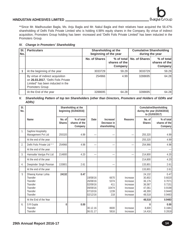

\*\*Since Mr. Madhusudan Bagla, Ms. Anju Bagla and Mr. Nakul Bagla and their relatives have acquired the 56.47% shareholding of Delhi Foils Private Limited who is holding 4.98% equity shares in the Company. By virtue of indirect acquisition, Promoters Group holding has been -increased and "Delhi Foils Private Limited" has been inducted in the Promoters Group.

## *IV. Change in Promoters' Shareholding*

| SI.<br>No. | <b>Particulars</b>                                                                                                                      | Shareholding at the<br>beginning of the year |                                          | <b>Cumulative Shareholding</b><br>during the year |                                        |  |
|------------|-----------------------------------------------------------------------------------------------------------------------------------------|----------------------------------------------|------------------------------------------|---------------------------------------------------|----------------------------------------|--|
|            |                                                                                                                                         | No. of Shares                                | $%$ of total<br>shares of the<br>Company | No. of Shares                                     | % of total<br>shares of the<br>Company |  |
|            | At the beginning of the year                                                                                                            | 3033729                                      | 59.29                                    | 3033729                                           | 59.29                                  |  |
|            | By virtue of indirect acquisition<br>on 26.03.2017, "Delhi Foils Private<br>Limited" has been inducted in the<br><b>Promoters Group</b> | 254966                                       | 4.99                                     | 3288695                                           | 64.28                                  |  |
|            | At the End of the year                                                                                                                  | 3288695                                      | 64.28                                    | 3288695                                           | 64.28                                  |  |

#### *V. Shareholding Pattern of top ten Shareholders (other than Directors, Promoters and Holders of GDRs and ADRs)*

| SI.<br>No. |                                                                                                    | Shareholding at the<br>beginning (01/04/2016) |                                        |                                                                      |                                             |                                                                      |                                                                    | <b>CumulativeShareholding</b><br>during the year (01/04/2016)<br>to (31/03/2017) |
|------------|----------------------------------------------------------------------------------------------------|-----------------------------------------------|----------------------------------------|----------------------------------------------------------------------|---------------------------------------------|----------------------------------------------------------------------|--------------------------------------------------------------------|----------------------------------------------------------------------------------|
|            | Name                                                                                               | No. of<br><b>Shares</b>                       | % of total<br>shares of the<br>Company | Date                                                                 | Increase/<br>Decrease in<br>shareholding    | <b>Reasons</b>                                                       | No. of<br><b>Shares</b>                                            | % of total<br>shares of the<br>Company                                           |
| 1.         | Saphire Hospitality<br>Management Pvt Ltd                                                          | 255320                                        | 4.99                                   |                                                                      |                                             |                                                                      | 255,320                                                            | 4.99                                                                             |
|            | At the end of the year                                                                             |                                               |                                        |                                                                      |                                             |                                                                      | 255,320                                                            | 4.99                                                                             |
| 2.         | Delhi Foils Private Ltd * *                                                                        | 254966                                        | 4.98                                   |                                                                      |                                             |                                                                      | 254,966                                                            | 4.98                                                                             |
|            | At the end of the year                                                                             |                                               |                                        |                                                                      |                                             |                                                                      |                                                                    |                                                                                  |
| 3.         | Hamsafar Vanijya Pvt Ltd                                                                           | 214800                                        | 4.20                                   |                                                                      |                                             |                                                                      | 214,800                                                            | 4.20                                                                             |
|            | At the end of the year                                                                             |                                               |                                        |                                                                      |                                             |                                                                      | 214,800                                                            | 4.20                                                                             |
| 4.         | Deepinder Singh Poonian                                                                            | 133801                                        | 2.61                                   |                                                                      |                                             |                                                                      | 133,801                                                            | 2.61                                                                             |
|            | At the end of the year                                                                             |                                               |                                        |                                                                      |                                             |                                                                      | 133,801                                                            | 2.61                                                                             |
| 5          | Dheeraj Kumar Lohia<br>Transfer<br><b>Transfer</b><br>Transfer<br>Transfer<br>Transfer<br>Transfer | 24132                                         | 0.47                                   | 19/08/16<br>26/08/16<br>02/09/16<br>09/09/16<br>07/10/16<br>02/12/16 | 6670<br>5374<br>411<br>10474<br>1239<br>218 | Increase<br>Increase<br>Increase<br>Increase<br>Increase<br>Increase | 24,132<br>30.802<br>36.176<br>36.587<br>47,061<br>48.300<br>48,518 | 0.47<br>0.6020<br>0.7071<br>0.7151<br>0.9198<br>0.9440<br>0.9483                 |
|            | At the End of the Year                                                                             |                                               |                                        |                                                                      |                                             |                                                                      | 48,518                                                             | 0.9483                                                                           |
| 6.         | S R Gupta<br>Transfer<br>Transfer                                                                  | 0                                             | 0.00                                   | 30.12.16<br>06.01.17                                                 | 8600<br>5816                                | Increase<br>Increase                                                 | 0<br>8,600<br>14,416                                               | 0.00<br>0.1681<br>0.2818                                                         |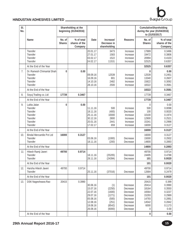

| SI.<br>No. |                                                                                             |                         | Shareholding at the<br>beginning (01/04/2016) |                                                                                              |                                                                         |                                                                                              |                                                                          | <b>CumulativeShareholding</b><br>during the year (01/04/2016)<br>to (31/03/2017)        |
|------------|---------------------------------------------------------------------------------------------|-------------------------|-----------------------------------------------|----------------------------------------------------------------------------------------------|-------------------------------------------------------------------------|----------------------------------------------------------------------------------------------|--------------------------------------------------------------------------|-----------------------------------------------------------------------------------------|
|            | Name                                                                                        | No. of<br><b>Shares</b> | % of total<br>shares of the<br>Company        | Date                                                                                         | Increase/<br>Decrease in<br>shareholding                                | Reasons                                                                                      | No. of<br><b>Shares</b>                                                  | % of total<br>shares of the<br>Company                                                  |
|            | Transfer<br>Transfer<br>Transfer<br><b>Transfer</b>                                         |                         |                                               | 20.01.17<br>27.01.17<br>03.02.17<br>24.02.17                                                 | 3473<br>1583<br>1522<br>11531                                           | Increase<br>Increase<br>Increase<br>Increase                                                 | 17889<br>19472<br>20994<br>32525                                         | 0.3496<br>0.3806<br>0.4103<br>0.6357                                                    |
|            | At the End of the Year                                                                      |                         |                                               |                                                                                              |                                                                         |                                                                                              | 32525                                                                    | 0.6357                                                                                  |
| 7.         | Dr. Ramesh Chimanlal Shah<br>Transfer<br>Transfer<br>Transfer<br><b>Transfer</b>            | 0                       | 0.00                                          | 09.09.16<br>16.09.16<br>14.10.16<br>28.10.16                                                 | 12539<br>801<br>2482<br>2500                                            | Increase<br>Increase<br>Increase<br>Increase                                                 | 0<br>12539<br>13340<br>15822<br>18322                                    | 0.00<br>0.2451<br>0.2607<br>0.3092<br>0.3581                                            |
|            | At the End of the Year                                                                      |                         |                                               |                                                                                              |                                                                         |                                                                                              | 18322                                                                    | 0.3581                                                                                  |
| 8.         | Soyuj Trading co. Ltd                                                                       | 17739                   | 0.3467                                        |                                                                                              |                                                                         |                                                                                              | 17739                                                                    | 0.3467                                                                                  |
|            | At the End of the Year                                                                      |                         |                                               |                                                                                              |                                                                         |                                                                                              | 17739                                                                    | 0.3467                                                                                  |
| 9.         | Lalita Jalan<br>Transfer<br>Transfer<br>Transfer<br>Transfer<br>Transfer<br><b>Transfer</b> | 0                       | 0.00                                          | 11.11.16<br>18.11.16<br>25.11.16<br>30.12.16<br>20.01.16<br>17.02.17                         | 500<br>(400)<br>10000<br>2800<br>2441<br>659                            | Increase<br>Decrease<br>Increase<br>Increase<br>Increase<br>Increase                         | $\mathbf{0}$<br>500<br>100<br>10100<br>12900<br>15341<br>16000           | 0.00<br>0.0098<br>0.0020<br>0.1974<br>0.2521<br>0.2998<br>0.3127                        |
|            | At the End of the Year                                                                      |                         |                                               |                                                                                              |                                                                         |                                                                                              | 16000                                                                    | 0.3127                                                                                  |
| 10.        | <b>Bindal Mercantile Pvt Ltd</b><br>Transfer<br>Transfer                                    | 16000                   | 0.3127                                        | 03.06.16<br>18.11.16                                                                         | (1000)<br>(200)                                                         | Decrease<br>Decrease                                                                         | 16000<br>15000<br>14800                                                  | 0.3127<br>0.2932<br>0.2893                                                              |
|            | At the End of the Year                                                                      |                         |                                               |                                                                                              |                                                                         |                                                                                              | 14800                                                                    | 0.2893                                                                                  |
| 11         | Hitesh Ramji Javeri<br>Transfer<br>Transfer                                                 | 49700                   | 0.9714                                        | 18.11.16<br>28.11.16                                                                         | (25205)<br>(24394)                                                      | Decrease<br>Decrease                                                                         | 49700<br>24495<br>101                                                    | 0.9714<br>0.4788<br>0.0020                                                              |
|            | At the End of the Year                                                                      |                         |                                               |                                                                                              |                                                                         |                                                                                              | 101                                                                      | 0.0020                                                                                  |
| 12.        | Harsha Hitesh Javeri<br>Transfer                                                            | 49700                   | 0.9714                                        | 25.11.16                                                                                     | (37016)                                                                 | Decrease                                                                                     | 49700<br>12684                                                           | 0.9714<br>0.2479                                                                        |
|            | At the End of the Year                                                                      |                         |                                               |                                                                                              |                                                                         |                                                                                              | 101                                                                      | 0.0020                                                                                  |
| 13.        | DSK Nageshwara Rao                                                                          | 20415                   | 0.3990                                        | 30.06.16<br>15.07.16<br>22.07.16<br>29.07.16<br>05.08.16<br>12.08.16<br>19.08.16<br>26.08.16 | (1)<br>(2250)<br>(1600)<br>(1271)<br>(500)<br>(251)<br>(8542)<br>(6000) | Decrease<br>Decrease<br>Decrease<br>Decrease<br>Decrease<br>Decrease<br>Decrease<br>Decrease | 20415<br>20414<br>18164<br>16564<br>15293<br>14793<br>14542<br>6000<br>0 | 0.399<br>$0.3990$  <br>0.3550<br>0.3237<br>0.2989<br>0.2891<br>0.2842<br>0.1173<br>0.00 |
|            | At the End of the Year                                                                      |                         |                                               |                                                                                              |                                                                         |                                                                                              | 0                                                                        | 0.00                                                                                    |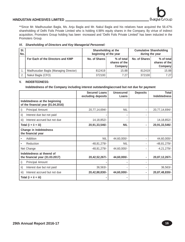

\*\*Since Mr. Madhusudan Bagla, Ms. Anju Bagla and Mr. Nakul Bagla and his relatives have acquired the 56.47% shareholding of Delhi Foils Private Limited who is holding 4.98% equity shares in the Company. By virtue of indirect acquisition, Promoters Group holding has been -increased and "Delhi Foils Private Limited" has been inducted in the Promoters Group.

#### *VI. Shareholding of Directors and Key Managerial Personnel:*

| SI.<br>No. |                                      | Shareholding at the<br>beginning of the year |                                        | during the year | <b>Cumulative Shareholding</b>         |
|------------|--------------------------------------|----------------------------------------------|----------------------------------------|-----------------|----------------------------------------|
|            | For Each of the Directors and KMP    | No. of Shares                                | % of total<br>shares of the<br>Company | No. of Shares   | % of total<br>shares of the<br>Company |
|            | Madhusudan Bagla (Managing Director) | 812419                                       | 15.88                                  | 812419          | 15.88                                  |
| 2.         | Nakul Bagla (CFO)                    | 372100                                       | 7.27                                   | 372100          | 7.27                                   |

## **V. INDEBTEDNESS:**

**Indebtedness of the Company including interest outstanding/accrued but not due for payment**

|                                                                     | <b>Secured Loans</b><br>excluding deposits | Unsecured<br>Loans | <b>Deposits</b>          | Total<br><b>Indebtedness</b> |
|---------------------------------------------------------------------|--------------------------------------------|--------------------|--------------------------|------------------------------|
| Indebtedness at the beginning<br>of the financial year (01.04.2016) |                                            |                    |                          |                              |
| i)<br><b>Principal Amount</b>                                       | 20,77,14,694/-                             | <b>NIL</b>         |                          | 20,77,14,694/-               |
| ii)<br>Interest due but not paid                                    |                                            |                    | $\blacksquare$           |                              |
| iii)<br>Interest accrued but not due                                | 14, 18, 852/-                              |                    |                          | 14, 18, 852/-                |
| Total $(i + ii + iii)$                                              | 20,91,33,546/-                             | <b>NIL</b>         |                          | 20,91,33,546/-               |
| Change in Indebtedness<br>the financial year                        |                                            |                    |                          |                              |
| Addition                                                            | <b>NIL</b>                                 | 44,60,000/-        |                          | 44,60,000/-                  |
| Reduction<br>٠                                                      | $-48,81,279/-$                             | <b>NIL</b>         |                          | $-48,81,279$                 |
| Net Change                                                          | $-48,81,279/$                              | 44,60,000/-        |                          | $-4,21,279$                  |
| Indebtedness at theend of<br>the financial year (31.03.2017)        | 20,42,52,267/-                             | 44,60,000/-        |                          | 20,87,12,267/-               |
| i)<br><b>Principal Amount</b>                                       |                                            |                    | $\overline{\phantom{0}}$ |                              |
| ii)<br>Interest due but not paid                                    | $36,563/$ -                                |                    |                          | $36,563/$ -                  |
| iii)<br>Interest accrued but not due                                | 20,42,88,830/-                             | 44,60,000/-        | ۰                        | 20,87,48,830/-               |
| Total $(i + ii + iii)$                                              |                                            |                    |                          |                              |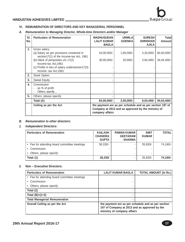## **VI. REMUNERATION OF DIRECTORS AND KEY MANAGERIAL PERSONNEL**

*A. Remuneration to Managing Director, Whole-time Directors and/or Manager*

| SI.<br>No. | <b>Particulars of Remuneration</b>                                                                    | <b>MADHUSUDAN</b><br><b>LALIT KUMAR</b><br><b>BAGLA</b>                                                                            | <b>URMILA</b><br><b>GOENKA</b> | <b>SURESH</b><br><b>SHRIDHAR</b><br><b>AJILA</b> | <b>Total</b><br>Amount |
|------------|-------------------------------------------------------------------------------------------------------|------------------------------------------------------------------------------------------------------------------------------------|--------------------------------|--------------------------------------------------|------------------------|
| 1.         | Gross salary<br>(a) Salary as per provisions contained in<br>section17(1) of the Income-tax Act, 1961 | 54,00,000/-                                                                                                                        | 1,80,000/-                     | 4,20,000/-                                       | 60,00,000/-            |
|            | (b) Value of perquisites u/s 17(2)<br>Income-tax Act, 1961                                            | $30,00,000/-$                                                                                                                      | $20,000/-$                     | $3,84,400/-$                                     | 34,04,400/-            |
|            | (c) Profits in lieu of salary undersection17(3)<br>Income- tax Act, 1961                              |                                                                                                                                    |                                |                                                  |                        |
| 2.         | <b>Stock Option</b>                                                                                   |                                                                                                                                    |                                |                                                  |                        |
| 3.         | <b>Sweat Equity</b>                                                                                   |                                                                                                                                    |                                |                                                  |                        |
| 4.         | Commission<br>as % of profit<br>Others, specify                                                       |                                                                                                                                    |                                |                                                  |                        |
| 5.         | Others, please specify                                                                                |                                                                                                                                    |                                |                                                  |                        |
|            | Total (A)                                                                                             | 84,00,000/-                                                                                                                        | $2,00,000/-$                   | $8,04,400/-$                                     | 94,04,400/-            |
|            | Ceiling as per the Act                                                                                | the payment are as per schedule and as per section 197 of<br>Company at 2013 and as approved by the ministry of<br>company affairs |                                |                                                  |                        |

## *B. Remuneration to other directors:*

## *1. Independent Directors:*

| <b>Particulars of Remuneration</b>           | <b>KAILASH</b><br><b>CHANDRA</b><br><b>GUPTA</b> | <b>PAWAN KUMAR</b><br><b>GEETARAM</b><br><b>SHARMA</b> | <b>AMIT</b><br><b>KUMAR</b> | <b>TOTAL</b> |
|----------------------------------------------|--------------------------------------------------|--------------------------------------------------------|-----------------------------|--------------|
| • Fee for attending board committee meetings | $38,330/-$                                       |                                                        | $35,830/-$                  | 74.160/-     |
| • Commission                                 |                                                  |                                                        |                             |              |
| • Others, please specify                     | -                                                |                                                        | $\overline{\phantom{0}}$    |              |
| Total (1)                                    | 38,330/                                          |                                                        | $35,830/-$                  | 74,160/-     |

## **2. Non – Executive Directors:**

| <b>Particulars of Remuneration</b>           | <b>LALIT KUMAR BAGLA</b>                                                     | <b>TOTAL AMOUNT (In Rs.)</b>                       |
|----------------------------------------------|------------------------------------------------------------------------------|----------------------------------------------------|
| • Fee for attending board committee meetings |                                                                              |                                                    |
| • Commission                                 |                                                                              |                                                    |
| • Others, please specify                     |                                                                              |                                                    |
| Total (2)                                    |                                                                              |                                                    |
| Total $(B)=(1+2)$                            |                                                                              |                                                    |
| <b>Total Managerial Remuneration</b>         |                                                                              |                                                    |
| Overall Ceiling as per the Act               | 197 of Company at 2013 and as approved by the<br>ministry of company affairs | the payment are as per schedule and as per section |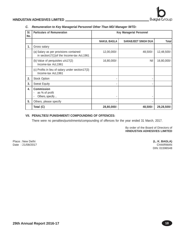| SI.<br>No. | <b>Particulars of Remuneration</b>                                                    | <b>Key Managerial Personnel</b> |                            |             |  |  |
|------------|---------------------------------------------------------------------------------------|---------------------------------|----------------------------|-------------|--|--|
|            |                                                                                       | <b>NAKUL BAGLA</b>              | <b>SARABJEET SINGH DUA</b> | Total       |  |  |
| 1.         | Gross salary                                                                          |                                 |                            |             |  |  |
|            | (a) Salary as per provisions contained<br>in section17(1) of the Income-tax Act, 1961 | 12,00,000/-                     | 48,500/-                   | 12,48,500/- |  |  |
|            | (b) Value of perquisites u/s17(2)<br>Income-tax Act, 1961                             | 16,80,000/-                     | Nil                        | 16,80,000/- |  |  |
|            | (c) Profits in lieu of salary under section17(3)<br>Income-tax Act, 1961              |                                 |                            |             |  |  |
| 2.         | <b>Stock Option</b>                                                                   |                                 |                            |             |  |  |
| 3.         | <b>Sweat Equity</b>                                                                   |                                 |                            |             |  |  |
| 4.         | Commission<br>as % of profit<br>$\overline{a}$<br>Others, specify<br>$\overline{a}$   |                                 |                            |             |  |  |
| 5.         | Others, please specify                                                                |                                 |                            |             |  |  |
|            | Total (C)                                                                             | 28,80,000/-                     | 48,500/-                   | 29,28,500/- |  |  |

## *C. Remuneration to Key Managerial Personnel Other Than MD/ Manager /WTD:*

## **VII. PENALTIES/ PUNISHMENT/ COMPOUNDING OF OFFENCES:**

There were no penalties/punishments/compounding of offences for the year ended 31 March, 2017.

By order of the Board of Directors of **HINDUSTAN ADHESIVES LIMITED**

Place : New Delhi **(L. K. BAGLA) (L. K. BAGLA) (L. K. BAGLA) (C. R. BAGLA) (C. R. BAGLA)** *CHAIRMAN* Date: 21/08/2017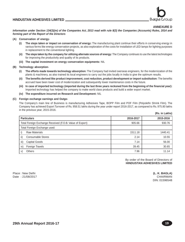

**ANNEXURE D**

*Information under Section 134(3)(m) of the Companies Act, 2013 read with rule 8(3) the Companies (Accounts) Rules, 2014 and forming part of the Report of the Directors*

#### **(A) Conservation of energy-**

- **(i) The steps taken or impact on conservation of energy:** The manufacturing plant continue their efforts in conserving energy in various forms like energy conservation projects, as also exploration of the costs for installation of LED lamps for lighting purposes in replacement to the conventional lighting.
- **(ii) The steps taken by the company for utilizing alternate sources of energy:** The Company continues to use the latest technologies for improving the productivity and quality of its products.
- **(iii) The capital investment on energy conservation equipments:** NIL

#### **(B) Technology absorption-**

- **(i) The efforts made towards technology absorption:** The Company had invited overseas engineers, for the modernization of the plants & machinery, as also trained its local engineers to carry out the jobs locally in India to give the optimum results.
- **(ii) The benefits derived like product improvement, cost reduction, product development or import substitution:** The benefits accrued have been lower cost of modernization and subsequently lower maintenance costs in the future.
- **(iii) In case of imported technology (imported during the last three years reckoned from the beginning of the financial year):** Imported technology has helped the company to make world class products and build a wider export market.
- **(iv) The expenditure incurred on Research and Development:** NIL

#### **(C) Foreign exchange earnings and Outgo-**

The Company's main line of Business is manufacturing Adhesives Tape, BOPP Film and POF Film (Polyolefin Shrink Film). The Company has achieved Export Turnover of Rs. 958.51 lakhs during the year under report 2016-2017, as compared to Rs. 975.80 lakhs in the previous year, 2015-2016.

|                                                          |           | (Rs. in Lakhs) |
|----------------------------------------------------------|-----------|----------------|
| <b>Particulars</b>                                       | 2016-2017 | 2015-2016      |
| Total Foreign Exchange Received (F.O.B. Value of Export) | 905.66    | 930.76         |
| Total Foreign Exchange used:                             |           |                |
| <b>Raw Materials</b>                                     | 1511.18   | 1440.41        |
| <b>Consumable Stores</b><br>ii)                          | 2.14      | 10.55          |
| iii)<br>Capital Goods                                    | 7.14      | 56.00          |
| Foreign Travels<br>iv)                                   | 39.45     | 30.65          |
| <b>Others</b><br>V)                                      | 7.96      | 11.14          |

#### By order of the Board of Directors of **HINDUSTAN ADHESIVES LIMITED**

Place : New Delhi **(L. K. BAGLA)** Date : 21/08/2017 CHAIRMAN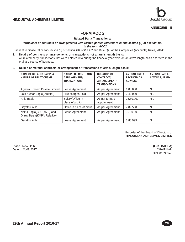

# **FORM AOC 2**

**Related Party Transactions:**

*Particulars of contracts or arrangements with related parties referred to in sub-section (1) of section 188 in the form AOC2:*

Pursuant to *clause (h) of sub-section (3) of section 134 of the Act and Rule 8(2)* of the Companies (Accounts) Rules, 2014:

- **1. Details of contracts or arrangements or transactions not at arm's length basis:** All related party transactions that were entered into during the financial year were on an arm's length basis and were in the ordinary course of business.
- **2. Details of material contracts or arrangement or transactions at arm's length basis:**

| <b>NAME OF RELATED PARTY &amp;</b><br><b>NATURE OF RELATIONSHIP</b> | <b>NATURE OF CONTRACT/</b><br><b>ARRANGEMENT/</b><br><b>TRANSCATIONS</b> | <b>DURATION OF</b><br><b>CONTRACT/</b><br><b>ARRANGEMENT/</b><br><b>TRANSCATIONS</b> | <b>AMOUNT PAID /</b><br><b>RECEIVED AS</b><br><b>ADVANCE</b> | <b>AMOUNT PAID AS</b><br><b>ADVANCE. IF ANY</b> |
|---------------------------------------------------------------------|--------------------------------------------------------------------------|--------------------------------------------------------------------------------------|--------------------------------------------------------------|-------------------------------------------------|
| Agrawal Tracom Private Limited                                      | Lease Agreement                                                          | As per Agreement                                                                     | 1.80.000                                                     | <b>NIL</b>                                      |
| Lalit Kumar Bagla(Director)                                         | Hire charges Paid                                                        | As per Agreement                                                                     | 2.40.000                                                     | <b>NIL</b>                                      |
| Anju Bagla                                                          | Salary(Office in<br>place of profit)                                     | As per terms of<br>appointment                                                       | 28,80,000                                                    | <b>NIL</b>                                      |
| Gayathri Ajila                                                      | Office in place of profit                                                | As per Agreement                                                                     | 7,89,568                                                     | <b>NIL</b>                                      |
| Nakul Bagla(CFO(KMP) and<br>Dhruv Bagla(KMP's Relative)             | Lease Agreement                                                          | As per Agreement                                                                     | 30.00.000                                                    | <b>NIL</b>                                      |
| Gayathri Ajila                                                      | Lease Agreement                                                          | As per Agreement                                                                     | 3,88,999                                                     | <b>NIL</b>                                      |

By order of the Board of Directors of **HINDUSTAN ADHESIVES LIMITED**

Place : New Delhi **(L. K. BAGLA)** Date: 21/08/2017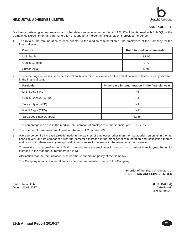

## **ANNEXURE – F**

Disclosure pertaining to remuneration and other details as required under Section 197(12) of the Act read with Rule 5(1) of the Companies (Appointment and Remuneration of Managerial Personnel) Rules, 2014 is provided hereunder:

1. The ratio of the remuneration of each director to the median remuneration of the employees of the Company for the financial year:

| <b>Director</b> | Ratio to median remuneration |
|-----------------|------------------------------|
| M.S. Bagla      | 81.05                        |
| Urmila Goenka   | 1.73                         |
| Suresh Ajila    | 5.789                        |

2. The percentage increase in remuneration of each director, chief executive officer, chief financial officer, company secretary in the financial year.

| <b>Particular</b>       | % increase in remuneration in the financial year |
|-------------------------|--------------------------------------------------|
| M.S. Bagla (MD)         | Nil                                              |
| Urmila Goenka (WTD)     | Nil                                              |
| Suresh Ajila (WTD)      | Nil                                              |
| Nakul Bagla (CFO)       | Nil                                              |
| Sarabjeet Singh Dua(CS) | 42.85                                            |

- 3. The percentage increase in the median remuneration of employees in the financial year: 15.20%
- 4. The number of permanent employees on the rolls of Company: 229
- 5. Average percentile increase already made in the salaries of employees other than the managerial personnel in the last financial year and its comparison with the percentile increase in the managerial remuneration and justification thereof and point out if there are any exceptional circumstances for increase in the managerial remuneration.

There was an increase of around 4.74% in the salaries of the employees in comparison to the last financial year. Percentile increase in the managerial remuneration is Nil.

6. Affirmation that the remuneration is as per the remuneration policy of the Company

The Company affirms remuneration is as per the remuneration policy of the Company.

#### By order of the Board of Directors of **HINDUSTAN ADHESIVES LIMITED**

Place : New Delhi **(L. K. BAGLA)** Date : 21/08/2017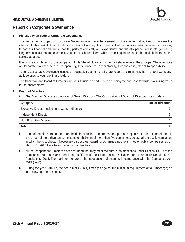

# **Report on Corporate Governance**

#### **1. Philosophy on code of Corporate Governance:**

The Fundamental object of Corporate Governance is the enhancement of Shareholder value, keeping in view the interest of other stakeholders. It refers to a blend of law, regulations and voluntary practices, which enable the company to harness financial and human capital, perform efficiently and expediently, and thereby perpetuate it into generating long term association and economic value for its Shareholders, while respecting interests of other stakeholders and the society at large.

It aims to align interests of the company with its Shareholders and other key stakeholders. The principal Characteristics of Corporate Governance are-Transparency, Independence, Accountability, Responsibility, Social Responsibility.

To sum, Corporate Governance focuses on equitable treatment of all shareholders and reinforces that it is "Your Company" as it belongs to you, the Shareholders.

The Chairman and Board of Directors are your fiduciaries and trustees pushing the business towards maximizing value for its shareholders.

#### **2. Board of Directors**

i. The Board of Directors comprises of Seven Directors. The Composition of Board of Directors is as under:-

| Category                                       | <b>No. of Directors</b> |
|------------------------------------------------|-------------------------|
| Executive Director(including a women director) |                         |
| Independent Director                           |                         |
| Non Executive Director                         |                         |
| <b>Total</b>                                   |                         |

- ii. None of the directors on the Board hold directorships in more than ten public companies. Further, none of them is a member of more than ten committees or chairman of more than five committees across all the public companies in which he is a director. Necessary disclosures regarding committee positions in other public companies as on March 31, 2017 have been made by the directors.
- iii. All the Independent Directors have confirmed that they meet the criteria as mentioned under Section 149(6) of the Companies Act, 2013 and Regulation 16(1) (b) of the SEBI (Listing Obligations and Disclosure Requirements) Regulations, 2015. The maximum tenure of the independent directors is in compliance with the Companies Act, 2013 ("Act").
- iv. During the year 2016-17, the board met 4 (Four) times (as against the minimum requirement of four meetings) on the following dates, namely:-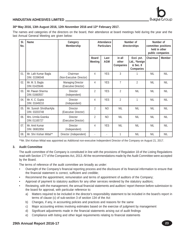## **30th May 2016, 13th August 2016, 12th November 2016 and 13th February 2017.**

The names and categories of the directors on the board, their attendance at board meetings held during the year and the last Annual General Meeting are given below:

| SI.<br>l No. | Name                                      | Category<br>Membership                           | Attendance<br><b>Particulars</b> |                    | Number of<br>directorships          |                                                              | Number of<br>committee positions<br>held in other<br>public companies |               |
|--------------|-------------------------------------------|--------------------------------------------------|----------------------------------|--------------------|-------------------------------------|--------------------------------------------------------------|-----------------------------------------------------------------------|---------------|
|              |                                           |                                                  | <b>Board</b><br><b>Meeting</b>   | Last<br><b>AGM</b> | in all<br>other<br><b>Companies</b> | Excl. pvt.<br>Ltd., *foreign<br>& Sec. 8<br><b>Companies</b> | Chairman                                                              | <b>Member</b> |
| 01.          | Mr. Lalit Kumar Bagla<br>DIN: 01596548    | Chairman<br>(Non-Executive Director)             | 4                                | <b>YES</b>         | 3                                   | 1                                                            | <b>NIL</b>                                                            | <b>NIL</b>    |
| 02.          | Mr. M. S. Bagla<br>DIN: 01425646          | <b>Managing Director</b><br>(Executive Director) | 4                                | <b>YES</b>         | 7                                   | $\overline{2}$                                               | <b>NIL</b>                                                            | <b>NIL</b>    |
| 03.          | Mr. Pawan Sharma<br>DIN: 01660557         | Director<br>(Independent)                        | $\mathfrak{p}$                   | <b>YES</b>         | $\mathfrak{p}$                      | <b>NIL</b>                                                   | <b>NII</b>                                                            | <b>NIL</b>    |
| 04.          | Mr. K. C. Gupta<br>DIN: 01649210          | <b>Director</b><br>(Independent)                 | 4                                | <b>YES</b>         | $\mathfrak{p}$                      | 1                                                            | <b>NII</b>                                                            | <b>NIL</b>    |
| 05.          | Mr. Suresh ShridharAjila<br>DIN: 03203748 | Director<br>(Executive Director)                 | $\mathfrak{p}$                   | N <sub>O</sub>     | <b>NII</b>                          | <b>NII</b>                                                   | <b>NII</b>                                                            | <b>NIL</b>    |
| 06.          | Mrs. Urmila Goenka<br>DIN: 01165727       | Director<br>(Executive Director)                 | $\overline{2}$                   | N <sub>O</sub>     | <b>NIL</b>                          | <b>NIL</b>                                                   | <b>NIL</b>                                                            | <b>NIL</b>    |
| 07.          | Mr. Amit Kumar<br>DIN: 06902856           | Director<br>(Independent)                        | 4                                | <b>YES</b>         | <b>NIL</b>                          | <b>NIL</b>                                                   | <b>NIL</b>                                                            | <b>NIL</b>    |
| 08.          | Mr. Shri Kishan Mittal**                  | Director (Independent)                           |                                  |                    | 1                                   | <b>NIL</b>                                                   | <b>NIL</b>                                                            | <b>NIL</b>    |

\*\*Mr. Shri Kishan Mittal was appointed as Additional non-executive Independent Director of the Company on August 21, 2017.

### **3. Audit Committee**

The audit committee of the Company is constituted in line with the provisions of Regulation 18 of the Listing Regulations read with Section 177 of the Companies Act, 2013. All the recommendations made by the Audit Committee were accepted by the Board.

The terms of reference of the audit committee are broadly as under:

- Oversight of the Company's financial reporting process and the disclosure of its financial information to ensure that the financial statement is correct, sufficient and credible;
- Recommend the appointment, remuneration and terms of appointment of auditors of the Company;
- Approval of payment to statutory auditors for any other services rendered by the statutory auditors;
- Reviewing, with the management, the annual financial statements and auditors' report thereon before submission to the board for approval, with particular reference to:
	- a) Matters required to be included in the director's responsibility statement to be included in the board's report in terms of clause (c) of sub-section 3 of section 134 of the Act
	- b) Changes, if any, in accounting policies and practices and reasons for the same
	- c) Major accounting entries involving estimates based on the exercise of judgment by management
	- d) Significant adjustments made in the financial statements arising out of audit findings
	- e) Compliance with listing and other legal requirements relating to financial statements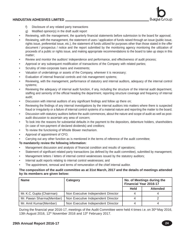

- f) Disclosure of any related party transactions
- g) Modified opinion(s) in the draft audit report
- Reviewing, with the management, the quarterly financial statements before submission to the board for approval;
- Reviewing, with the management, the statement of uses / application of funds raised through an issue (public issue, rights issue, preferential issue, etc.), the statement of funds utilized for purposes other than those stated in the offer document / prospectus / notice and the report submitted by the monitoring agency monitoring the utilization of proceeds of a public or rights issue, and making appropriate recommendations to the board to take up steps in this matter;
- Review and monitor the auditors' independence and performance, and effectiveness of audit process;
- Approval or any subsequent modification of transactions of the Company with related parties;
- Scrutiny of inter-corporate loans and investments;
- Valuation of undertakings or assets of the Company, wherever it is necessary;
- Evaluation of internal financial controls and risk management systems;
- Reviewing, with the management, performance of statutory and internal auditors, adequacy of the internal control systems;
- Reviewing the adequacy of internal audit function, if any, including the structure of the internal audit department, staffing and seniority of the official heading the department, reporting structure coverage and frequency of internal audit;
- Discussion with internal auditors of any significant findings and follow up there on;
- Reviewing the findings of any internal investigations by the internal auditors into matters where there is suspected fraud or irregularity or a failure of internal control systems of a material nature and reporting the matter to the board;
- Discussion with statutory auditors before the audit commences, about the nature and scope of audit as well as postaudit discussion to ascertain any area of concern;
- To look into the reasons for substantial defaults in the payment to the depositors, debenture holders, shareholders (in case of non-payment of declared dividends) and creditors;
- To review the functioning of Whistle Blower mechanism.
- Approval of appointment of CFO;
- Carrying out any other function as is mentioned in the terms of reference of the audit committee;

## **To mandatorily review the following information:**

- Management discussion and analysis of financial condition and results of operations;
- Statement of significant related party transactions (as defined by the audit committee), submitted by management;
- Management letters / letters of internal control weaknesses issued by the statutory auditors;
- Internal audit reports relating to internal control weaknesses; and
- The appointment, removal and terms of remuneration of the chief internal auditor.

## **The composition of the audit committee as at 31st March, 2017 and the details of meetings attended by its members are given below:**

| <b>Name</b>               | Category                           | No. of Meetings during the<br><b>Financial Year 2016-17</b> |                 |
|---------------------------|------------------------------------|-------------------------------------------------------------|-----------------|
|                           |                                    | <b>Held</b>                                                 | <b>Attended</b> |
| Mr. K.C. Gupta (Chairman) | Non Executive Independent Director |                                                             |                 |
| Mr. Pawan Sharma(Member)  | Non Executive Independent Director |                                                             |                 |
| Mr. Amit Kumar (Member)   | Non Executive Independent Director |                                                             |                 |

During the financial year 2016-17, meetings of the Audit Committee were held 4 times i.e. on 30<sup>th</sup> May 2016, 13th August 2016, 12<sup>th</sup> November 2016 and 13<sup>th</sup> February 2017.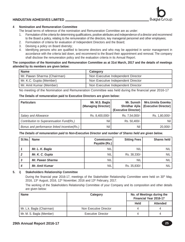

## **4 Nomination and Remuneration Committee**

The broad terms of reference of the nomination and Remuneration Committee are as under:

- 1. Formulation of the criteria for determining qualifications, positive attributes and independence of a director and recommend to the Board a policy, relating to the remuneration of the directors, key managerial personnel and other employees;
- 2. Formulation of criteria for evaluation of Independent Directors and the Board;
- 3. Devising a policy on Board diversity;
- 4. Identifying persons who are qualified to become directors and who may be appointed in senior management in accordance with the criteria laid down, and recommend to the Board their appointment and removal. The company shall disclose the remuneration policy and the evaluation criteria in its Annual Report.

## **The composition of the Nomination and Remuneration Committee as at 31st March, 2017 and the details of meetings attended by its members are given below:**

| l Name                      | Category                           |
|-----------------------------|------------------------------------|
| Mr. Pawan Sharma (Chairman) | Non Executive Independent Director |
| Mr. K.C. Gupta (Member)     | Non Executive Independent Director |
| Mr. Amit Kumar (Member)     | Non Executive Independent Director |

No meeting of the Nomination and Remuneration Committee was held during the financial year 2016-17

#### **The Details of remuneration paid to Executive Directors are given below:**

| <b>Particulars</b>                           | Mr. M.S. Bagla<br>(Managing Director) | Mr. Suresh<br>Shridhar Ajila  <br>(Executive Director) | Mrs.Urmila Goenka<br>(Executive Director) |
|----------------------------------------------|---------------------------------------|--------------------------------------------------------|-------------------------------------------|
| Salary and Allowance                         | Rs. 8,400,000/-                       | Rs. 7,54,000/-                                         | Rs. 1,80,000/-                            |
| Contribution to Superannuation Fund(Rs,)     | Nil l                                 | Rs. 50,400/-                                           | Nil I                                     |
| Bonus and performance linked Incentive (Rs.) | Nil I                                 | Nil                                                    | $20.000/-$                                |

*The Details of remuneration paid to Non-Executive Director and number of Shares held are given below.*

| SI.No. | <b>Name</b>             | <b>Commission</b><br>Payable (Rs.) | <b>Sitting Fees</b> | Shares held |
|--------|-------------------------|------------------------------------|---------------------|-------------|
|        | Mr. L. K. Bagla         | NIL                                | NIL                 | <b>NIL</b>  |
| l 2    | Mr. K. C. Gupta         | <b>NIL</b>                         | Rs. 38,330/-        | <b>NIL</b>  |
| -3     | <b>Mr. Pawan Sharma</b> | <b>NIL</b>                         | <b>NIL</b>          | <b>NIL</b>  |
| -4     | <b>Mr. Amit Kumar</b>   | <b>NIL</b>                         | Rs. 35,830/-        | <b>NIL</b>  |

## **5. i) Stakeholders Relationship Committee**

During the financial year 2016-17, meetings of the Stakeholder Relationship Committee were held on 30<sup>th</sup> May, 2016, 13<sup>th</sup> August, 2016, 12<sup>th</sup> November, 2016 and 13<sup>th</sup> February, 2017.

The working of the Stakeholders Relationship Committee of your Company and its composition and other details are given below:

| <b>Name</b>               | Category               | No. of Meetings during the<br><b>Financial Year 2016-17</b> |                 |
|---------------------------|------------------------|-------------------------------------------------------------|-----------------|
|                           |                        | Held                                                        | <b>Attended</b> |
| Mr. L.k. Bagla (Chairman) | Non Executive Director |                                                             |                 |
| Mr. M. S. Bagla (Member)  | Executive Director     |                                                             |                 |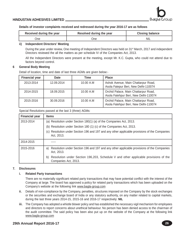## **Details of investor complaints received and redressed during the year 2016-17 are as follows**

| Received during the year | Resolved during the year | <b>Closing balance</b> |
|--------------------------|--------------------------|------------------------|
| .<br>One                 | ⊃ne                      | <b>NIL</b>             |

#### **ii) Independent Directors' Meeting**

During the year under review, One meeting of Independent Directors was held on 31<sup>st</sup> March, 2017 and independent Directors reviewed the all the matters as per schedule IV of the Companies Act, 2013.

All the Independent Directors were present at the meeting, except Mr. K.C. Gupta, who could not attend due to factors beyond control.

## **6 General Body Meeting**

Detail of location, time and date of last three AGMs are given below:-

| <b>Financial year</b> | <b>Date</b> | Time      | <b>Place</b>                                                                  |
|-----------------------|-------------|-----------|-------------------------------------------------------------------------------|
| 2013-2014             | 12.09.2014  | 10.00 A.M | Ashok Avenue, Main Chattarpur Road,<br>Asola Fatepur Beri, New Delhi-110074   |
| 2014-2015             | 18.09.2015  | 10.00 A.M | Orchid Palace, Main Chattarpur Road,<br>Asola Fatehpur Beri, New Delhi-110074 |
| 2015-2016             | 30.09.2016  | 10.00 A.M | Orchid Palace, Main Chattarpur Road,<br>Asola Fatehpur Beri, New Delhi-110074 |

Special Resolutions passed at the last 3 (three) AGMs:

| <b>Financial year</b> | <b>Items</b>                                                                                                   |
|-----------------------|----------------------------------------------------------------------------------------------------------------|
| 2013-2014             | (a) Resolution under Section 180(1) (a) of the Companies Act, 2013.                                            |
|                       | (b) Resolution under Section 180 (1) (c) of the Companies Act, 2013.                                           |
|                       | (c) Resolution under Section 196 and 197 and any other applicable provisions of the Companies<br>Act, 2013.    |
| 2014-2015             |                                                                                                                |
| 2015-2016             | a) Resolution under Section 196 and 197 and any other applicable provisions of the Companies<br>Act. 2013.     |
|                       | b) Resolution under Section 196,203, Schedule V and other applicable provisions of the<br>Companies Act, 2013. |

## **7. Disclosures**

## **i. Related Party transactions**

There are no materially significant related party transactions that may have potential conflict with the interest of the Company at large. The board has approved a policy for related party transactions which has been uploaded on the Company's website at the following link www.bagla-group.com

- **ii.** Details of non-compliance by the Company, penalties, structures imposed on the Company by the stock exchanges or the securities and exchange board of India or any statutory authority, on any matter related to capital markets, during the last three years 2014-15, 2015-16 and 2016-17 respectively: **NIL**
- **iii.** The Company has adopted a whistle blower policy and has established the necessary vigil mechanism for employees and directors to report concerns about unethical behaviour. No person has been denied access to the chairman of the audit committee. The said policy has been also put up on the website of the Company at the following link www.bagla-group.com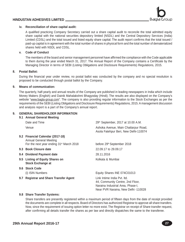

#### **iv. Reconciliation of share capital audit:**

A qualified practicing Company Secretary carried out a share capital audit to reconcile the total admitted equity share capital with the national securities depository limited (NSDL) and the Central Depository Services (India) Limited (CDSL) and the total issued and listed equity share capital. The audit report confirms that the total issued / paid-up capital is in agreement with the total number of shares in physical form and the total number of dematerialized shares held with NSDL and CDSL.

## **v. Code of Conduct**

The members of the board and senior management personnel have affirmed the compliance with the Code applicable to them during the year ended March 31, 2017. The Annual Report of the Company contains a Certificate by the Managing Director in terms of SEBI (Listing Obligations and Disclosure Requirements) Regulations, 2015.

## **8. Postal Ballot:**

During the financial year under review, no postal ballot was conducted by the company and no special resolution is proposed to be conducted through postal ballot by the Company.

#### **9. Means of communication:**

The quarterly, half-yearly and annual results of the Company are published in leading newspapers in India which include Money Makers (English) and Dainik Mahalakshmi Bhagyoday (Hindi). The results are also displayed on the Company's website "www.bagla-group.com". The company is also providing regular information to the Stock Exchanges as per the requirements of the SEBI (Listing Obligations and Disclosure Requirements) Regulations, 2015. A management discussion and analysis report is a part of the Company's annual report.

## **9. GENERAL SHAREHOLDER INFORMATION**

| Date and Time                                                                  | 29th September, 2017 at 10.00 A.M.                                                                                                                                                                                  |
|--------------------------------------------------------------------------------|---------------------------------------------------------------------------------------------------------------------------------------------------------------------------------------------------------------------|
| Venue                                                                          | Ashoka Avenue, Main Chattarpur Road,<br>Asola Fatehpur Beri, New Delhi-110074                                                                                                                                       |
| Annual General Meeting<br>For the next year ending 31 <sup>st</sup> March 2018 | before 29th September 2018                                                                                                                                                                                          |
|                                                                                | 22.09.17 to 29.09.17                                                                                                                                                                                                |
|                                                                                | 28.11.2016                                                                                                                                                                                                          |
| <b>Stock Exchange at</b>                                                       | Kolkata & Mumbai                                                                                                                                                                                                    |
|                                                                                |                                                                                                                                                                                                                     |
| (i) ISIN Numbers                                                               | Equity Shares INE 074C01013                                                                                                                                                                                         |
|                                                                                | Link Intime India Pyt. Itd.<br>44, Community Centre, 2nd Floor,<br>Naraina Industrial Area, Phase-I,<br>Near PVR Naraina, New Delhi -110028                                                                         |
|                                                                                | 9.1 Annual General Meeting<br>9.2 Financial Calendar (2017-18)<br>9.3 Book Closure date<br>9.4 Dividend Payment date<br>9.5 Listing of Equity Shares on<br>9.6 Stock Code<br>9.7 Registrar and Share Transfer Agent |

#### **9.8 Share Transfer Systems:**

Share transfers are presently registered within a maximum period of fifteen days from the date of receipt provided the documents are complete in all respects. Board of Directors has authorized Registrar to approve all share transfers. Now, since the requirement of issuing option letter no more exist. The Registrar on receipt of Share transfer request, after confirming all details transfer the shares as per law and directly dispatches the same to the transferee.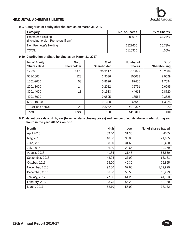**9.9. Categories of equity shareholders as on March 31, 2017:**

| Category                             | No. of Shares | % of Shares |
|--------------------------------------|---------------|-------------|
| Promoter's Holding                   | 3288695       | 64.27%      |
| (including foreign Promoters if any) |               |             |
| Non Promoter's Holding               | 1827605       | 35.73%      |
| I TOTAL                              | 5116300       | 100%        |

## **9.10. Distribution of Share holding as on March 31, 2017**

| No of Equity<br><b>Shares Held</b> | No of<br><b>Shareholder</b> | $%$ of<br><b>Shareholder</b> | Number of<br><b>Shares</b> | $%$ of<br>Shareholding |
|------------------------------------|-----------------------------|------------------------------|----------------------------|------------------------|
| 1-500                              | 6476                        | 96.3117                      | 678879                     | 13.2689                |
| 501-1000                           | 128                         | 1.9036                       | 105033                     | 2.0529                 |
| 1001-2000                          | 58                          | 0.8626                       | 87456                      | 1.7094                 |
| 2001-3000                          | 14                          | 0.2082                       | 35791                      | 0.6995                 |
| 3001-4000                          | 13                          | 0.1933                       | 44612                      | 0.8720                 |
| 4001-5000                          | 4                           | 0.0595                       | 18562                      | 0.3628                 |
| 5001-10000                         | 9                           | 0.1338                       | 66640                      | 1.3025                 |
| 10001 and above                    | 22                          | 0.3272                       | 4079327                    | 79.7320                |
| <b>Total</b>                       | 6724                        | 100                          | 5116300                    | 100                    |

**9.11 Market price data: High, low (based on daily closing prices) and number of equity shares traded during each month in the year 2016-17 on BSE**

| <b>Month</b>      | High  | Low   | No. of shares traded |
|-------------------|-------|-------|----------------------|
| April 2016        | 39.40 | 31.30 | 4055                 |
| May, 2016         | 40.80 | 30.80 | 21,605               |
| June, 2016        | 38.90 | 31.60 | 19,420               |
| <b>July, 2016</b> | 36.30 | 29.65 | 19,279               |
| August, 2016      | 41.85 | 31.45 | 55,850               |
| September, 2016   | 48.95 | 37.00 | 63,181               |
| October, 2016     | 65.20 | 40.30 | 75,855               |
| November, 2016    | 92.00 | 52.60 | 1,79,929             |
| December, 2016    | 68,00 | 53.50 | 63,223               |
| January, 2017     | 77.00 | 61.20 | 41,123               |
| February, 2017    | 83.75 | 56.20 | 80,150               |
| March, 2017       | 62.10 | 56.00 | 38,132               |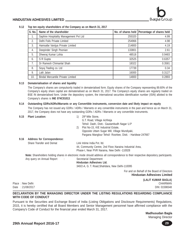#### **9.12 Top ten equity shareholders of the Company as on March 31, 2017**

| S. No. | Name of the shareholder                  |        | No. of shares held   Percentage of shares held |
|--------|------------------------------------------|--------|------------------------------------------------|
| 1.     | Saphire Hospitality Management Pvt Ltd   | 255320 | 4.99                                           |
| 2.     | Delhi Foils Private Limited              | 254966 | 4.98                                           |
| 3.     | Hamsafar Vanijya Private Limited         | 214800 | 4.19                                           |
| 4.     | Deepinder Singh Poonian                  | 133801 | 2.61                                           |
| 5.     | Dheeraj Kumar Lohia                      | 48518  | 0.9483                                         |
| 6.     | S R Gupta                                | 32525  | 0.6357                                         |
| 7.     | Dr Ramesh Chimanlal Shah                 | 18322  | 0.3581                                         |
| 8.     | Soyuj Trading co. Ltd                    | 17739  | 0.34                                           |
| 9.     | Lalit Jalan                              | 16000  | 0.3127                                         |
| 10.    | <b>Bindal Mercantile Private Limited</b> | 14800  | 0.2893                                         |

#### **9.13 Dematerialisation of shares and liquidity**

The Company's shares are compulsorily traded in dematerialised form. Equity shares of the Company representing 89.60% of the Company's equity share capital are dematerialised as on March 31, 2017. The Company's equity shares are regularly traded on BSE IN dematerialised form. Under the depository system, the international securities identification number (ISIN) allotted to the Company's shares is **INE 074C01013**.

#### **9.14 Outstanding GDRs/ADRs/Warrants or any Convertible instruments, conversion date and likely impact on equity**

The Company has not issued any GDRs / ADRs / Warrants or any convertible instruments in the past and hence as on March 31, 2017, the Company does not have any outstanding GDRs / ADRs / Warrants or any convertible instruments.

| <b>Plant Location:</b>             | 29 <sup>th</sup> Mile Stone.<br>1)                                                                                                  |
|------------------------------------|-------------------------------------------------------------------------------------------------------------------------------------|
|                                    | G.T. Road, Village Achheja                                                                                                          |
|                                    | Tehsil- Dadri, Distt.- Gautambudh Nagar U.P                                                                                         |
|                                    | Plot No-15, KIE Industrial Estate,<br>2)                                                                                            |
|                                    | Opposite Uttam Sugar Mill, Village Mundiyaki,                                                                                       |
|                                    | Pargana Manglour Tehsil- Roorkee, Distt. - Haridwar-247667                                                                          |
| <b>Address for Correspondence:</b> |                                                                                                                                     |
| Share Transfer and Demat           | Link Intime India Pvt. Itd.                                                                                                         |
|                                    | 44, Community Centre, 2nd Floor, Naraina Industrial Area,                                                                           |
|                                    | Phase-I, Near PVR Naraina, New Delhi -110028                                                                                        |
|                                    | Note: Shareholders holding shares in electronic mode should address all correspondence to their respective depository participants. |
| - 11                               | Secretarial Department                                                                                                              |
|                                    | Any query on Annual Report                                                                                                          |

#### **Hindustan Adhesives Ltd.**

340/2-A, G. T. Road,Shahdara, New Delhi-110095

For and on Behalf of the Board of Directors **Hindustan Adhesives Limited**

**(LALIT KUMAR BAGLA)** Place : New Delhi CHAIRMAN Date : 21/08/2017 DIN: 01596548

#### **DECLARATION BY THE MANAGING DIRECTOR UNDER THE LISTING REGULATIONS REGARDING COMPLIANCE WITH CODE OF CONDUCT**

Pursuant to the Securities and Exchange Board of India (Listing Obligations and Disclosure Requirements) Regulations, 2015, it is hereby certified that all Board Members and Senior Management personnel have affirmed compliance with the Company's Code of Conduct for the financial year ended March 31, 2017.

**Madhusudan Bagla**

Managing Director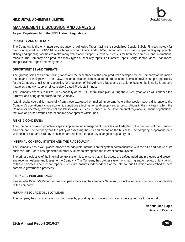

# **MANAGEMENT DISCUSSION AND ANALYSIS**

#### **As per Regulation 34 of the SEBI Listing Regulations**

## **INDUSTRY AND OUTLOOK:**

The Company is the only integrated producer of Adhesive Tapes having the specialized Double Bubble Film technology for producing specialized BOPP Adhesive Tapes with both Acrylic and Hot-Melt technology. It also has multiple printing equipments, slitting and spooling facilities to make many value added import substitute products for both the domestic and international markets. The Company also produces many types of specialty tapes like Filament Tapes, Carry Handle Tapes, Tear Tapes, Tamper evident Tapes and many more.

## **OPPORTUNITIES AND THREATS:**

The growing sales of Carton Sealing Tapes and the acceptance of the new products developed by the Company for the Indian market and as well growth in the FMCG sector in India for all manufactured products and services provides ample opportunity for the Company to utilize full capacities for production of Self Adhesive Tapes and be able to focus on building its Brand and Image as a quality supplier of Adhesive Coated Products in India.

The Company expects to utilize 100% capacity of the POF shrink films plant during the current year which will enhance the turnover and bring good profits to the Company.

Actual results could differ materially from those expressed or implied. Important factors that would make a difference to the Company's operations include economic conditions affecting demand- supply and price conditions in the markets in which the Company's operates, raw material availability and its prices, changes in the Governmental regulations, labour negotiations, tax laws and other statues and economic development within India.

#### **RISKS & CONCERNS:**

The Company is taking proactive steps in implementing management principles well adapted to the demands of the changing environment. The company has the policy of assessing the risk and managing the business. The company is operating on a well defined plan and strategy; hence we are equipped to face any change in regulatory risk.

## **INTERNAL CONTROL SYSTEM AND THEIR ADEQUACY:**

The Company has a well placed proper and adequate internal control system commensurate with the size and nature of its business. The Board has appointed Internal Auditors to strengthen the internal control system.

The primary objective of the internal control system is to ensure that all its assets are safeguarded and protected and prevent any revenue leakage and losses to the Company. The Company has proper system of checking and/or review of functioning of the employees. The present reporting structure ensures independence of the internal audit function and embodies best corporate governance practices.

#### **FINANCIAL PERFORMANCE:**

Please refer Director's Report for financial performance of the company. Segment/product wise performance is not applicable to the company.

#### **HUMAN RESOURCE DEVELOPMENT:**

The company has focus to retain its manpower by providing good working conditions thereby reduce turnover ratio.

**Madhusudan Bagla** Managing Director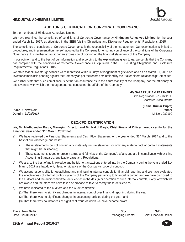

## **AUDITOR'S CERTIFICATE ON CORPORATE GOVERNANCE**

To the members of Hindustan Adhesives Limited

We have examined the compliance of conditions of Corporate Governance by **Hindustan Adhesives Limited,** for the year ended March 31, 2017, as stipulated in the SEBI (Listing Obligations and Disclosure Requirements) Regulations, 2015.

The compliance of conditions of Corporate Governance is the responsibility of the management. Our examination is limited to procedures, and implementation thereof, adopted by the Company for ensuring compliance of the conditions of the Corporate Governance. It is neither an audit nor an expression of opinion on the financial statements of the Company.

In our opinion, and to the best of our information and according to the explanations given to us, we certify that the Company has complied with the conditions of Corporate Governance as stipulated in the SEBI (Listing Obligations and Disclosure Requirements) Regulations, 2015.

We state that all investor grievances were redressed within 30 days of lodgement of grievance and as on March 31, 2017 no investor complaint is pending against the Company as per the records maintained by the Stakeholders Relationship Committee.

We further state that such compliance is neither an assurance as to the future viability of the Company, nor the efficiency or effectiveness with which the management has conducted the affairs of the Company

**M/s SALARPURIA & PARTNERS**

Firm Registration No.-302113E Chartered Accountants

**(Kamal Kumar Gupta) Place : New Delhi** Partner **Partner** Partner **Partner Partner Partner Partner Dated : 21/08/2017** M. No. : 089190

## **CEO/CFO CERTIFICATION**

**We, Mr. Madhusudan Bagla, Managing Director and Mr. Nakul Bagla, Chief Financial Officer hereby certify for the Financial year ended 31st March, 2017 that:**

- a) We have reviewed the Financial Statements and Cash Flow Statement for the year ended 31<sup>st</sup> March, 2017 and to the best of our knowledge and belief:
	- i. These statements do not contain any materially untrue statement or omit any material fact or contain statements that might be misleading;
	- ii. These statements together present a true and fair view of the Company's affairs and are in compliance with existing Accounting Standards, applicable Laws and Regulations.
- b) We are, to the best of my knowledge and belief; no transactions entered into by the Company during the year ended  $31<sup>st</sup>$ March, 2017 are fraudulent, illegal or violative of the Company's code of conduct.
- c) We accept responsibility for establishing and maintaining internal controls for financial reporting and We have evaluated the effectiveness of internal control systems of the Company pertaining to financial reporting and we have disclosed to the auditors and the audit committee, deficiencies in the design or operation of such internal controls, if any, of which we are aware and the steps we have taken or propose to take to rectify these deficiencies.
- d) We have indicated to the auditors and the Audit committee
	- (1) That there was no significant changes in internal control over financial reporting during the year;
	- (2) That there was no significant changes in accounting policies during the year; and
	- (3) That there was no instances of significant fraud of which we have become aware.

**Place : New Delhi Sd/- Sd/- Date : 21/08/2017 Date : 21/08/2017 Managing Director** Chief Financial Officer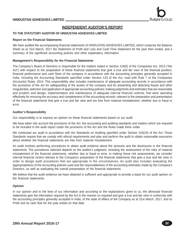# **INDEPENDENT AUDITOR'S REPORT**

## **TO THE STATUTORY AUDITOR OF HINDUSTAN ADHESIVES LIMITED**

#### **Report on the Financial Statements**

We have audited the accompanying financial statements of HINDUSTAN ADHESIVES LIMITED**,** which comprise the Balance Sheet as at 31st March, 2017 the Statement of Profit and Loss and Cash Flow Statement for the year then ended, and a summary of the significant accounting policies and other explanatory information.

#### **Management's Responsibility for the Financial Statements**

The Company's Board of Directors is responsible for the matters stated in Section 134(5) of the Companies Act, 2013 ("the Act") with respect to the preparation of these financial statements that give a true and fair view of the financial position, financial performance and cash flows of the company in accordance with the accounting principles generally accepted in India, including the Accounting Standards specified under Section 133 of the Act, read with Rule 7 of the Companies (Accounts) Rules, 2014. This responsibility also includes maintenance of adequate accounting records in accordance with the provisions of the Act for safeguarding of the assets of the company and for preventing and detecting frauds and other irregularities; selection and application of appropriate accounting policies; making judgments and estimates that are reasonable and prudent; and design, implementation and maintenance of adequate internal financial controls, that were operating effectively for ensuring the accuracy and completeness of the accounting records, relevant to the preparation and presentation of the financial statements that give a true and fair view and are free from material misstatement, whether due to fraud or error.

#### **Auditor's Responsibility**

Our responsibility is to express an opinion on these financial statements based on our audit.

We have taken into account the provisions of the Act, the accounting and auditing standards and matters which are required to be included in the audit report under the provisions of the Act and the Rules made there under.

We conducted our audit in accordance with the Standards on Auditing specified under Section 143(10) of the Act. Those Standards require that we comply with ethical requirements and plan and perform the audit to obtain reasonable assurance about whether the financial statements are free from material misstatement.

An audit involves performing procedures to obtain audit evidence about the amounts and the disclosures in the financial statements. The procedures selected depend on the auditor's judgment, including the assessment of the risks of material misstatement of the financial statements, whether due to fraud or error. In making those risk assessments, we consider internal financial control relevant to the Company's preparation of the financial statements that give a true and fair view in order to design audit procedures that are appropriate in the circumstances. An audit also includes evaluating the appropriateness of the accounting policies used and the reasonableness of the accounting estimates made by the Company's Directors, as well as evaluating the overall presentation of the financial statements.

We believe that the audit evidence we have obtained is sufficient and appropriate to provide a basis for our audit opinion on the financial statements.

#### **Opinion**

In our opinion and to the best of our information and according to the explanations given to us, the aforesaid financial statements give the information required by the Act in the manner so required and give a true and fair view in conformity with the accounting principles generally accepted in India, of the state of affairs of the Company as at 31st March, 2017, and its Profit and its cash flow for the year ended on that date.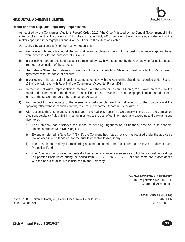

#### **Report on Other Legal and Regulatory Requirements**

- I. As required by the Companies (Auditor's Report) Order, 2016 ("the Order"), issued by the Central Government of India in terms of sub-section(11) of section 143 of the Companies Act, 2013, we give in the Annexure A, a statement on the matters specified in paragraphs 3 and 4 of the Order, to the extent applicable.
- II. As required by Section 143(3) of the Act, we report that:
	- a) We have sought and obtained all the information and explanations which to the best of our knowledge and belief were necessary for the purposes of our audit.
	- b) In our opinion, proper books of account as required by law have been kept by the Company so far as it appears from our examination of those books.
	- c) The Balance Sheet, the Statement of Profit and Loss and Cash Flow Statement dealt with by this Report are in agreement with the books of account.
	- d) In our opinion, the aforesaid financial statements comply with the Accounting Standards specified under Section 133 of the Act, read with Rule 7 of the Companies (Accounts) Rules, 2014.
	- e) on the basis of written representations received from the directors as on 31 March, 2016 taken on record by the board of directors none of the director is disqualified as on 31 March 2016 for being appointment as a director in terms of the section 164(2) of the Companies Act,2013.
	- f) With respect to the adequacy of the internal financial controls over financial reporting of the Company and the operating effectiveness of such controls, refer to our separate Report in " Annexure B".
	- g) With respect to the other matters to be included in the Auditor's Report in accordance with Rule 11 of the Companies (Audit and Auditors) Rules, 2014, in our opinion and to the best of our information and according to the explanations given to us:
		- i) The Company has disclosed the impact of pending litigations on its financial position in its financial statements(Refer Note No. Y (B) (1)
		- ii) Except as referred in Note No. Y (B) (2), the Company has made provision, as required under the applicable law or Accounting Standards, for material foreseeable losses, if any.
		- iii) There has been no delay in transferring amounts, required to be transferred, to the Investor Education and Protection Fund.
		- iv) The Company has provided requisite disclosures in its financial statements as to holdings as well as dealings in Specified Bank Notes during the period from 08.11.2016 to 30.12.2016 and the same are in accordance with the books of accounts maintained by the Company.

**For SALARPURIA & PARTNERS** Firm Registration No. 302113E Chartered Accountants

**(KAMAL KUMAR GUPTA)**

Place : 1008, Chiranjiv Tower, 43, Nehru Place, New Delhi-110019 **PARTNER** Date : 30.05.2017 M. No.: 089190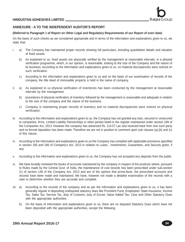# **ANNEXURE - A TO THE INDEPENDENT AUDITOR'S REPORT**

## **(Referred to Paragraph 1 of Report on Other Legal and Regulatory Requirements of our Report of even date)**

On the basis of such checks as we considered appropriate and in terms of the information and explanations given to us, we state that:

- i. a) The Company has maintained proper records showing full particulars, including quantitative details and situation of fixed assets.
	- b) As explained to us, fixed assets are physically verified by the management at reasonable intervals, in a phased verification programme, which, in our opinion, is reasonable, looking to the size of the Company and the nature of its business. According to the information and explanations given to us, no material discrepancies were noticed on such verification.
	- c) According to the information and explanations given to us and on the basis of our examination of records of the company, the title deed of immovable property is held in the name of company.
- ii. a) As explained to us physical verification of inventories has been conducted by the management at reasonable intervals by the management.
	- b) procedures of physical verification of inventory followed by the management is reasonable and adequate in relation to the size of the company and the nature of the business.
	- c) Company is maintaining proper records of inventory and no material discrepancies were noticed on physical verification.
- iii. According to the information and explanations given to us, the Company has not granted any loan, secured or unsecured to companies, firms, Limited Liability Partnerships or other parties listed in the register maintained under section 189 of the Companies Act, 2013. However the company has advanced Rs. 114.57 Lac and received back from one such party and no formal stipulation has been made. Therefore we are not in position to comment upon sub clauses (a),(b) and (c) of this clause.
- iv. According to the information and explanations given to us the Company has complied with applicable provisions specified in section 185 and 186 of Company's Act, 2013 in relation to Loans , Investments, Guarantees, and Security given, if any.
- v. According to the information and explanations given to us, the Company has not accepted any deposits from the public.
- vi. We have broadly reviewed the books of accounts maintained by the company in respect of the products where, pursuant to Rules made by the Central Govt. of India, the maintenance of cost records has been prescribed under sub-section (1) of section 148 of the Company Act, 2013 and are of the opinion that prima-facie, the prescribed accounts and records have been made and maintained. We have, however not made a detailed examination of the records with a view to determine whether they are accurate and complete.
- vii. a) According to the records of the company and as per the information and explanations given to us, it has been generally regular in depositing undisputed statutory dues like Provident Fund, Employees' State Insurance, Income Tax, Sales Tax, Service Tax, duty of Customs, duty of Excise, Value Added Tax, Cess and Other Statutory Dues with the appropriate authorities.
	- b) On the basis of information and explanations given to us, there are no disputed Statutory Dues which have not been deposited with the appropriate authorities, except the following: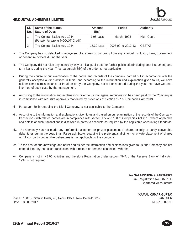

| SI.<br>No. I | Name of the Statue/<br><b>Nature of Dues</b>                      | Amount<br>(Rs) | <b>Period</b>      | <b>Authority</b> |
|--------------|-------------------------------------------------------------------|----------------|--------------------|------------------|
|              | The Central Excise Act, 1944<br>(Penalty for wrong MODVAT Credit) | $1.95$ Lacs    | March, 1998        | High Court.      |
| -2.          | The Central Excise Act, 1944                                      | 15.39 Lacs     | 2008-09 to 2012-13 | I CESTAT         |

- viii. The Company has no defaulted in repayment of any loan or borrowing from any financial institution, bank, government or debenture holders during the year.
- ix. The Company did not raise any money by way of initial public offer or further public offer(including debt instrument) and term loans during the year. Thus paragraph 3(ix) of the order is not applicable.
- x. During the course of our examination of the books and records of the company, carried out in accordance with the generally accepted audit practices in India, and according to the information and explanation given to us, we have neither come across instance of fraud on or by the Company, noticed or reported during the year, nor have we been informed of such case by the management.
- xi. According to the information and explanations given to us managerial remuneration has been paid by the Company is in compliance with requisite approvals mandated by provisions of Section 197 of Companies Act 2013.
- xii. Paragraph 3(xii) regarding the Nidhi Company, is not applicable to the Company.
- xiii. According to the information and explanations given to us and based on our examination of the records of the Company, transactions with related parties are in compliance with section 177 and 188 of Companies Act 2013 where applicable and details of such transactions is disclosed in notes to accounts as required by the applicable Accounting Standards.
- xiv. The Company has not made any preferential allotment or private placement of shares or fully or partly convertible debentures during the year, thus, Paragraph 3(xiv) regarding the preferential allotment or private placement of shares or fully or partly convertible debentures is not applicable to the company.
- xv. To the best of our knowledge and belief and as per the information and explanations given to us, the Company has not entered into any non-cash transaction with directors or persons connected with him.
- xvi. Company is not in NBFC activities and therefore Registration under section 45-IA of the Reserve Bank of India Act, 1934 is not required.

**For SALARPURIA & PARTNERS** Firm Registration No. 302113E Chartered Accountants

Place: 1008, Chiranjiv Tower, 43, Nehru Place, New Delhi-110019 PARTNER Date : 30.05.2017 M. No.: 089190

**(KAMAL KUMAR GUPTA)**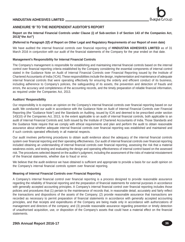

## **ANNEXURE 'B' TO THE INDEPENDENT AUDITOR'S REPORT**

## **Report on the Internal Financial Controls under Clause (i) of Sub-section 3 of Section 143 of the Companies Act, 2013("the Act")**

#### **(Referred to Paragraph 2(f) of Report on Other Legal and Regulatory Requirements of our Report of even date)**

We have audited the internal financial controls over financial reporting of **HINDUSTAN ADHESIVES LIMITED** as of 31 March 2016 in conjunction with our audit of the financial statements of the Company for the year ended on that date.

#### **Management's Responsibility for Internal Financial Controls**

The Company's management is responsible for establishing and maintaining internal financial controls based on the internal control over financial reporting criteria established by the Company considering the essential components of internal control stated in the Guidance Note on Audit of Internal Financial Controls over Financial Reporting issued by the Institute of Chartered Accountants of India ('ICAI). These responsibilities include the design, implementation and maintenance of adequate internal financial controls that were operating effectively for ensuring the orderly and efficient conduct of its business, including adherence to Company's policies, the safeguarding of its assets, the prevention and detection of frauds and errors, the accuracy and completeness of the accounting records, and the timely preparation of reliable financial information, as required under the Companies Act, 2013.

#### **Auditors' Responsibility**

Our responsibility is to express an opinion on the Company's internal financial controls over financial reporting based on our audit. We conducted our audit in accordance with the Guidance Note on Audit of Internal Financial Controls over Financial Reporting (the "Guidance Note") and the Standards on Auditing, issued by ICAI and deemed to be prescribed under section 143(10) of the Companies Act, 2013, to the extent applicable to an audit of internal financial controls, both applicable to an audit of Internal Financial Controls and, both issued by the Institute of Chartered Accountants of India. Those Standards and the Guidance Note require that we comply with ethical requirements and plan and perform the audit to obtain reasonable assurance about whether adequate internal financial controls over financial reporting was established and maintained and if such controls operated effectively in all material respects.

Our audit involves performing procedures to obtain audit evidence about the adequacy of the internal financial controls system over financial reporting and their operating effectiveness. Our audit of internal financial controls over financial reporting included obtaining an understanding of internal financial controls over financial reporting, assessing the risk that a material weakness exists, and testing and evaluating the design and operating effectiveness of internal control based on the assessed risk. The procedures selected depend on the auditor's judgment, including the assessment of the risks of material misstatement of the financial statements, whether due to fraud or error.

We believe that the audit evidence we have obtained is sufficient and appropriate to provide a basis for our audit opinion on the Company's internal financial controls system over financial reporting.

#### **Meaning of Internal Financial Controls over Financial Reporting**

A Company's internal financial control over financial reporting is a process designed to provide reasonable assurance regarding the reliability of financial reporting and the preparation of financial statements for external purposes in accordance with generally accepted accounting principles. A Company's internal financial control over financial reporting includes those policies and procedures that (1) pertain to the maintenance of records that, in reasonable detail, accurately and fairly reflect the transactions and dispositions of the assets of the Company; (2) provide reasonable assurance that transactions are recorded as necessary to permit preparation of financial statements in accordance with generally accepted accounting principles, and that receipts and expenditures of the Company are being made only in accordance with authorizations of management and directors of the company; and (3) provide reasonable assurance regarding prevention or timely detection of unauthorised acquisition, use, or disposition of the Company's assets that could have a material effect on the financial statements.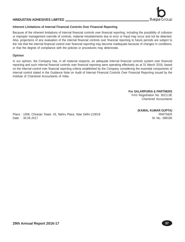

#### **Inherent Limitations of Internal Financial Controls Over Financial Reporting**

Because of the inherent limitations of internal financial controls over financial reporting, including the possibility of collusion or improper management override of controls, material misstatements due to error or fraud may occur and not be detected. Also, projections of any evaluation of the internal financial controls over financial reporting to future periods are subject to the risk that the internal financial control over financial reporting may become inadequate because of changes in conditions, or that the degree of compliance with the policies or procedures may deteriorate.

#### **Opinion**

In our opinion, the Company has, in all material respects, an adequate internal financial controls system over financial reporting and such internal financial controls over financial reporting were operating effectively as at 31 March 2016, based on the internal control over financial reporting criteria established by the Company considering the essential components of internal control stated in the Guidance Note on Audit of Internal Financial Controls Over Financial Reporting issued by the Institute of Chartered Accountants of India.

> **For SALARPURIA & PARTNERS** Firm Registration No. 302113E Chartered Accountants

Place: 1008, Chiranjiv Tower, 43, Nehru Place, New Delhi-110019 PARTNER Date : 30.05.2017 M. No.: 089190

**(KAMAL KUMAR GUPTA)**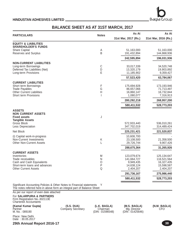# **BALANCE SHEET AS AT 31ST MARCH, 2017**

| <b>PARTICULARS</b>                                                                                                                                     | <b>Notes</b>                       | As At                                                               | As At                                                                 |
|--------------------------------------------------------------------------------------------------------------------------------------------------------|------------------------------------|---------------------------------------------------------------------|-----------------------------------------------------------------------|
|                                                                                                                                                        |                                    | 31st Mar, 2017 (Rs.)                                                | 31st Mar, 2016 (Rs.)                                                  |
| <b>EQUITY &amp; LIABILITIES</b><br><b>SHAREHOLDER'S FUNDS</b><br><b>Share Capital</b>                                                                  | A                                  | 51,163,000                                                          | 51,163,000                                                            |
| Reserves and Surplus                                                                                                                                   | B                                  | 191,432,894                                                         | 144,868,936                                                           |
|                                                                                                                                                        |                                    | 242,595,894                                                         | 196,031,936                                                           |
| <b>NON-CURRENT LIABILITIES</b><br>Long-term Borrowings<br>Deferred Tax Liabilities (Net)<br>Long-term Provisions                                       | $\mathsf C$<br>$\overline{D}$<br>E | 33,017,339<br>13,320,179<br>11,185,902                              | 34,520,748<br>19,903,892<br>9,359,427                                 |
|                                                                                                                                                        |                                    | 57,523,420                                                          | 63,784,067                                                            |
| <b>CURRENT LIABILITIES</b><br>Short term Borrowings<br><b>Trade Payables</b><br><b>Other Current Liabilities</b><br><b>Short term Provisions</b>       | F<br>G<br>Η<br>$\overline{1}$      | 175,694,928<br>86,657,066<br>16,860,147<br>1,080,077<br>280,292,218 | 173,193,946<br>71,713,497<br>16,732,844<br>7,316,913<br>268,957,200   |
|                                                                                                                                                        |                                    | 580,411,532                                                         | 528,773,203                                                           |
| <b>ASSETS</b><br><b>NON CURRENT ASSETS</b><br><b>Fixed assets</b><br><b>Tangible Assets</b><br>Gross Block<br>Less Depreciation                        | J                                  | 572,933,440<br>347,702,019                                          | 536,010,261<br>314,489,424                                            |
| Net Block                                                                                                                                              |                                    | 225,231,421                                                         | 221,520,837                                                           |
| (i) Capital work-in-progress<br>Non-Current Investments<br><b>Other Non-Current Assets</b>                                                             | Κ<br>Г                             | 10,608,700<br>23,108,500<br>29,726,744                              | 21,358,500<br>9,907,426                                               |
|                                                                                                                                                        |                                    | 288,675,364                                                         | 31,265,926                                                            |
| <b>CURRENT ASSETS</b><br>Inventories<br>Trade receivables<br>Cash and Cash Equivalents<br>Short-term loans and advances<br><b>Other Current Assets</b> | M<br>N<br>O<br>$\sf P$<br>Q        | 123,079,674<br>141,664,727<br>9,949,435<br>14,638,124<br>2,404,207  | 125, 134, 647<br>116,521,564<br>16,327,435<br>15,598,587<br>2,404,207 |
|                                                                                                                                                        |                                    | 291,736,167                                                         | 275,986,440                                                           |
|                                                                                                                                                        |                                    | 580,411,532                                                         | 528,773,203                                                           |
| Significant Accounting Policies & Other Notes to Financial statements<br>The notes referred here-in above form an integral part of Balance Sheet       | Y                                  |                                                                     |                                                                       |

As per our report of even date attached

For **SALARPURIA & PARTNERS** Firm Registration No.-302113E Chartered Accountants

**(Kamal Kumar Gupta) (S.S. DUA) (L.K. BAGLA) (M.S. BAGLA) (N.M. BAGLA)** Partner Company Secretary Chairman Mg. Director CFO Partner Capture Company Secretary Chairman (DIN : 01596548) Mg. Director<br>M. No. : 089190 (DIN : 01596548) (DIN : 01425646)

Place: New Delhi Date : 30.05.2017

**29th Annual Report 2016-17 38**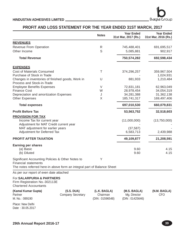

# **PROFIT AND LOSS STATEMENT FOR THE YEAR ENDED 31ST MARCH, 2017**

|                                                                                                                                                            |                                 | <b>Notes</b>                                | <b>Year Ended</b><br>31st Mar, 2017 (Rs.)       | <b>Year Ended</b><br>31st Mar, 2016 (Rs.) |
|------------------------------------------------------------------------------------------------------------------------------------------------------------|---------------------------------|---------------------------------------------|-------------------------------------------------|-------------------------------------------|
| <b>REVENUES</b>                                                                                                                                            |                                 |                                             |                                                 |                                           |
| Revenue From Operation                                                                                                                                     |                                 | R                                           | 745,488,401                                     | 691,695,517                               |
| Other Income                                                                                                                                               |                                 | S                                           | 5,085,881                                       | 902,917                                   |
| <b>Total Revenue</b>                                                                                                                                       |                                 |                                             | 750,574,282                                     | 692,598,434                               |
| <b>EXPENSES</b>                                                                                                                                            |                                 |                                             |                                                 |                                           |
| <b>Cost of Materials Consumed</b>                                                                                                                          |                                 | т                                           | 374,296,257                                     | 359,967,504                               |
| Purchase of Stock in Trade                                                                                                                                 |                                 |                                             |                                                 | 1,024,931                                 |
| Changes in inventories of finished goods, Work in<br>Process and Stock-in-Trade                                                                            |                                 | U                                           | 881,933                                         | 1,210,484                                 |
| <b>Employee Benefits Expenses</b>                                                                                                                          |                                 | V                                           | 72,831,181                                      | 62,963,049                                |
| <b>Finance Cost</b>                                                                                                                                        |                                 | W                                           | 28,978,454                                      | 34,054,319                                |
| Depreciation and amortization Expenses                                                                                                                     |                                 | J                                           | 34,281,388                                      | 31,362,138                                |
| <b>Other Expenses</b>                                                                                                                                      |                                 | X                                           | 185,741,317                                     | 169,497,406                               |
| <b>Total expenses</b>                                                                                                                                      |                                 |                                             | 697,010,530                                     | 660,079,831                               |
| <b>Profit Before Tax</b>                                                                                                                                   |                                 |                                             | 53,563,752                                      | 32,518,603                                |
| <b>PROVISION FOR TAX</b><br>Income Tax for current year<br>Adjustment for MAT Credit current year                                                          |                                 |                                             | (11,000,000)                                    | (13,750,000)                              |
| MAT adjustment for earlier years<br>Adjustment for Deferred Tax                                                                                            |                                 |                                             | (37, 587)<br>6,583,713                          | 2,439,988                                 |
| <b>PROFIT AFTER TAXATION</b>                                                                                                                               |                                 |                                             | 49,109,877                                      | 21,208,591                                |
| <b>Earning per shares</b>                                                                                                                                  |                                 |                                             |                                                 |                                           |
| (a) Basic                                                                                                                                                  |                                 |                                             | 9.60                                            | 4.15                                      |
| (b) Diluted                                                                                                                                                |                                 |                                             | 9.60                                            | 4.15                                      |
| Significant Accounting Policies & Other Notes to<br><b>Financial statements</b><br>The notes referred here-in above form an integral part of Balance Sheet |                                 | Υ                                           |                                                 |                                           |
|                                                                                                                                                            |                                 |                                             |                                                 |                                           |
| As per our report of even date attached                                                                                                                    |                                 |                                             |                                                 |                                           |
| For SALARPURIA & PARTNERS<br>Firm Registration No.-302113E<br><b>Chartered Accountants</b>                                                                 |                                 |                                             |                                                 |                                           |
| (Kamal Kumar Gupta)<br>Partner<br>M. No.: 089190                                                                                                           | (S.S. DUA)<br>Company Secretary | (L.K. BAGLA)<br>Chairman<br>(DIN: 01596548) | (M.S. BAGLA)<br>Mg. Director<br>(DIN: 01425646) | (N.M. BAGLA)<br><b>CFO</b>                |
| Place: New Delhi                                                                                                                                           |                                 |                                             |                                                 |                                           |

Place: New Delhi Date : 30.05.2017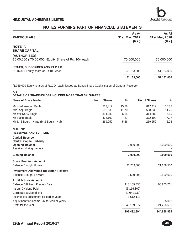# **NOTES FORMING PART OF FINANCIAL STATEMENTS**

| <b>PARTICULARS</b>                                  | As At<br>31st Mar, 2017<br>(Rs.) | As At<br>31st Mar, 2016<br>(Rs.) |
|-----------------------------------------------------|----------------------------------|----------------------------------|
| NOTE 'A'                                            |                                  |                                  |
| <b>SHARE CAPITAL</b>                                |                                  |                                  |
| (AUTHORISED)                                        |                                  |                                  |
| 70,00,000 (70,00,000) Equity Share of Rs. 10/- each | 70,000,000                       | 70,000,000                       |
| <b>ISSUED, SUBSCRIBED AND PAID UP</b>               |                                  |                                  |
| 51,16,300 Equity share of Rs.10/- each              | 51,163,000                       | 51,163,000                       |
|                                                     | 51,163,000                       | 51,163,000                       |
|                                                     |                                  |                                  |

(1,029,000 Equity shares of Rs.10/- each, issued as Bonus Share Capitalisation of General Reserve)

#### **A-1**

### **DETAILS OF SHAREHOLDER HOLDING MORE THAN 5% SHARES:**

| Name of Share holder                    | No. of Shares | $\frac{0}{0}$ | No. of Shares | %     |
|-----------------------------------------|---------------|---------------|---------------|-------|
| Mr. Madhusudan Bagla                    | 812.419       | 15.88         | 812.419       | 15.88 |
| Mrs. Anju Bagla                         | 598.630       | 11.70         | 598,630       | 11.70 |
| Master Dhruy Bagla                      | 314.580       | 6.15          | 314,580       | 6.15  |
| Mr. Nakul Bagla                         | 372.100       | 7.27          | 372.100       | 7.27  |
| Mr. M S Bagla - Karta (M S Bagla - Huf) | 269,250       | 5.26          | 269,250       | 5.26  |

#### **NOTE 'B' RESERVES AND SURPLUS**

| <b>Capital Reserve</b><br><b>Central Capital Subsidy</b> |               |             |
|----------------------------------------------------------|---------------|-------------|
| <b>Opening Balance</b><br>Received during the year       | 3,000,000     | 3,000,000   |
| <b>Closing Balance</b>                                   | 3,000,000     | 3,000,000   |
| <b>Share Premium Account</b>                             |               |             |
| <b>Balance Brought Forward</b>                           | 21,259,500    | 21,259,500  |
| <b>Investment Allowance Utilization Reserve</b>          |               |             |
| <b>Balance Brought Forward</b>                           | 2,500,000     | 2,500,000   |
| <b>Profit &amp; Loss Account</b>                         |               |             |
| Balance B/F From Previous Year                           | 118,109,436   | 96,805,761  |
| Intrem Dividend Paid                                     | (5, 116, 300) |             |
| Corporate Dividend Tax                                   | (1,041,732)   |             |
| Income Tax adjustment for earlier years                  | 3,612,113     |             |
| Adjustment for income Tax for earlier years              |               | 95,083      |
| Profit for the year                                      | 49,109,877    | 21,208,591  |
|                                                          | 191,432,894   | 144,868,935 |
|                                                          |               |             |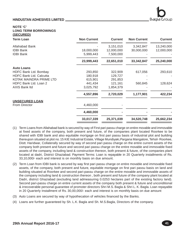

# **NOTE 'C' LONG TERM BORROWINGS (SECURED)**

| <b>Term Loan</b>                     | <b>Non Current</b>      | <b>Current</b>          | <b>Non Current</b> | <b>Current</b> |
|--------------------------------------|-------------------------|-------------------------|--------------------|----------------|
| <b>Allahabad Bank</b>                |                         | 3,151,010               | 3,342,847          | 13,240,000     |
| <b>IDBI Bank</b><br><b>IDBI Bank</b> | 18,000,000<br>5,999,443 | 12,000,000<br>7,500,000 | 30,000,000         | 12,000,000     |
|                                      | 23,999,443              | 22,651,010              | 33,342,847         | 25,240,000     |
| <b>Auto Loans</b>                    |                         |                         |                    |                |
| <b>HDFC Bank Ltd. Bombay</b>         | 293,850                 | 322,909                 | 617,056            | 293,610        |
| <b>HDFC Bank Ltd. Calcutta</b>       | 180,918                 | 129,727                 |                    |                |
| KOTAK MAINDRA PRIME LTD              | 615,901                 | 291,853                 |                    |                |
| HDFC Bank Ltd. Loan 2                | 441,434                 | 121,161                 | 560,845            | 128,624        |
| <b>AXIS Bank Itd</b>                 | 3,025,792               | 1,854,379               |                    |                |
|                                      | 4,557,896               | 2,720,029               | 1,177,901          | 422,234        |
| <b>UNSECURED LOAN</b>                |                         |                         |                    |                |
| From Director                        | 4,460,000               |                         |                    |                |
|                                      | 4,460,000               |                         |                    |                |
|                                      | 33,017,339              | 25,371,039              | 34,520,748         | 25,662,234     |
|                                      |                         |                         |                    |                |

- (1) Term Loans from Allahabad bank is secured by way of First pari passu charge on entire movable and immovable at fixed assets of the company, both present and future, of the companies plant located Roorkee to be shared with IDBI bank and also equitable mortgage on first pari passu basis of industrial plot and building thereupon situated at plot no. 15 KIE Industrial Estate, Village Mundiyaki,Pargana Mangalore, Tehsil- Roorkee, Distt. Haridwar, Collaterally secured by way of second pari passu charge on the entire current assets of the company both present and future and second pari passu charge on the entire movable and immovable fixed assets of the company, including land & construction thereon, both present & future, of the companies plant located at dadri, District Ghaziabad. Payment Terms: Loan is repayable in 20 Quarterly installments of Rs. 33,10,000/- each and interest is on monthly basis on due amount.
- (2) Term Loan from IDBI bank is secured by way first pari passu charge on entire movable and immovable fixed assets, of the company, both present and future, equitable mortgage on first pari passu basis on land and building situated at Roorkee and second pari-passu charge on the entire movable and immovable assets of the company including land & construction thereon , both present and future of the company plant located at Dadri, district Ghaziabad (excluding land admeasuring 0.0253 hectares part of the existing factory land). Second pari-passu charge on entire current assets of the company both present & future and unconditional & irrecoverable personal guarantee of promoter directors Shri M.S. Bagla & Shri L. K. Bagla. Loan repayable in 20 Quarterly Installment of Rs. 30,00,000/- each and interest is on monthly basis on due amount
- (3) Auto Loans are secured by way of hypothecation of vehicles financed by the Banks.
- (4) Loans are further guaranteed by Sh. L.K. Bagla and Sh. M.S.Bagla, Directors of the company.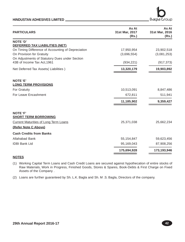| <b>PARTICULARS</b>                                                            | As At<br>31st Mar, 2017<br>(Rs.) | As At<br>31st Mar, 2016<br>(Rs.) |
|-------------------------------------------------------------------------------|----------------------------------|----------------------------------|
| NOTE 'D'<br>DEFERRED TAX LIABILITIES (NET)                                    |                                  |                                  |
| On Timing Difference of Accounting of Depreciation                            | 17,950,954                       | 23,902,518                       |
| On Provision for Gratuity                                                     | (3,696,554)                      | (3,081,253)                      |
| On Adjustments of Statutory Dues under Section<br>43B of Income Tax Act, 1961 | (934, 221)                       | (917, 373)                       |
| Net Deferred Tax Assets (Liabilities)                                         | 13,320,179                       | 19,903,892                       |
| NOTE 'E'<br><b>LONG TERM PROVISIONS</b>                                       |                                  |                                  |
| For Gratuity                                                                  | 10,513,091                       | 8,847,486                        |
| For Leave Encashment                                                          | 672,811                          | 511,941                          |
|                                                                               |                                  |                                  |
|                                                                               | 11,185,902                       | 9,359,427                        |
| NOTE 'F'<br><b>SHORT TERM BORROWING</b>                                       |                                  |                                  |
| <b>Current Maturities of Long Term Loans</b>                                  | 25,371,038                       | 25,662,234                       |
| (Refer Note C Above)                                                          |                                  |                                  |
| <b>Cash Credits from Banks</b>                                                |                                  |                                  |
| <b>Allahabad Bank</b>                                                         | 55,154,847                       | 59,623,456                       |
| <b>IDBI Bank Ltd</b>                                                          | 95,169,043                       | 87,908,256                       |
|                                                                               | 175,694,928                      | 173,193,946                      |

# **NOTES**

(1) Working Capital Term Loans and Cash Credit Loans are secured against hypothecation of entire stocks of Raw Materials, Work in Progress, Finished Goods, Stores & Spares, Book-Debts & First Charge on Fixed Assets of the Company .

(2) Loans are further guaranteed by Sh. L.K. Bagla and Sh. M .S. Bagla, Directors of the company.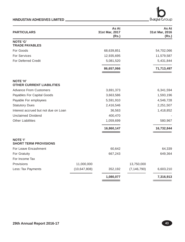

| <b>PARTICULARS</b>                                  |                | As At<br>31st Mar, 2017<br>(Rs.) |               | As At<br>31st Mar, 2016<br>(Rs.) |
|-----------------------------------------------------|----------------|----------------------------------|---------------|----------------------------------|
| NOTE 'G'<br><b>TRADE PAYABLES</b>                   |                |                                  |               |                                  |
| For Goods                                           |                | 68,639,851                       |               | 54,702,066                       |
| For Services                                        |                | 12,935,695                       |               | 11,579,587                       |
| For Deferred Credit                                 |                | 5,081,520                        |               | 5,431,844                        |
|                                                     |                | 86,657,066                       |               | 71,713,497                       |
| <b>NOTE 'H'</b><br><b>OTHER CURRENT LIABILITIES</b> |                |                                  |               |                                  |
| <b>Advance From Customers</b>                       |                | 3,691,373                        |               | 6,341,594                        |
| Payables For Capital Goods                          |                | 3,663,586                        |               | 1,593,196                        |
| Payable For employees                               |                | 5,591,910                        |               | 4,546,728                        |
| <b>Statutory Dues</b>                               |                | 2,416,546                        |               | 2,251,507                        |
| Interest accrued but not due on Loan                |                | 36,563                           |               | 1,418,852                        |
| <b>Unclaimed Dividend</b>                           |                | 400,470                          |               |                                  |
| <b>Other Liabilities</b>                            |                | 1,059,699                        |               | 580,967                          |
|                                                     |                | 16,860,147                       |               | 16,732,844                       |
| <b>NOTE 'I'</b><br><b>SHORT TERM PROVISIONS</b>     |                |                                  |               |                                  |
| For Leave Encashment                                |                | 60,642                           |               | 64,339                           |
| For Gratuity                                        |                | 667,243                          |               | 649,364                          |
| For Income Tax                                      |                |                                  |               |                                  |
| Provisions                                          | 11,000,000     |                                  | 13,750,000    |                                  |
| Less: Tax Payments                                  | (10, 647, 808) | 352,192                          | (7, 146, 790) | 6,603,210                        |
|                                                     |                | 1,080,077                        |               | 7,316,913                        |
|                                                     |                |                                  |               |                                  |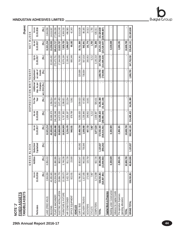| 29th Annual Report 2016-17 | 44 |
|----------------------------|----|
|                            |    |

| FIXED ASSETS<br><b>NOTE'J'</b>                 |                                |                            |                           |                             |                                |                              |                            |                          |                                |                                                    |                     |
|------------------------------------------------|--------------------------------|----------------------------|---------------------------|-----------------------------|--------------------------------|------------------------------|----------------------------|--------------------------|--------------------------------|----------------------------------------------------|---------------------|
| <b>TANGIBLEASSETS</b>                          |                                |                            |                           |                             |                                |                              |                            |                          |                                |                                                    | (Rupees)            |
|                                                |                                | ပာ<br>ROS:<br>G            | <b>BLOCK</b>              |                             | $\sim$                         |                              | EPRECIATION WRITTENOF      | щ                        |                                | <b>NET</b>                                         | <b>BLOCK</b>        |
| <b>Particulars</b>                             | 31.03.2016<br>As on            | Addition                   | Capitalized<br>Deduction/ | As on<br>31.03.2017         | Ason<br>31.03.2016             | For the<br>Year              | Additional<br>dep. As per  | on sale of<br>Adjustment | Up to<br>31.03.2017            | As on<br>31.03.2017                                | 31.03.2016<br>As on |
|                                                | (Rs.)                          | (Rs.)                      | (Rs.)                     | (Rs.)                       | (Rs.)                          | (Rs.)                        | Company<br>act, 2013 (Rs.) | Assets<br>(Rs.)          | (Rs.)                          | (Rs.)                                              | (Rs.)               |
| AND (FREE HOLD)                                | 2,664,804                      | 8,856,410                  |                           | 11,521,214                  |                                |                              |                            |                          |                                | 11,521,214                                         | 2,664,804           |
| BUILDING                                       | 45,305,045                     |                            |                           | 45,305,045                  | 30,688,978                     | 1,356,514                    |                            |                          | 32,045,492                     | 13,259,553                                         | 14,616,067          |
| PLANT & MACHINERY                              | 424,004,082                    | 11,880,386                 |                           | 435,884,468                 | 246,148,046                    | 24,322,705                   |                            |                          | 270,470,751                    | 165,413,717                                        | 177,856,036         |
| ELECTRIC INSTALLATION                          | 29,884,778                     | 983,917                    |                           | 30,868,695                  | 14,673,535                     | 2,671,403                    |                            |                          | 17,344,938                     | 13,523,757                                         | 15,211,243          |
| FURNITURE & FIXTURE                            | 13,156,673                     | 3,748,236                  |                           | 16,904,909                  | 6,787,363                      | 2,288,821                    |                            |                          | 9,076,184                      | 7,828,725                                          | 6,369,310           |
| AIR CONDITIONER                                | 2,422,752                      | 811,726                    |                           | 3,234,478                   | 1,926,187                      | 212,254                      |                            |                          | 2,138,441                      | 1,096,037                                          | 496,565             |
| OFFICE EQUIPMENT                               | 922,031                        | 23,500                     |                           | 945,531                     | 879,788                        | 5,561                        |                            |                          | 885,349                        | 60,182                                             | 42,243              |
| <b>VEHICLES</b>                                |                                |                            |                           |                             |                                |                              |                            |                          |                                |                                                    |                     |
| CAR'S/BUS                                      | 12,766,261                     | 10,063,547                 | 363,082                   | 22,466,726                  | 9,250,635                      | 2,834,615                    |                            | 329,889                  | 11,755,361                     | 10,711,365                                         | 3,515,626           |
| DELIVERY TRUCKS                                | 1,327,005                      | 942,000                    | 759,945                   | 1,509,060                   | 1,238,840                      | 67,083                       |                            | 738,904                  | 567,019                        | 942,041                                            | 88,165              |
| <b>SCOOTERS</b>                                | 273,965                        | 133,758                    |                           | 407,723                     | 249,952                        | 16,001                       |                            |                          | 265,953                        | 141,770                                            | 24,013              |
| <b>CYCLE'S</b>                                 | 7,967                          |                            |                           | 7,967                       | 6,212                          |                              |                            |                          | 6,212                          | 1,755                                              | 1,755               |
| <b>COMPUTERS</b>                               | 3,274,898                      | 602,726                    |                           | 3,877,624                   | 2,639,887                      | 506,431                      |                            |                          | 3,146,318                      | 731,306                                            | 635,011             |
| <b>TOTAL</b>                                   | (523, 857, 881)<br>536,010,261 | 38,046,206<br>(13,008,582) | 1,123,027<br>(856,202)    | 536,010,261)<br>572,933,440 | (283, 858, 194)<br>314.489.423 | 34,281,388<br>(31, 362, 138) |                            | (730, 908)<br>1,068,793  | 347,702,018<br>(314, 489, 424) | $(221, 520, 837)$ $(239, 999, 687)$<br>225,231,422 | 221,520,838         |
| <b>Capital Work in Progress</b>                |                                |                            |                           |                             |                                |                              |                            |                          |                                |                                                    |                     |
| Building under Construction                    |                                | 8,339,509                  |                           | 8,339,509                   |                                |                              |                            |                          |                                | 8,339,509                                          |                     |
| Advance for Capital Goods                      |                                |                            |                           |                             |                                |                              |                            |                          |                                |                                                    |                     |
| Pre-operative Expenses<br>(pending allocation) |                                | 2,269,191                  |                           | 2,269,191                   |                                |                              |                            |                          |                                | 2,269,191                                          |                     |
| <b>TOTAL</b>                                   |                                | 10,608,700                 |                           | 10,608,700                  |                                |                              |                            |                          |                                | 10,608,700                                         |                     |
| <b>GRAND TOTAL</b>                             | 536,010,261                    | 48,654,906                 | 1,123,027                 | 583,542,139                 | 314,489,423                    | 34,281,388                   |                            | 1,068,793                | 347,702,018                    | 235,840,121                                        | 221,520,838         |
|                                                |                                |                            |                           |                             |                                |                              |                            |                          |                                |                                                    |                     |

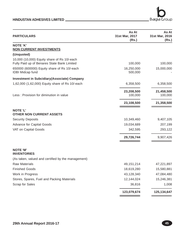| <b>NOTE 'K'</b><br><b>NON CURRENT INVESTMENTS</b><br>(Unquoted)<br>10,000 (10,000) Equity share of Rs 10/-each<br>Fully Paid up of Benares State Bank Limited<br>100,000<br>650000 (600000) Equity share of Rs 10/-each<br>16,250,000<br><b>IDBI</b> Midcap fund<br>500,000<br><b>Investment in Subcidiary(Associate) Company</b><br>1,62,000 (1,62,000) Equity share of Rs 10/-each<br>6,358,500<br>23,208,500<br>Less: Provision for diminution in value<br>100,000<br>23,108,500<br><b>NOTE 'L'</b><br><b>OTHER NON CURRENT ASSETS</b><br><b>Security Deposits</b><br>10,349,460<br>Advance for Capital Goods<br>19,034,689<br>VAT on Capital Goods<br>342,595<br>29,726,744<br>NOTE 'M'<br><b>INVENTORIES</b> | As At<br>As At<br>31st Mar, 2017<br>31st Mar, 2016<br>(Rs.)<br>(Rs.) |
|-------------------------------------------------------------------------------------------------------------------------------------------------------------------------------------------------------------------------------------------------------------------------------------------------------------------------------------------------------------------------------------------------------------------------------------------------------------------------------------------------------------------------------------------------------------------------------------------------------------------------------------------------------------------------------------------------------------------|----------------------------------------------------------------------|
|                                                                                                                                                                                                                                                                                                                                                                                                                                                                                                                                                                                                                                                                                                                   |                                                                      |
|                                                                                                                                                                                                                                                                                                                                                                                                                                                                                                                                                                                                                                                                                                                   |                                                                      |
|                                                                                                                                                                                                                                                                                                                                                                                                                                                                                                                                                                                                                                                                                                                   | 100,000                                                              |
|                                                                                                                                                                                                                                                                                                                                                                                                                                                                                                                                                                                                                                                                                                                   | 15,000,000                                                           |
|                                                                                                                                                                                                                                                                                                                                                                                                                                                                                                                                                                                                                                                                                                                   |                                                                      |
|                                                                                                                                                                                                                                                                                                                                                                                                                                                                                                                                                                                                                                                                                                                   | 6,358,500                                                            |
|                                                                                                                                                                                                                                                                                                                                                                                                                                                                                                                                                                                                                                                                                                                   | 21,458,500<br>100,000                                                |
|                                                                                                                                                                                                                                                                                                                                                                                                                                                                                                                                                                                                                                                                                                                   | 21,358,500                                                           |
|                                                                                                                                                                                                                                                                                                                                                                                                                                                                                                                                                                                                                                                                                                                   |                                                                      |
|                                                                                                                                                                                                                                                                                                                                                                                                                                                                                                                                                                                                                                                                                                                   | 9,407,105                                                            |
|                                                                                                                                                                                                                                                                                                                                                                                                                                                                                                                                                                                                                                                                                                                   | 207,199                                                              |
|                                                                                                                                                                                                                                                                                                                                                                                                                                                                                                                                                                                                                                                                                                                   | 293,122                                                              |
|                                                                                                                                                                                                                                                                                                                                                                                                                                                                                                                                                                                                                                                                                                                   | 9,907,426                                                            |
|                                                                                                                                                                                                                                                                                                                                                                                                                                                                                                                                                                                                                                                                                                                   |                                                                      |
| (As taken, valued and certified by the management)                                                                                                                                                                                                                                                                                                                                                                                                                                                                                                                                                                                                                                                                |                                                                      |
| <b>Raw Materials</b><br>49, 151, 214                                                                                                                                                                                                                                                                                                                                                                                                                                                                                                                                                                                                                                                                              | 47,221,897                                                           |
| <b>Finished Goods</b><br>18,619,280                                                                                                                                                                                                                                                                                                                                                                                                                                                                                                                                                                                                                                                                               | 15,580,881                                                           |
| Work in Progress<br>43,128,340                                                                                                                                                                                                                                                                                                                                                                                                                                                                                                                                                                                                                                                                                    | 47,084,480                                                           |
| Stores, Spares, Fuel and Packing Materials<br>12,144,024                                                                                                                                                                                                                                                                                                                                                                                                                                                                                                                                                                                                                                                          | 15,246,381                                                           |
| Scrap for Sales<br>36,816                                                                                                                                                                                                                                                                                                                                                                                                                                                                                                                                                                                                                                                                                         | 1,008                                                                |
| 123,079,674                                                                                                                                                                                                                                                                                                                                                                                                                                                                                                                                                                                                                                                                                                       | 125,134,647                                                          |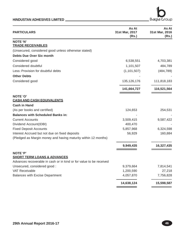

| <b>PARTICULARS</b>                                                              | As At<br>31st Mar, 2017<br>(Rs.) | As At<br>31st Mar, 2016<br>(Rs.) |
|---------------------------------------------------------------------------------|----------------------------------|----------------------------------|
| <b>NOTE 'N'</b><br><b>TRADE RECEIVABLES</b>                                     |                                  |                                  |
| (Unsecured, considered good unless otherwise stated)                            |                                  |                                  |
| <b>Debts Due Over Six month</b>                                                 |                                  |                                  |
| Considered good                                                                 | 6,538,551                        | 4,703,381                        |
| Considered doubtful                                                             | 1,101,507                        | 484,789                          |
| Less: Provision for doubtful debts                                              | (1, 101, 507)                    | (484, 789)                       |
| <b>Other Debts</b>                                                              |                                  |                                  |
| Considered good                                                                 | 135, 126, 176                    | 111,818,183                      |
|                                                                                 | 141,664,727                      | 116,521,564                      |
| NOTE 'O'<br><b>CASH AND CASH EQUIVALENTS</b>                                    |                                  |                                  |
| <b>Cash in Hand</b>                                                             |                                  |                                  |
| (As per books and certified)                                                    | 124,653                          | 254,531                          |
| <b>Balances with Scheduled Banks in:</b>                                        |                                  |                                  |
| <b>Current Accounts</b>                                                         | 3,509,415                        | 9,587,422                        |
| Dividend Account(IDBI)                                                          | 400,470                          |                                  |
| <b>Fixed Deposit Accounts</b><br>Interest Accrued but not due on fixed deposits | 5,857,968<br>56,929              | 6,324,598<br>160,884             |
| (Pledged as Margin money and having maturity within 12 months)                  |                                  |                                  |
|                                                                                 | 9,949,435                        | 16,327,435                       |
| <b>NOTE 'P'</b><br><b>SHORT TERM LOANS &amp; ADVANCES</b>                       |                                  |                                  |
| Advances recoverable in cash or in kind or for value to be received             |                                  |                                  |
| Unsecured, considered good:                                                     | 9,379,664                        | 7,814,541                        |
| <b>VAT Receivable</b>                                                           | 1,200,590                        | 27,218                           |
| <b>Balances with Excise Department</b>                                          | 4,057,870                        | 7,756,828                        |
|                                                                                 | 14,638,124                       | 15,598,587                       |
|                                                                                 |                                  |                                  |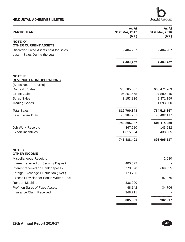| <b>PARTICULARS</b>                                                                   | As At<br>31st Mar, 2017<br>(Rs.) | As At<br>31st Mar, 2016<br>(Rs.) |
|--------------------------------------------------------------------------------------|----------------------------------|----------------------------------|
| NOTE 'Q'                                                                             |                                  |                                  |
| <u>OTHER CURRENT ASSETS</u><br>Discarded Fixed Assets held for Sales                 | 2,404,207                        |                                  |
| Less :- Sales During the year                                                        |                                  | 2,404,207                        |
|                                                                                      | 2,404,207                        | 2,404,207                        |
| NOTE 'R'                                                                             |                                  |                                  |
| <u>REVENUE FROM OPERATIONS</u>                                                       |                                  |                                  |
| [Sales Net of Returns]<br><b>Domestic Sales</b>                                      | 720,785,057                      | 663,471,263                      |
| <b>Export Sales</b>                                                                  | 95,851,455                       | 97,580,345                       |
| <b>Scrap Sales</b>                                                                   | 3,153,836                        | 2,371,159                        |
| <b>Trading Goods</b>                                                                 |                                  | 1,093,600                        |
| <b>Total Sales</b>                                                                   | 819,790,348                      | 764,516,367                      |
| Less Excise Duty                                                                     | 78,984,961                       | 73,402,117                       |
|                                                                                      | 740,805,387                      | 691,114,250                      |
| Job Work Receipts                                                                    | 367,680                          | 143,232                          |
| <b>Export incentives</b>                                                             | 4,315,334                        | 438,035                          |
|                                                                                      | 745,488,401                      | 691,695,517                      |
| <b>NOTE 'S'</b>                                                                      |                                  |                                  |
| <b>OTHER INCOME</b>                                                                  |                                  |                                  |
| Miscellaneous Receipts                                                               |                                  | 2,080                            |
| Interest received on Security Deposit                                                | 400,572                          |                                  |
| Interest received on Bank deposits                                                   | 778,670                          | 669,055                          |
| Foreign Exchange Fluctuation (Net)<br><b>Excess Provision for Bonus Written Back</b> | 3,173,786                        |                                  |
| Rent on Machine                                                                      | 336,000                          | 197,076                          |
| Profit on Sales of Fixed Assets                                                      | 48,142                           | 34,706                           |
| Insurance Claim Received                                                             | 348,711                          |                                  |
|                                                                                      | 5,085,881                        | 902,917                          |
|                                                                                      |                                  |                                  |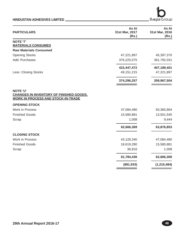

| <b>PARTICULARS</b>                                                                                             | As At<br>31st Mar, 2017<br>(Rs.) | As At<br>31st Mar, 2016<br>(Rs.) |
|----------------------------------------------------------------------------------------------------------------|----------------------------------|----------------------------------|
| <b>NOTE 'T'</b>                                                                                                |                                  |                                  |
| <b>MATERIALS CONSUMED</b>                                                                                      |                                  |                                  |
| <b>Raw Materials Consumed</b>                                                                                  |                                  |                                  |
| <b>Opening Stocks</b>                                                                                          | 47,221,897                       | 45,397,370                       |
| Add: Purchases                                                                                                 | 376,225,575                      | 361,792,031                      |
|                                                                                                                | 423,447,472                      | 407,189,401                      |
| Less : Closing Stocks                                                                                          | 49, 151, 215                     | 47,221,897                       |
|                                                                                                                | 374,296,257                      | 359,967,504                      |
| <b>NOTE 'U'</b><br><b>CHANGES IN INVENTORY OF FINISHED GOODS.</b><br><b>WORK IN PROCESS AND STOCK-IN-TRADE</b> |                                  |                                  |
| <b>OPENING STOCK</b>                                                                                           |                                  |                                  |
| Work in Process                                                                                                | 47,084,480                       | 50,365,864                       |
| <b>Finished Goods</b><br>Scrap                                                                                 | 15,580,881<br>1,008              | 13,501,545<br>9,444              |
|                                                                                                                | 62,666,369                       | 63,876,853                       |
| <b>CLOSING STOCK</b>                                                                                           |                                  |                                  |
| <b>Work in Process</b>                                                                                         | 43,128,340                       | 47,084,480                       |
| <b>Finished Goods</b>                                                                                          | 18,619,280                       | 15,580,881                       |
| Scrap                                                                                                          | 36,816                           | 1,008                            |
|                                                                                                                | 61,784,436                       | 62,666,369                       |
|                                                                                                                | (881, 933)                       | (1, 210, 484)                    |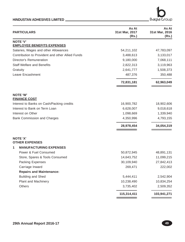| As At<br>31st Mar, 2016<br>(Rs.) | As At<br>31st Mar, 2017<br>(Rs.) | <b>PARTICULARS</b>                                   |
|----------------------------------|----------------------------------|------------------------------------------------------|
|                                  |                                  | <b>NOTE 'V'</b><br><b>EMPLOYEE BENEFITS EXPENSES</b> |
| 47,783,097                       | 54,211,102                       | Salaries, Wages and other Allowances                 |
| 3,133,017                        | 3,488,613                        | Contribution to Provident and other Allied Funds     |
| 7,068,111                        | 9,180,000                        | Director's Remuneration                              |
| 3,119,963                        | 2,822,313                        | <b>Staff Welfare and Benefits</b>                    |
| 1,508,373                        | 2,641,777                        | Gratuity                                             |
| 350,488                          | 487,376                          | Leave Encashment                                     |
| 62,963,049                       | 72,831,181                       |                                                      |
|                                  |                                  | <b>NOTE 'W'</b>                                      |
|                                  |                                  | <b>FINANCE COST</b>                                  |
| 18,902,606                       | 16,900,782                       | Interest to Banks on Cash/Packing credits            |
| 9,018,618                        | 6,628,007                        | Interest to Bank on Term Loan                        |
| 1,339,940                        | 1,098,669                        | Interest on Other                                    |
| 4,793,155                        | 4,350,996                        | Bank Commission and Charges                          |
| 34,054,319                       | 28,978,454                       |                                                      |
|                                  |                                  | <b>NOTE 'X'</b><br><b>OTHER EXPENSES</b>             |
|                                  |                                  | 1<br><b>MANUFACTURING EXPENSES</b>                   |
| 48,891,131                       | 50,872,945                       | Power & Fuel Consumed                                |
| 11,099,215                       | 14,643,752                       | Store, Spares & Tools Consumed                       |
| 27,842,413                       | 30,109,940                       | Packing Expenses                                     |
| 222,002                          | 269,471                          | Carriage Inward                                      |
|                                  |                                  | <b>Repairs and Maintenance:</b>                      |
| 2,542,904                        | 5,444,411                        | <b>Building and Shed</b>                             |
| 10,834,254                       | 10,238,490                       | Plant and Machinery                                  |
| 2,509,352                        | 3,735,402                        | <b>Others</b>                                        |
| 103,941,271                      | 115,314,411                      |                                                      |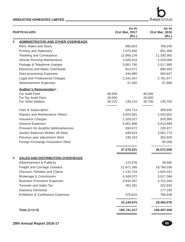| Bagla Group |
|-------------|

| <b>PARTICULARS</b>                                                   | As At<br>31st Mar, 2017<br>(Rs.) | As At<br>31st Mar, 2016<br>(Rs.) |
|----------------------------------------------------------------------|----------------------------------|----------------------------------|
| $\overline{\mathbf{2}}$<br><b>ADMINISTRATIVE AND OTHER OVERHEADS</b> |                                  |                                  |
| Rent, Rates and Taxes                                                | 960,824                          | 789,240                          |
| <b>Printing and Stationery</b>                                       | 1,073,492                        | 851,356                          |
| Traveling and Conveyance                                             | 12,066,134                       | 11,335,582                       |
| Vehicle Running Maintenance                                          | 2,926,419                        | 2,229,008                        |
| Postage & Telephone charges                                          | 3,951,790                        | 3,517,990                        |
| Electricity and Water Overheads                                      | 813,071                          | 880,493                          |
| Data processing Expenses                                             | 444,890                          | 665,627                          |
| Legal and Professional Charges                                       | 2,241,047                        | 2,781,977                        |
| <b>Advertisement Expenses</b>                                        | 21,492                           | 67,660                           |
| Auditor's Remuneration :                                             |                                  |                                  |
| For Audit Fees<br>For Tax Audit Fees                                 | 80,000<br>20,000                 | 80,000                           |
| <b>For Other Matters</b>                                             | 39,215<br>139,215                | 20,000<br>35,700<br>135,700      |
| Fees & Subscription                                                  | 624,714                          | 309,645                          |
| Repairs and Maintenance Others                                       | 3,503,581                        | 2,442,652                        |
| Insurance Charges                                                    | 1,329,527                        | 920,995                          |
| <b>General Expenses</b>                                              | 5,901,986                        | 5,413,699                        |
| Provision for doubtful debts/advances                                | 690,672                          | 220,977                          |
| Sundry Balances Written off (Net)                                    | 449,924                          | 3,061,774                        |
| Previous year adjustment (Net)                                       | 138,153                          | 352,626                          |
| Foreign Exchange Fluctuation (Net)                                   |                                  | 95,058                           |
|                                                                      | 37,276,931                       | 36,072,059                       |
| 3<br><b>SALES AND DISTRIBUTION OVERHEADS</b>                         |                                  |                                  |
| Advertisement & Publicity                                            | 123,476                          | 39,480                           |
| Freight and Carriage Outward                                         | 21,871,345                       | 18,766,336                       |
| Discount, Rebates and Claims                                         | 1,132,724                        | 1,625,441                        |
| Brokerage & Commission                                               | 4,349,072                        | 3,017,346                        |
| <b>Business Promotion Expenses</b>                                   | 4,844,267                        | 4,751,044                        |
| Turnover and Sales Tax                                               | 452,281                          | 322,632                          |
| <b>Statutory Demands</b>                                             |                                  | 177,159                          |
| Exhibition & Conference Expenses                                     | 376,810                          | 784,638                          |
|                                                                      | 33,149,975                       | 29,484,076                       |
| Total (1+2+3)                                                        | 185,741,317                      | 169,497,406                      |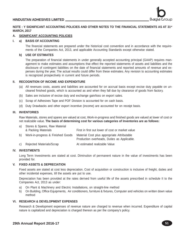

# **NOTE : Y SIGNIFICANT ACCOUNTING POLICIES AND OTHER NOTES TO THE FINANCIAL STATEMENTS AS AT 31st MARCH, 2017**

### **A. SIGNIFICANT ACCOUNTING POLICIES**

#### **I. a) BASIS OF ACCOUNTING**

The financial statements are prepared under the historical cost convention and in accordance with the requirements of the Companies Act, 2013, and applicable Accounting Standards except otherwise stated.

### **b) USE OF ESTIMATES**

The preparation of financial statements in under generally accepted accounting principal (GAAP) requires management to make estimates and assumptions that effect the reported statements of assets and liabilities and the disclosure of contingent liabilities on the date of financial statements and reported amounts of revenue and expenses during the year. The actual results could differ from these estimates. Any revision to accounting estimates is recognized prospectively in current and future periods.

#### **II. RECOGNITION OF INCOME AND EXPENDITURE**

- (a) All revenues costs, assets and liabilities are accounted for on accrual basis except excise duty payable on uncleared finished goods, which is accounted as and when they fall due by clearance of goods from factory.
- (b) Sales are inclusive of excise duty and exchange gain/loss on export sales.
- (c) Scrap of Adhesives Tape and POF Division is accounted for on cash basis.
- (d) Duty Drawbacks and other export incentive (income) are accounted for on receipt basis.

#### **III. INVENTORIES**

Raw Materials, stores and spares are valued at cost, Work-in-progress and finished goods are valued at lower of cost or net realizable value. **The basis of determining cost for various categories of Inventories are as follows:**

|    | a) Stores & Spares, Raw Material<br>& Packing Materials | First in first out lower of cost or market value                                           |
|----|---------------------------------------------------------|--------------------------------------------------------------------------------------------|
| b) | Work-in-progress & Finished Goods                       | Material Cost plus appropriate Attributable<br>Production overheads, Duties as Applicable. |
| C) | Rejected Materials/Scrap                                | At estimated realizable Value                                                              |

#### **IV. INVESTMENTS**

Long Term Investments are stated at cost. Diminution of permanent nature in the value of investments has been provided for.

#### **V. FIXED ASSETS & DEPRECIATION**

Fixed assets are stated at cost less depreciation. Cost of acquisition or construction is inclusive of freight, duties and other incidental expenses, till the assets are put to use.

Depreciation has been provided at the rates derived from useful life of the assets prescribed in schedule II to the Companies Act, 2013 as under:

- a) On Plant & Machinery and Electric Installations, on straight-line method
- b) On Building, Office Equipments, Air conditioners, furniture & fixtures, Computer and vehicles on written down value method

### **VI. RESEARCH & DEVELOPMENT EXPENSES**

Research & Development expenses of revenue nature are charged to revenue when incurred. Expenditure of capital nature is capitalized and depreciation is charged thereon as per the company's policy.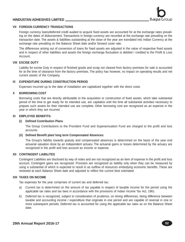

#### **VII FOREIGN CURRENCY TRANSACTIONS**

Foreign currency loans/deferred credit availed to acquire fixed assets are accounted for at the exchange rates prevailing on the dates of disbursement. Transactions in foreign currency are recorded at the exchange rate prevailing on the transaction date. The assets & liabilities outstanding at the close of the year are translated into Indian Currency at the exchange rate prevailing on the Balance Sheet date and/or forward cover rate.

The differences arising out of conversion of loans for fixed assets are adjusted in the value of respective fixed assets and in respect of other liabilities and assets the foreign exchange fluctuation is debited / credited to the Profit & Loss Account.

#### **VIII EXCISE DUTY**

Liability for excise Duty in respect of finished goods and scrap not cleared from factory premises for sale is accounted for at the time of clearance from the factory premises. The policy has however, no impact on operating results and net current assets of the Company.

#### **IX EXPENDITURE DURING CONSTRUCTION PERIOD**

Expenses incurred up to the date of installation are capitalized together with the direct costs.

#### **X BORROWING COST**

Borrowing costs that are directly attributable to the acquisition or construction of fixed assets, which take substantial period of the time to get ready for its intended use, are capitalize until the time all substantial activities necessary to prepare such assets for their intended use are complete. Other borrowing cost are recognized as an expense in the year in which they are incurred.

#### **XI EMPLOYEE BENEFITS:**

#### **(i) Defined Contribution Plans**

The Group Contributions to the Provident Fund and Superannuation Fund are charged to the profit and loss accounts

#### **(ii) Defined Benefit plan/ long term Compensated Absences:**

The Group's liability towards gratuity and compensated absences is determined on the basis of the year end actuarial valuation done by an independent actuary. The actuarial gains or losses determined by the actuary are recognized in the profit and loss account as income or expense.

## **XII CONTINGENT LIABILITES**

Contingent Liabilities are disclosed by way of notes and are not recognized as an item of expense in the profit and loss account. Contingent gains are recognized. Provision are recognized as liability only when they can be measured by using a substantial of which is expected to result in as outflow of resources embodying economic benefits. These are reviewed at each Balance Sheet date and adjusted to reflect the current best estimated.

## **XIII TAXES ON INCOME**

Tax expenses for the year comprises of current tax and deferred tax.

- a) Current tax is determined on the amount of tax payable in respect of taxable income for the period using the applicable tax rates and tax laws in accordance with the provisions of Indian income Tax Act, 1961.
- b) Deferred tax is recognized, subject to consideration of prudence, on timing differences, being difference between taxable and accounting income / expenditure that originate in one period and are capable of reversal in one or more subsequent periods. Deferred tax is accounted for using the applicable tax rates as on the Balance Sheet date.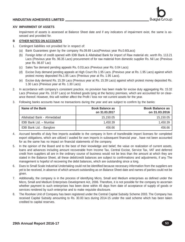

#### **XIV IMPAIRMENT OF ASSETS**

Impairment of assets is assessed at Balance Sheet date and if any indicators of impairment exist, the same is assessed and provided for.

### **B OTHER NOTES ON ACCOUNTS**

- 1. Contingent liabilities not provided for in respect of:
	- (a) Bank Guarantees given by the company Rs.09.69 Lacs(Previous year Rs.0.60Lacs)
	- (b) Foreign letter of credit opened with IDBI Bank & Allahabad Bank for import of Raw material etc. worth Rs. 113.21 Lacs (Previous year Rs. 96.35 Lacs) procurement of for raw material from domestic supplier Rs. Nil Lac (Previous year Rs. 96.87 Lac)
	- (c) Sales Tax demand pending appeals Rs**.** 0.01Lacs (Previous year Rs. 0.04 Lacs)
	- (d) Excise Duty demand pending appeals at High Court Rs 1.95 Lacs. (Previous year at Rs. 1.95 Lacs) against which protest money deposited Rs.1.95 Lacs (Previous year at Rs. 1.95 Lacs).
	- (e) Excise duty demand Rs. 15.39 Lacs (Previous year at Rs. 15.39 Lacs) against which protest money deposited Rs. 1.30 Lacs (Previous year at Rs. 1.30 Lacs)
- 2. In accordance with company's consistent practice, no provision has been made for excise duty aggregating Rs. 15.32 Lacs (Previous year Rs. 10.87 Lacs) on finished goods lying at the factory premises, which are accounted for on clearance thereof. However, this will neither affect the Profit / loss nor net current assets for the year.
- 3. Following banks accounts have no transactions during the year and are subject to confirm by the banks:

| Name of the Bank           | <b>Book Balance as</b><br>on 31.03.2017 | <b>Book Balance as</b><br>on 31.03.2016 |
|----------------------------|-----------------------------------------|-----------------------------------------|
| Allahabad Bank - Ahmedabad | 15,150.05                               | 15,150.05                               |
| IDBI Bank Ltd. - Mumbai    | 1.450.39                                | 1.450.39                                |
| IDBI Bank Ltd. - Banglore  | 456.66                                  | 456.66                                  |

- 4. Accrued benefits of duty free imports available to the company in form of transferable import licenses for completed export obligations, which are utilized / availed for own imports in subsequent financial year , have not been accounted for as the same has no impact on financial statements of the company.
- 5. In the opinion of the Board and to the best of their knowledge and belief, the value on realization of current assets, loans and advances including amount recoverable from Income Tax, Central Excise, Service Tax, VAT and deferred credit from suppliers all are in the ordinary course of business would not be less than the amount at which they are stated in the Balance Sheet, all these debit/credit balances are subject to confirmations and adjustments, if any. The management is hopeful of recovering the debit balances, which are outstanding since a long.
- 6. Dues to Small Scale Industrial Undertaking could not be identified because necessary information from the suppliers are yet to be received, in absence of which amount outstanding as on Balance Sheet date and names of parties could not be given.
- 7. Additionally, the company is in the process of identifying Micro, Small and Medium enterprises as defined under the Micro, Small and Medium Enterprises Development Act, 2006. Therefore, it is not possible for the company to ascertain whether payment to such enterprises has been done within 45 days from date of acceptance of supply of goods or services rendered by such enterprise and to make requisite disclosure.
- 8. The Roorkee Unit of Company has been registered under the Central Capital Subsidy Scheme 2003. The Company has received Capital Subsidy amounting to Rs. 30.00 lacs during 2014-15 under the said scheme which has been taken credited to capital reserves.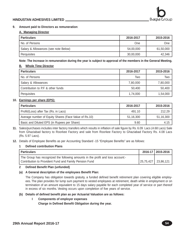## **9. Amount paid to Directors as remuneration**:

## **A. Managing Director**

| <b>Particulars</b>                   | 2016-2017 | 2015-2016 |
|--------------------------------------|-----------|-----------|
| l No. of Persons                     | One       | One       |
| Salary & Allowances (see note Below) | 54,00,000 | 61,50,000 |
| Perguisites                          | 30,00,000 | 42.346    |

**Note: The Increase in remuneration during the year is subject to approval of the members in the General Meeting.**

## **B. Whole Time Director**

| <b>Particulars</b>                | 2016-2017 | 2015-2016 |
|-----------------------------------|-----------|-----------|
| No. of Persons                    | Two       | Two       |
| Salary & Allowances               | 7,80,000  | 7,80,000  |
| Contribution to P.F & other funds | 50,400    | 50,400    |
| Perquisites                       | 1,74,000  | 1,54,000  |

### **10. Earnings per share (EPS):**

| <b>Particulars</b>                                    | 2016-2017 | 2015-2016 |
|-------------------------------------------------------|-----------|-----------|
| Profit/(Loss) after Tax (Rs. in Lacs)                 | 491.10    | 212.29    |
| Average number of Equity Shares (Face Value of Rs.10) | 51.16.300 | 51.16.300 |
| Basic and Diluted EPS (in Rupees per Share)           | 9.60      | 4.15      |

**11.** Sales/purchases includes inter factory transfers which results in inflation of sale figure by Rs. 6.09 Lacs (4.68 Lacs) Sale from Ghaziabad factory to Roorkee Factory and sale from Roorkee Factory to Ghaziabad Factory Rs. 4.08 Lacs (Rs. 5.97 Lacs).

**12.** Details of Employee Benefits as per Accounting Standard -15 "Employee Benefits" are as follows:

## **1 Defined contribution Plans**

| l Particulars                                                                   | 2016-17 2015-2016   |
|---------------------------------------------------------------------------------|---------------------|
| The Group has recognized the following amounts in the profit and loss account:- |                     |
| Contribution to Provident Fund and Family Pension Fund                          | 25,75,427 23,86,121 |

### **2 Defined Benefit Plan (unfunded)**

**(a) A General description of the employees Benefit Plan:**

The Company has obligation towards gratuity, a funded defined benefit retirement plan covering eligible employees. The plan provides for lump sum payment to vested employees at retirement, death while in employment or on termination of an amount equivalent to 15 days salary payable for each completed year of service or part thereof in excess of six months. Vesting occurs upon completion of five years of service.

### **(b) Details of defined benefit plan as per Actuarial Valuation are as follows:**

## **I Components of employer expenses**

**Charge in Defined Benefit Obligation during the year.**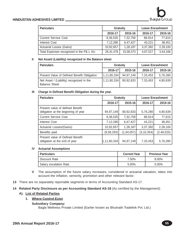| <b>Pariculars</b>                         | Gratuity  |           | <b>Leave Encashment</b> |          |
|-------------------------------------------|-----------|-----------|-------------------------|----------|
|                                           | 2016-17   | 2015-16   | 2016-17                 | 2015-16  |
| <b>Current Service Cost</b>               | 8,36,535  | 7,32,759  | 86.914                  | 77.615   |
| Interest Cost                             | 7,12,286  | 6.47.427  | 43.221                  | 38.451   |
| Actuarial Losses (Gains)                  | 10.92.657 | 1.28.187  | 3.37.392                | 2.28.100 |
| Total Expenses recognized in the P& L A/c | 26,41,478 | 15,08,373 | 4,67,527                | 3,44,166 |

### **II Net Asset/ (Liability) recognized in the Balance sheet**

| <b>Pariculars</b>                                                 | <b>Gratuity</b> |           | <b>Leave Encashment</b> |          |
|-------------------------------------------------------------------|-----------------|-----------|-------------------------|----------|
|                                                                   | 2016-17         | 2015-16   | 2016-17                 | 2015-16  |
| Present Value of Defined Benefit Obligation                       | 1,11,80,334     | 94.97.149 | 7.33.453                | 5.76.280 |
| Net Asset / (Liability) recognized in the<br><b>Balance Sheet</b> | 1,11,80,334     | 80.92.833 | 7,33,453                | 4,80,639 |

#### **III Charge in Defined Benefit Obligation during the year.**

| <b>Pariculars</b>                                                       | Gratuity       |            | <b>Leave Encashment</b> |              |
|-------------------------------------------------------------------------|----------------|------------|-------------------------|--------------|
|                                                                         | 2016-17        | 2015-16    | 2016-17                 | 2015-16      |
| Present value of defined Benefit<br>obligation at the beginning of year | 94,97,149      | 80,92,833  | 5,76,280                | 4,80,639     |
| <b>Current Service Cost</b>                                             | 8,36,535       | 7,32,759   | 86,914                  | 77,615       |
| Interest Cost                                                           | 7,12,286       | 6,47,427   | 43,221                  | 38,451       |
| Actuarial Losses/(Gains)                                                | 10,92,657      | 1,28,187   | 3,37,392                | 2,28,100     |
| Benefits paid                                                           | (9,58,293)     | (1,04,057) | (3, 10, 354)            | (2, 48, 525) |
| Present value of Defined Benefit<br>obligation at the end of year       | 1, 11, 80, 334 | 94,97,149  | 7,33,453                | 5,76,280     |

### **IV Actuarial Assumptions**

| <b>Particulars</b>     | <b>Current Year</b> | <b>Previous Year</b> |
|------------------------|---------------------|----------------------|
| Discount Rate          | 7.50%               | 8.00%                |
| Salary escalation Rate | 5.00%               | 5.00%                |

- **V** The assumption of the future salary increases, considered in actuarial valuation, takes into account the inflation, seniority, promotion and other relevant factor.
- **13** There are no separately reportable segments in terms of Accounting Standard AS-17.
- **14 Related Party Disclosure as per Accounting Standard AS-18** (As certified by the Management):

## **A). List of Related Parties**

#### **1. Where Control Exist**:

#### **Subsidiary Company:**

Bagla Wellness Private Limited (Earlier known as Bhutnath Tradelink Pvt. Ltd.)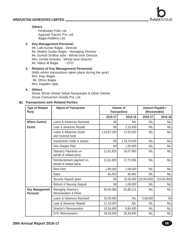

# **Others**

Hindustan Foils Ltd. Agarwal Tracom Pvt. Ltd. Bagla Polifilms Ltd.

# **2. Key Management Personal:**

Mr. Lalit Kumar Bagla - Director Mr. Madhu Sudan Bagla - Managing Director Mr. Suresh Sridhar Ajila - Whole time Director Mrs. Urmila Goenka - Whole time Director Mr. Nakul M Bagla - CFO

#### **3. Relative of Key Management Personnel** (With whom transactions taken place during the year) Mrs. Anju Bagla

 Mr. Dhruv Bagla Mrs. Gayathri Ajila

## **4. Others**

Shree Shree Ishwar Satya Narayanjee & Other Deities Surya Consumers Goods Pvt. Ltd.

# **B). Transactions with Related Parties:**

| <b>Type of Related</b><br>Party   | <b>Nature of Transaction</b>                           | Volume of<br><b>Transactions</b> |             |             | Amount Payable /<br>(Recoverable) |
|-----------------------------------|--------------------------------------------------------|----------------------------------|-------------|-------------|-----------------------------------|
|                                   |                                                        | 2016-17                          | 2015-16     | 2016-17     | 2015-16                           |
| <b>Where Control</b>              | Loans & Advances Received                              | Nil                              | <b>NIL</b>  | <b>NIL</b>  | <b>NIL</b>                        |
| <b>Exists</b>                     | Loan & advances Repaid                                 | Nil                              | 2,15,930    | <b>NIL</b>  | <b>NIL</b>                        |
|                                   | Loans & Advances Given<br>and received back            | 1,14,57,150                      | 17,00,000   | <b>NIL</b>  | <b>NIL</b>                        |
|                                   | Investments made in shares                             | Nil                              | 1,78,78,500 | <b>NIL</b>  | <b>NIL</b>                        |
|                                   | Hire charges Paid                                      | Nil                              | 1,30,000    | <b>NIL</b>  | <b>NIL</b>                        |
|                                   | Statutory Payments on<br>behalf of related party       | 11,61,829                        | 16,07,963   | <b>NIL</b>  | <b>NIL</b>                        |
|                                   | Reimbursement payment on<br>behalf of related party    | 11,61,829                        | 17,75,556   | <b>NIL</b>  | <b>NIL</b>                        |
|                                   | <b>Rent Paid</b>                                       | 1,80,000                         | 1,08,000    | <b>NIL</b>  | <b>NIL</b>                        |
|                                   | Sales                                                  | 64,453                           | 95,962      | <b>NIL</b>  | <b>NIL</b>                        |
|                                   | Security Deposit given                                 | Nil                              | 15,00,000   | (15,00,000) | (15,00,000)                       |
|                                   | Refund of Security Deposit                             | Nil                              | 1,08,000    | <b>NIL</b>  | <b>NIL</b>                        |
| <b>Key Management</b><br>Personal | Managing Director's<br><b>Remuneration &amp; Perks</b> | 84,00,000                        | 62,88,111   | <b>NIL</b>  | <b>NIL</b>                        |
|                                   | Loans & Advances Received                              | 32,05,000                        | <b>NIL</b>  | 2,09,000    | Nil                               |
|                                   | Loan & Advances Repaid                                 | 11,15,000                        | <b>NIL</b>  | <b>NIL</b>  | <b>NIL</b>                        |
|                                   | Director's Remuneration                                | 10,04,400                        | 9,84,400    | <b>NIL</b>  | <b>NIL</b>                        |
|                                   | <b>CFO Remuneration</b>                                | 28,28,000                        | 20,40,000   | <b>NIL</b>  | <b>NIL</b>                        |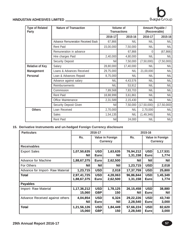

| <b>Type of Related</b><br>Party | <b>Nature of Transaction</b>       | Volume of<br><b>Transactions</b> |            |               | Amount Payable /<br>(Recoverable) |
|---------------------------------|------------------------------------|----------------------------------|------------|---------------|-----------------------------------|
|                                 |                                    | 2016-17                          | 2015-16    | 2016-17       | 2015-16                           |
|                                 | Advance Remuneration Received Back | 67,866                           | <b>NIL</b> | <b>NIL</b>    | <b>NIL</b>                        |
|                                 | <b>Rent Paid</b>                   | 15,00,000                        | 7,50,000   | <b>NIL</b>    | <b>NIL</b>                        |
|                                 | Remuneration in advance            |                                  | 67,866     | 0             | (67, 866)                         |
|                                 | Hire charges Paid                  | 2,40,000                         | 4,80,000   | <b>NIL</b>    | <b>NIL</b>                        |
|                                 | <b>Security Deposit</b>            | Nil                              | 7,50,000   | (7, 50, 000)  | (7,50,000)                        |
| <b>Relative of Key</b>          | Salary                             | 28,80,000                        | 17,40,000  | <b>NIL</b>    | <b>NIL</b>                        |
| <b>Management</b>               | Loans & Advances Received          | 29,75,000                        | <b>NIL</b> | 21,00,000     | <b>NIL</b>                        |
| Personal                        | Loan & Advances Repaid             | 8,75,000                         | <b>NIL</b> | <b>NIL</b>    | <b>NIL</b>                        |
|                                 | Advance against salary             | <b>NIL</b>                       | 4,43,576   | <b>NIL</b>    | <b>NIL</b>                        |
|                                 | Reimbursements                     | <b>NIL</b>                       | 53,912     | <b>NIL</b>    | <b>NIL</b>                        |
|                                 | Commission                         | 7,89,568                         | 7,83,703   | <b>NIL</b>    | <b>NIL</b>                        |
|                                 | <b>Rent Paid</b>                   | 18,88,999                        | 3,61,861   | <b>NIL</b>    | <b>NIL</b>                        |
|                                 | Office Maintenance                 | 2,31,589                         | 2,15,430   | <b>NIL</b>    | <b>NIL</b>                        |
|                                 | Security Deposit Given             | Nil                              | 7,50,000   | (17, 50, 000) | (17, 50, 000)                     |
| <b>Others</b>                   | Loan Received                      | 2,70,000                         | <b>NIL</b> | 2,70,000      | <b>NIL</b>                        |
|                                 | <b>Sales</b>                       | 1,54,135                         | <b>NIL</b> | (1, 49, 346)  | <b>NIL</b>                        |
|                                 | <b>Rent Paid</b>                   | Nil                              | 24,000     | <b>NIL</b>    | <b>NIL</b>                        |

# **15. Derivative Instruments and un-hedged Foreign Currency disclosure**

| <b>Particulars</b>               |                            | 2016-17                             |                      | 2015-16                 |                    |                                     |
|----------------------------------|----------------------------|-------------------------------------|----------------------|-------------------------|--------------------|-------------------------------------|
|                                  | Rs.                        | Value in Foreign<br><b>Currency</b> |                      | Rs.                     |                    | Value in Foreign<br><b>Currency</b> |
| <b>Receivables</b>               |                            |                                     |                      |                         |                    |                                     |
| <b>Export Sales</b>              | 1,07,50,635<br><b>Nil</b>  | <b>USD</b><br>Euro                  | 1,63,635<br>Nil      | 76,94,212<br>1,31,158   | <b>USD</b><br>Euro | 1,17,531<br>1,774                   |
| Advance for Machine              | 1,88,67,375                | Euro                                | 2,62,500             | Nil                     | <b>Nil</b>         | Nil                                 |
| For Others                       | <b>Nil</b>                 | Nil                                 | <b>Nil</b>           | 1,23,715                | <b>USD</b>         | 2,018                               |
| Advance for Import- Raw Material | 1,23,715                   | <b>USD</b>                          | 2,018                | 17,37,759               | <b>USD</b>         | 25,800                              |
| <b>Total</b>                     | 2,97,41,725<br>1,88,67,375 | <b>USD</b><br>Euro                  | 4,28,063<br>2,62,500 | 96,86,844<br>1,31,158   | <b>USD</b><br>Euro | 1,45,349<br>1,774                   |
| <b>Payables</b>                  |                            |                                     |                      |                         |                    |                                     |
| Import- Raw Material             | 1,17,36,212<br>15,060      | <b>USD</b><br><b>GBP</b>            | 1,78,125<br>150      | 26,15,458<br><b>Nil</b> | <b>USD</b><br>Euro | 38,880<br>Nil                       |
| Advance Received against others  | 4,04,854<br><b>Nil</b>     | <b>USD</b><br>Euro                  | 6,324<br>Nil         | 29,22,226<br>2,28,540   | <b>USD</b><br>Euro | 43,740<br>3,000                     |
| <b>Total</b>                     | 1,21,56,126<br>15,060      | <b>USD</b><br><b>GBP</b>            | 1,84,449<br>150      | 57,66,224<br>2,28,540   | <b>USD</b><br>Euro | 82,620<br>3,000                     |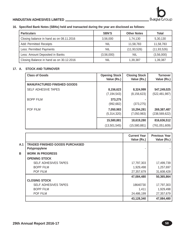# **16. Specified Bank Notes (SBNs) held and transacted during the year are disclosed as follows:**

| <b>Particulars</b>                       | <b>SBN'S</b> | <b>Other Notes</b> | Total         |
|------------------------------------------|--------------|--------------------|---------------|
| Closing balance in hand as on 08.11.2016 | 3,56,000     | 1,74,130           | 5,30,130      |
| Add: Permitted Receipts                  | <b>NIL</b>   | 11,58,783          | 11,58,783     |
| Less: Permitted Payments                 | <b>NIL</b>   | (11, 93, 526)      | (11, 93, 526) |
| Less: Amount Deposited in Banks          | (3,56,000)   | <b>NIL</b>         | (3,56,000)    |
| Closing Balance in hand as on 30.12.2016 | <b>NIL</b>   | 1,39,387           | 1,39,387      |

# **17. A. STOCK AND TURNOVER**

| <b>Class of Goods</b>              | <b>Opening Stock</b><br>Value (Rs.) | <b>Closing Stock</b><br>Value (Rs.) | <b>Turnover</b><br>Value (Rs.) |
|------------------------------------|-------------------------------------|-------------------------------------|--------------------------------|
| <b>MANUFACTURED FINISHED GOODS</b> |                                     |                                     |                                |
| <b>SELF ADHESIVE TAPES</b>         | 8,156,623                           | 8,324,999                           | 547,249,025                    |
|                                    | (7, 194, 543)                       | (8, 156, 623)                       | (522, 481, 987)                |
| <b>BOPP FILM</b>                   | 373,275                             |                                     |                                |
|                                    | (992, 682)                          | (373, 275)                          |                                |
| POF FILM                           | 7,050,983                           | 10,294,281                          | 269,387,487                    |
|                                    | (5,314,320)                         | (7,050,983)                         | (238, 569, 622)                |
|                                    | 15,580,881                          | 18,619,280                          | 816,636,512                    |
|                                    | (13,501,545)                        | (15,580,881)                        | (761, 051, 609)                |

|     |                                        | <b>Current Year</b><br>Value (Rs.) | <b>Previous Year</b><br>Value (Rs.) |
|-----|----------------------------------------|------------------------------------|-------------------------------------|
| A.1 | <b>TRADED FINISHED GOODS PURCHASED</b> |                                    |                                     |
|     | Polypropylene                          |                                    |                                     |
| В   | <b>WORK IN PROGRESS</b>                |                                    |                                     |
|     | <b>OPENING STOCK</b>                   |                                    |                                     |
|     | <b>SELF ADHESIVES TAPES</b>            | 17,797,303                         | 17,499,739                          |
|     | <b>BOPP FILM</b>                       | 1,929,498                          | 1,257,697                           |
|     | POF FILM                               | 27,357,679                         | 31,608,428                          |
|     |                                        | 47,084,480                         | 50,365,864                          |
|     | <b>CLOSING STOCK</b>                   |                                    |                                     |
|     | <b>SELF ADHESIVES TAPES</b>            | 18640730                           | 17,797,303                          |
|     | <b>BOPP FILM</b>                       | 1,411                              | 1,929,498                           |
|     | POF FILM                               | 24,486,199                         | 27,357,679                          |
|     |                                        | 43,128,340                         | 47,084,480                          |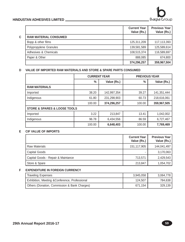|   |                              | <b>Current Year</b><br>Value (Rs.) | <b>Previous Year</b><br>Value (Rs.) |
|---|------------------------------|------------------------------------|-------------------------------------|
| C | <b>RAW MATERIAL CONSUMED</b> |                                    |                                     |
|   | Bopp & other films           | 125,311,209                        | 117,113,393                         |
|   | Polypropylene Granules       | 139,581,589                        | 125,589,614                         |
|   | Adhesives & Chemicals        | 108,515,374                        | 116,589,697                         |
|   | Paper & Other                | 888,085                            | 674,800                             |
|   |                              | 374,296,257                        | 359,967,504                         |

# **D VALUE OF IMPORTED RAW MATERIALS AND STORE & SPARE PARTS CONSUMED**

|                                             | <b>CURRENT YEAR</b> |             | <b>PREVIOUS YEAR</b> |             |
|---------------------------------------------|---------------------|-------------|----------------------|-------------|
|                                             | $\%$                | Value (Rs.) | $\frac{0}{0}$        | Value (Rs.) |
| <b>RAW MATERIALS</b>                        |                     |             |                      |             |
| Imported                                    | 38.20               | 142,997,354 | 39.27                | 141,351,444 |
| Indigenous                                  | 61.80               | 231,298,903 | 60.73                | 218,616,061 |
|                                             | 100.00              | 374,296,257 | 100.00               | 359,967,505 |
| <b>STORE &amp; SPARES &amp; LOOSE TOOLS</b> |                     |             |                      |             |
| Imported                                    | 3.22                | 213,847     | 13.41                | 1,042,002   |
| Indigenous                                  | 96.78               | 6,434,556   | 86.59                | 6,727,467   |
|                                             | 100.00              | 6,648,403   | 100.00               | 7,769,469   |

# **E CIF VALUE OF IMPORTS**

|                                    | <b>Current Year</b><br>Value (Rs.) | <b>Previous Year</b><br>Value (Rs.) |
|------------------------------------|------------------------------------|-------------------------------------|
| Raw Materials                      | 151,117,905                        | 144,041,497                         |
| Capital Goods                      |                                    | 3,170,063                           |
| Capital Goods - Repair & Maintance | 713,571                            | 2,429,543                           |
| Store & Spare                      | 213,847                            | 1,054,702                           |

# **F EXPENDITURE IN FOREIGN CURRENCY**

| <b>Traveling Expenses</b>                      | 3.945.058 | 3.064.778 |
|------------------------------------------------|-----------|-----------|
| Exhibition, Meeting & Conference, Professional | 124.507   | 784.638   |
| Others (Donation, Commission & Bank Charges)   | 671.154   | 329.139   |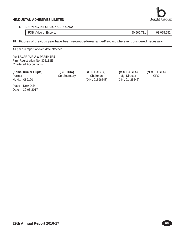

#### **G EARNING IN FOREIGN CURRENCY**

**18** Figures of previous year have been re-grouped/re-arranged/re-cast wherever considered necessary.

As per our report of even date attached

For **SALARPURIA & PARTNERS**

Firm Registration No.-302113E Chartered Accountants

**(Kamal Kumar Gupta) (S.S. DUA) (L.K. BAGLA) (M.S. BAGLA) (N.M. BAGLA)** Partner Co. Secretary Chairman Mg. Director CFO<br>
M. No.: 089190 Co. Secretary (DIN: 01596548) (DIN: 01425646)

 $(DIN : 01596548)$  (DIN : 01425646)

Place : New Delhi Date : 30.05.2017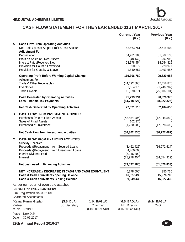# **CASH FLOW STATEMENT FOR THE YEAR ENDED 31ST MARCH, 2017**

|   |                                                                                   |               |                 | <b>Currenct Year</b><br>(Rs.) | <b>Previous Year</b><br>(Rs.) |
|---|-----------------------------------------------------------------------------------|---------------|-----------------|-------------------------------|-------------------------------|
| A | <b>Cash Flow From Operating Activities</b>                                        |               |                 |                               |                               |
|   | Net Profit / (Loss) As per Profit & loss Account<br><b>Adjustment For:</b>        |               |                 | 53,563,751                    | 32,518,603                    |
|   | Depreciation                                                                      |               |                 | 34,281,388                    | 31,362,138                    |
|   | Profit on Sales of Fixed Assets                                                   |               |                 | (48, 142)                     | (34, 706)                     |
|   | Interest Paid / Received Net                                                      |               |                 | 28,978,454                    | 34,054,319                    |
|   | Provision for Doubt ful reversed                                                  |               |                 | 690,672                       | 220,977                       |
|   | Provision for Gratuity & Leave                                                    |               |                 | 1,840,657                     | 1,499,657                     |
|   | <b>Operating Profit Before Working Capital Change</b><br>Adjustment For:          |               |                 | 119,306,780                   | 99,620,988                    |
|   | Trade & Other Receivables                                                         |               |                 | (44, 692, 690)                | 17,458,875                    |
|   | Inventories                                                                       |               |                 | 2,054,973                     | (1,746,787)                   |
|   | Trade Payable                                                                     |               |                 | 15,070,871                    | (25,006,101)                  |
|   |                                                                                   |               |                 |                               |                               |
|   | <b>Cash Generated by Operating Activities</b><br><b>Less: Income Tax Payments</b> |               |                 | 91,739,934<br>(14, 718, 224)  | 90,326,975<br>(8, 222, 325)   |
|   | Net Cash Generated by Operating Activities                                        |               |                 | 77,021,710                    | 82,104,650                    |
| В | <b>CASH FLOW FROM INVESTMENT ACTIVITIES</b>                                       |               |                 |                               |                               |
|   | Purchases /sale of Fixed Assets                                                   |               |                 | (48, 654, 906)                | (12, 848, 582)                |
|   | Sales of Fixed Assets                                                             |               |                 | 102,376                       |                               |
|   | Purchased of Investment                                                           |               |                 | (1,750,000)                   | (17, 878, 500)                |
|   | Net Cash Flow from investment activities                                          |               |                 | (50, 302, 530)                | (30, 727, 082)                |
| C | <b>CASH FLOW FROM FINANCING ACTIVITIES</b><br>Subcidy Received                    |               |                 |                               |                               |
|   | Proceeds /(Repayment) from Secured Loans                                          |               |                 | (3,462,426)                   | (16, 972, 514)                |
|   | Proceeds /(Repayment) from Unsecured Loans                                        |               |                 | 4,460,000                     |                               |
|   | Interim Dividend Paid                                                             |               |                 | (5, 116, 300)                 |                               |
|   | Interest                                                                          |               |                 | (28, 978, 454)                | (34,054,319)                  |
|   | Net cash used in Financing Activities                                             |               |                 | (33,097,180)                  | (51, 026, 833)                |
|   | NET INCREASE /( DECREASE) IN CASH AND CASH EQUIVALENT                             |               |                 | (6,378,000)                   | 350,735                       |
|   | Cash & Cash equivalents opening Balance                                           |               |                 | 16,327,435                    | 15,976,700                    |
|   | <b>Cash &amp; Cash equivalents Closing Balance</b>                                |               |                 | 9,949,435                     | 16,327,435                    |
|   | As per our report of even date attached                                           |               |                 |                               |                               |
|   | For SALARPURIA & PARTNERS                                                         |               |                 |                               |                               |
|   | Firm Registration No.-302113E                                                     |               |                 |                               |                               |
|   | <b>Chartered Accountants</b>                                                      |               |                 |                               |                               |
|   | (Kamal Kumar Gupta)                                                               | (S.S. DUA)    | (L.K. BAGLA)    | (M.S. BAGLA)                  | (N.M. BAGLA)                  |
|   | Partner                                                                           | Co. Secretary | Chairman        | Mg. Director                  | <b>CFO</b>                    |
|   | M. No.- 089190                                                                    |               | (DIN: 01596548) | (DIN: 01425646)               |                               |
|   | Place: New Delhi                                                                  |               |                 |                               |                               |
|   | Date: 30.05.2017                                                                  |               |                 |                               |                               |
|   |                                                                                   |               |                 |                               |                               |

**29th Annual Report 2016-17 61**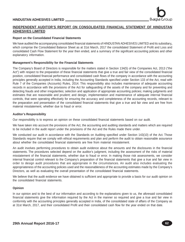

# **INDEPENDENT AUDITOR'S REPORT ON CONSOLIDATED FINANCIAL STATEMENT OF HINDUSTAN ADHESIVES LIMITED**

### **Report on the Consolidated Financial Statements**

We have audited the accompanying consolidated financial statements of HINDUSTAN ADHESIVES LIMITED and its subsidiary**,** which comprise the Consolidated Balance Sheet as at 31st March, 2017 the consolidated Statement of Profit and Loss and consolidated Cash Flow Statement for the year then ended, and a summary of the significant accounting policies and other explanatory information.

#### **Management's Responsibility for the Financial Statements**

The Company's Board of Directors is responsible for the matters stated in Section 134(5) of the Companies Act, 2013 ("the Act") with respect to the preparation of these financial statements that give a true and fair view of the consolidated financial position, consolidated financial performance and consolidated cash flows of the company in accordance with the accounting principles generally accepted in India, including the Accounting Standards specified under Section 133 of the Act, read with Rule 7 of the Companies (Accounts) Rules, 2014. This responsibility also includes maintenance of adequate accounting records in accordance with the provisions of the Act for safeguarding of the assets of the company and for preventing and detecting frauds and other irregularities; selection and application of appropriate accounting policies; making judgments and estimates that are reasonable and prudent; and design, implementation and maintenance of adequate internal financial controls, that were operating effectively for ensuring the accuracy and completeness of the accounting records, relevant to the preparation and presentation of the consolidated financial statements that give a true and fair view and are free from material misstatement, whether due to fraud or error.

#### **Auditor's Responsibility**

Our responsibility is to express an opinion on these consolidated financial statements based on our audit.

We have taken into account the provisions of the Act, the accounting and auditing standards and matters which are required to be included in the audit report under the provisions of the Act and the Rules made there under.

We conducted our audit in accordance with the Standards on Auditing specified under Section 143(10) of the Act. Those Standards require that we comply with ethical requirements and plan and perform the audit to obtain reasonable assurance about whether the consolidated financial statements are free from material misstatement.

An audit involves performing procedures to obtain audit evidence about the amounts and the disclosures in the financial statements. The procedures selected depend on the auditor's judgment, including the assessment of the risks of material misstatement of the financial statements, whether due to fraud or error. In making those risk assessments, we consider internal financial control relevant to the Company's preparation of the financial statements that give a true and fair view in order to design audit procedures that are appropriate in the circumstances. An audit also includes evaluating the appropriateness of the accounting policies used and the reasonableness of the accounting estimates made by the Company's Directors, as well as evaluating the overall presentation of the consolidated financial statements.

We believe that the audit evidence we have obtained is sufficient and appropriate to provide a basis for our audit opinion on the consolidated financial statements.

### **Opinion**

In our opinion and to the best of our information and according to the explanations given to us, the aforesaid consolidated financial statements give the information required by the Act in the manner so required and give a true and fair view in conformity with the accounting principles generally accepted in India, of the consolidated state of affairs of the Company as at 31st March, 2017, and their consolidated Profit and their consolidated cash flow for the year ended on that date.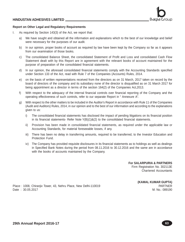

#### **Report on Other Legal and Regulatory Requirements**

- I. As required by Section 143(3) of the Act, we report that:
	- a) We have sought and obtained all the information and explanations which to the best of our knowledge and belief were necessary for the purposes of our audit.
	- b) In our opinion, proper books of account as required by law have been kept by the Company so far as it appears from our examination of those books.
	- c) The consolidated Balance Sheet, the consolidated Statement of Profit and Loss and consolidated Cash Flow Statement dealt with by this Report are in agreement with the relevant books of account maintained for the purpose of preparation of the consolidated financial statements.
	- d) In our opinion, the aforesaid consolidated financial statements comply with the Accounting Standards specified under Section 133 of the Act, read with Rule 7 of the Companies (Accounts) Rules, 2014.
	- e) on the basis of written representations received from the directors as on 31 March, 2017 taken on record by the board of directors of the company and its subsidiary none of the director is disqualified as on 31 March 2017 for being appointment as a director in terms of the section 164(2) of the Companies Act,2013.
	- f) With respect to the adequacy of the internal financial controls over financial reporting of the Company and the operating effectiveness of such controls, refer to our separate Report in " Annexure A".
	- g) With respect to the other matters to be included in the Auditor's Report in accordance with Rule 11 of the Companies (Audit and Auditors) Rules, 2014, in our opinion and to the best of our information and according to the explanations given to us:
		- i) The consolidated financial statements has disclosed the impact of pending litigations on its financial position in its financial statements- Refer Note  $Y(B)(1)\&(2)$  to the consolidated financial statements.
		- ii) Provision has been made in consolidated financial statements, as required under the applicable law or Accounting Standards, for material foreseeable losses, if any.
		- iii) There has been no delay in transferring amounts, required to be transferred, to the Investor Education and Protection Fund.
		- iv) The Company has provided requisite disclosures in its financial statements as to holdings as well as dealings in Specified Bank Notes during the period from 08.11.2016 to 30.12.2016 and the same are in accordance with the books of accounts maintained by the Company.

**For SALARPURIA & PARTNERS** Firm Registration No. 302113E Chartered Accountants

Place : 1008, Chiranjiv Tower, 43, Nehru Place, New Delhi-110019 **PARTNER** Date : 30.05.2017 M. No.: 089190

**(KAMAL KUMAR GUPTA)**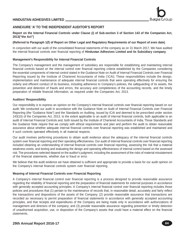

# **ANNEXURE 'A' TO THE INDEPENDENT AUDITOR'S REPORT**

## **Report on the Internal Financial Controls under Clause (i) of Sub-section 3 of Section 143 of the Companies Act, 2013("the Act")**

#### **(Referred to Paragraph 1(f) of Report on Other Legal and Regulatory Requirements of our Report of even date)**

In conjunction with our audit of the consolidated financial statements of the company as on 31 March 2017, We have audited the internal financial controls over financial reporting of **Hindustan Adhesives Limited and its Subsidiary company**.

#### **Management's Responsibility for Internal Financial Controls**

The Company's management and the management of subsidiary are responsible for establishing and maintaining internal financial controls based on the internal control over financial reporting criteria established by the Companies considering the essential components of internal control stated in the Guidance Note on Audit of Internal Financial Controls over Financial Reporting issued by the Institute of Chartered Accountants of India ('ICAI). These responsibilities include the design, implementation and maintenance of adequate internal financial controls that were operating effectively for ensuring the orderly and efficient conduct of its business, including adherence to Company's policies, the safeguarding of its assets, the prevention and detection of frauds and errors, the accuracy and completeness of the accounting records, and the timely preparation of reliable financial information, as required under the Companies Act, 2013.

#### **Auditors' Responsibility**

Our responsibility is to express an opinion on the Company's internal financial controls over financial reporting based on our audit. We conducted our audit in accordance with the Guidance Note on Audit of Internal Financial Controls over Financial Reporting (the "Guidance Note") and the Standards on Auditing, issued by ICAI and deemed to be prescribed under section 143(10) of the Companies Act, 2013, to the extent applicable to an audit of internal financial controls, both applicable to an audit of Internal Financial Controls and, both issued by the Institute of Chartered Accountants of India. Those Standards and the Guidance Note require that we comply with ethical requirements and plan and perform the audit to obtain reasonable assurance about whether adequate internal financial controls over financial reporting was established and maintained and if such controls operated effectively in all material respects.

Our audit involves performing procedures to obtain audit evidence about the adequacy of the internal financial controls system over financial reporting and their operating effectiveness. Our audit of internal financial controls over financial reporting included obtaining an understanding of internal financial controls over financial reporting, assessing the risk that a material weakness exists, and testing and evaluating the design and operating effectiveness of internal control based on the assessed risk. The procedures selected depend on the auditor's judgment, including the assessment of the risks of material misstatement of the financial statements, whether due to fraud or error.

We believe that the audit evidence we have obtained is sufficient and appropriate to provide a basis for our audit opinion on the Company's internal financial controls system over financial reporting.

#### **Meaning of Internal Financial Controls over Financial Reporting**

A Company's internal financial control over financial reporting is a process designed to provide reasonable assurance regarding the reliability of financial reporting and the preparation of financial statements for external purposes in accordance with generally accepted accounting principles. A Company's internal financial control over financial reporting includes those policies and procedures that (1) pertain to the maintenance of records that, in reasonable detail, accurately and fairly reflect the transactions and dispositions of the assets of the Company; (2) provide reasonable assurance that transactions are recorded as necessary to permit preparation of financial statements in accordance with generally accepted accounting principles, and that receipts and expenditures of the Company are being made only in accordance with authorizations of management and directors of the company; and (3) provide reasonable assurance regarding prevention or timely detection of unauthorised acquisition, use, or disposition of the Company's assets that could have a material effect on the financial statements.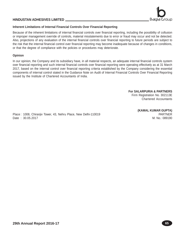

#### **Inherent Limitations of Internal Financial Controls Over Financial Reporting**

Because of the inherent limitations of internal financial controls over financial reporting, including the possibility of collusion or improper management override of controls, material misstatements due to error or fraud may occur and not be detected. Also, projections of any evaluation of the internal financial controls over financial reporting to future periods are subject to the risk that the internal financial control over financial reporting may become inadequate because of changes in conditions, or that the degree of compliance with the policies or procedures may deteriorate.

#### **Opinion**

In our opinion, the Company and its subsidiary have, in all material respects, an adequate internal financial controls system over financial reporting and such internal financial controls over financial reporting were operating effectively as at 31 March 2017, based on the internal control over financial reporting criteria established by the Company considering the essential components of internal control stated in the Guidance Note on Audit of Internal Financial Controls Over Financial Reporting issued by the Institute of Chartered Accountants of India.

> **For SALARPURIA & PARTNERS** Firm Registration No. 302113E Chartered Accountants

Place: 1008, Chiranjiv Tower, 43, Nehru Place, New Delhi-110019 PARTNER Date : 30.05.2017 M. No.: 089190

**(KAMAL KUMAR GUPTA)**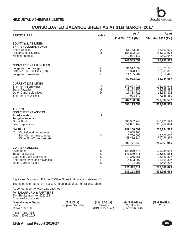

# **CONSOLDATED BALANCE SHEET AS AT 31st MARCH, 2017**

| <b>PARTICULARS</b>                                               | <b>Notes</b>        | As At                    | As At                    |
|------------------------------------------------------------------|---------------------|--------------------------|--------------------------|
|                                                                  |                     | 31st Mar, 2017 (Rs.)     | 31st Mar, 2016 (Rs.)     |
| <b>EQUITY &amp; LIABILITIES</b>                                  |                     |                          |                          |
| <b>SHAREHOLDER'S FUNDS</b><br><b>Share Capital</b>               |                     | 51,163,000               | 51,163,000               |
| Reserves and Surplus                                             | Α<br>B              | 188,802,434              | 143,119,972              |
| Minority Interest                                                |                     | 2,024,117                | 2,503,947                |
|                                                                  |                     | 241,989,551              | 196,786,919              |
| <b>NON-CURRENT LIABILITIES</b>                                   |                     |                          |                          |
| Long-term Borrowings                                             |                     | 34,517,339               | 35,520,748               |
| Deferred Tax Liabilities (Net)                                   | C<br>D<br>E         | 13,320,179               | 19,903,892               |
| Long-term Provisions                                             |                     | 11,185,902               | 9,359,427                |
|                                                                  |                     | 59,023,420               | 64,784,067               |
| <b>CURRENT LIABILITIES</b>                                       |                     |                          |                          |
| Short term Borrowings                                            | F                   | 175,694,928              | 173,193,946              |
| <b>Trade Payables</b>                                            | Ġ<br>$\overline{H}$ | 88,173,150               | 72,589,484               |
| <b>Other Current Liabilities</b><br><b>Short term Provisions</b> | T                   | 17,388,725<br>923,879    | 18,647,802<br>7,166,350  |
|                                                                  |                     | 282,180,682              | 271,597,582              |
|                                                                  |                     | 583,193,653              | 533,168,568              |
|                                                                  |                     |                          |                          |
| <b>ASSETS</b><br><b>NON CURRENT ASSETS</b>                       |                     |                          |                          |
| <b>Fixed assets</b>                                              | J                   |                          |                          |
| <b>Tangible Assets</b>                                           |                     |                          |                          |
| Gross Block                                                      |                     | 583,987,248              | 546,923,593              |
| Less Depreciation                                                |                     | 351,801,149              | 316,769,074              |
| <b>Net Block</b>                                                 |                     | 232,186,099              | 230, 154, 519            |
| (i)<br>Capital work-in-progress<br>Non-Current Investments       |                     | 10,608,700               |                          |
| <b>Other Non-Current Assets</b>                                  | Κ<br>L              | 16,750,000<br>31,226,744 | 15,000,000<br>11,407,426 |
|                                                                  |                     | 290,771,543              | 256,561,945              |
|                                                                  |                     |                          |                          |
| <b>CURRENT ASSETS</b><br>Inventories                             | M                   | 123,079,675              | 125,134,648              |
| Trade receivables                                                | N                   | 141,889,871              | 116,521,564              |
| Cash and Cash Equivalents                                        | O                   | 10,355,261               | 16,880,807               |
| Short-term loans and advances                                    | $\sf P$             | 14,693,097               | 15,665,397               |
| <b>Other Current Assets</b>                                      | Q                   | 2,404,207                | 2,404,207                |
|                                                                  |                     | 292,422,111              | 276,606,623              |
|                                                                  |                     | 583,193,653              | 533,168,568              |
|                                                                  |                     |                          |                          |

Significant Accounting Policies & Other Notes to Financial statements Y The notes referred here-in above form an integral part of Balance Sheet

As per our report of even date attached

For **SALARPURIA & PARTNERS** Firm Registration No.-302113E Chartered Accountants

**(Kamal Kumar Gupta) (S.S. DUA) (L.K. BAGLA) (M.S. BAGLA) (N.M. BAGLA)** Partner Company Secretary Chairman Company Secretary Chairman Chairman Chairman Chairman Chairman Chairman Cha<br>M. No.: 089190 Chairman Chairman Chairman Chairman Chairman Chairman Chairman Chairman Chairman Chairman Chair

Mg. Director<br>(DIN : 01425646)

Place: New Delhi Date : 30.05.2017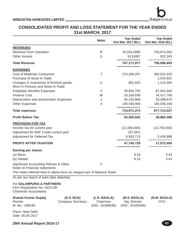

# **CONSOLIDATED PROFIT AND LOSS STATEMENT FOR THE YEAR ENDED 31st MARCH, 2017**

|                                                                                            |                                        | <b>Notes</b>                                | <b>Year Ended</b><br>31st Mar, 2017 (Rs.)       | <b>Year Ended</b><br>31st Mar, 2016 (Rs.) |
|--------------------------------------------------------------------------------------------|----------------------------------------|---------------------------------------------|-------------------------------------------------|-------------------------------------------|
| <b>REVENUES</b>                                                                            |                                        |                                             |                                                 |                                           |
| <b>Revenue From Operation</b>                                                              |                                        | R                                           | 76,204,0090                                     | 705,674,350                               |
| Other Income                                                                               |                                        | S                                           | 5131887                                         | 922,343                                   |
| <b>Total Revenue</b>                                                                       |                                        |                                             | 767, 171, 977                                   | 706,596,693                               |
| <b>EXPENSES</b>                                                                            |                                        |                                             |                                                 |                                           |
| <b>Cost of Materials Consumed</b>                                                          |                                        | T                                           | 374,296,257                                     | 360,031,029                               |
| Purchase of Stock in Trade                                                                 |                                        |                                             |                                                 | 1,024,931                                 |
| Changes in inventories of finished goods,<br>Work in Process and Stock-in-Trade            |                                        | U                                           | 881,933                                         | 1,210,484                                 |
| <b>Employee Benefits Expenses</b>                                                          |                                        | V                                           | 78,805,755                                      | 67,591,945                                |
| <b>Finance Cost</b>                                                                        |                                        | W                                           | 29,339,658                                      | 34,417,799                                |
| Depreciation and amortization Expenses                                                     |                                        | J                                           | 36,100,868                                      | 33,398,870                                |
| <b>Other Expenses</b>                                                                      |                                        | X                                           | 195,546,904                                     | 180,039,169                               |
| <b>Total expenses</b>                                                                      |                                        |                                             | 714,971,374                                     | 677,714,227                               |
| <b>Profit Before Tax</b>                                                                   |                                        |                                             | 52,200,602                                      | 28,882,466                                |
| <b>PROVISION FOR TAX</b>                                                                   |                                        |                                             |                                                 |                                           |
| Income Tax for current year                                                                |                                        |                                             | (11,000,000)                                    | (13,750,000)                              |
| Adjustment for MAT Credit current year                                                     |                                        |                                             | (37, 587)                                       |                                           |
| Adjustment for Deferred Tax                                                                |                                        |                                             | 6,583,713                                       | 2,439,988                                 |
| <b>PROFIT AFTER TAXATION</b>                                                               |                                        |                                             | 47,746,728                                      | 17,572,454                                |
| <b>Earning per shares</b>                                                                  |                                        |                                             |                                                 |                                           |
| (a) Basic                                                                                  |                                        |                                             | 9.33                                            | 3.43                                      |
| (b) Diluted                                                                                |                                        |                                             | 9.33                                            | 3.43                                      |
| Significant Accounting Policies & Other<br>Notes to Financial statements                   |                                        | Y                                           |                                                 |                                           |
| The notes referred here-in above form an integral part of Balance Sheet                    |                                        |                                             |                                                 |                                           |
| As per our report of even date attached                                                    |                                        |                                             |                                                 |                                           |
| For SALARPURIA & PARTNERS<br>Firm Registration No.-302113E<br><b>Chartered Accountants</b> |                                        |                                             |                                                 |                                           |
| (Kamal Kumar Gupta)<br>Partner<br>M. No.: 089190                                           | (S.S. DUA)<br><b>Company Secretary</b> | (L.K. BAGLA)<br>Chairman<br>(DIN: 01596548) | (M.S. BAGLA)<br>Mg. Director<br>(DIN: 01425646) | (N.M. BAGLA)<br><b>CFO</b>                |
| Place: New Delhi                                                                           |                                        |                                             |                                                 |                                           |

Place : New Delhi Date: 30.05.2017

**29th Annual Report 2016-17 67**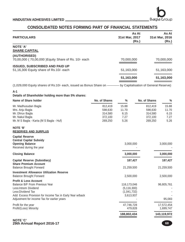# **CONSOLIDATED NOTES FORMING PART OF FINANCIAL STATEMENTS**

| <b>PARTICULARS</b>                                                              | As At<br>31st Mar, 2017<br>(Rs.) | As At<br>31st Mar, 2016<br>(Rs.) |
|---------------------------------------------------------------------------------|----------------------------------|----------------------------------|
| NOTE 'A'<br><b>SHARE CAPITAL</b>                                                |                                  |                                  |
| (AUTHORISED)<br>70,00,000 (70,00,000 ) Equity Share of Rs. 10/- each            | 70,000,000                       | 70,000,000                       |
| <b>ISSUED, SUBSCRIBED AND PAID UP</b><br>51,16,300 Equity share of Rs.10/- each | 51,163,000                       | 51,163,000                       |
|                                                                                 | 51,163,000                       | 51,163,000                       |

(1,029,000 Equity shares of Rs.10/- each, issued as Bonus Share on ———— by Capitalisation of General Reserve)

**A-1**

### **Details of Shareholder holding more than 5% shares:**

| Name of Share holder                    | No. of Shares | $\frac{0}{0}$ | No. of Shares | %     |
|-----------------------------------------|---------------|---------------|---------------|-------|
| Mr. Madhusudan Bagla                    | 812.419       | 15.88         | 812.419       | 15.88 |
| Mrs. Anju Bagla                         | 598,630       | 11.70         | 598,630       | 11.70 |
| Mr. Dhruv Bagla                         | 314,580       | 6.15          | 314.580       | 6.15  |
| Mr. Nakul Bagla                         | 372.100       | 7.27          | 372.100       | 7.27  |
| Mr. M S Bagla - Karta (M S Bagla - Huf) | 269.250       | 5.26          | 269,250       | 5.26  |

#### **NOTE 'B' RESERVES AND SURPLUS**

| <b>Capital Reserve</b>                                       |               |             |
|--------------------------------------------------------------|---------------|-------------|
| <b>Central Capital Subsidy</b>                               |               |             |
| <b>Opening Balance</b>                                       | 3,000,000     | 3,000,000   |
| Received during the year                                     |               |             |
| <b>Closing Balance</b>                                       | 3,000,000     | 3,000,000   |
| Capital Reserve (Subsidiary)<br><b>Share Premium Account</b> | 187,427       | 187,427     |
| <b>Balance Brought Forward</b>                               | 21,259,500    | 21,259,500  |
| <b>Investment Allowance Utilization Reserve</b>              |               |             |
| <b>Balance Brought Forward</b>                               | 2,500,000     | 2,500,000   |
| <b>Profit &amp; Loss Account</b>                             |               |             |
| Balance B/F From Previous Year                               | 116,173,046   | 96,805,761  |
| Less Intrem Dividend                                         | (5, 116, 300) |             |
| Less Dividend Tax                                            | (1,041,732)   |             |
| Add Excess Provision for Income Tax in Early Year w/back     | 3,613,937     |             |
| Adjustment for income Tax for earlier years                  |               | 95,083      |
| Profit for the year                                          | 47,746,728    | 17,572,454  |
| Profit/(Loss) Minority                                       | 479,828       | 1,699,747   |
|                                                              | 188,802,434   | 143,119,972 |
| . _ _ <i>. _</i>                                             |               |             |

**29th Annual Report 2016-17 68 NOTE 'C'**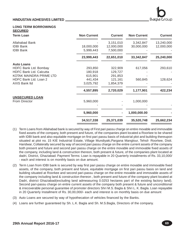

# **LONG TERM BORROWINGS SECURED**

| <b>Term Loan</b>                          | <b>Non Current</b> | <b>Current</b>          | <b>Non Current</b>      | <b>Current</b>           |
|-------------------------------------------|--------------------|-------------------------|-------------------------|--------------------------|
| <b>Allahabad Bank</b><br><b>IDBI Bank</b> | 18,000,000         | 3,151,010<br>12,000,000 | 3,342,847<br>30,000,000 | 13,240,000<br>12,000,000 |
| <b>IDBI Bank</b>                          | 5,999,443          | 7,500,000               |                         |                          |
|                                           | 23,999,443         | 22,651,010              | 33,342,847              | 25,240,000               |
| <b>Auto Loans</b>                         |                    |                         |                         |                          |
| <b>HDFC Bank Ltd. Bombay</b>              | 293,850            | 322,909                 | 617,056                 | 293,610                  |
| <b>HDFC Bank Ltd. Calcutta</b>            | 180,918            | 129,727                 |                         |                          |
| KOTAK MAINDRA PRIME LTD                   | 615,901            | 291,853                 |                         |                          |
| HDFC Bank Ltd. Loan 2                     | 441,434            | 121,161                 | 560,845                 | 128,624                  |
| <b>AXIS Bank Itd</b>                      | 3,025,792          | 1,854,379               |                         |                          |
|                                           | 4,557,895          | 2,720,029               | 1,177,901               | 422,234                  |
| <b>UNSECURED LOAN</b>                     |                    |                         |                         |                          |
| From Director                             | 5,960,000          |                         | 1,000,000               |                          |
|                                           |                    |                         |                         |                          |
|                                           | 5,960,000          |                         | 1,000,000.00            |                          |
|                                           | 34,517,338         | 25,371,039              | 35,520,748              | 25,662,234               |
|                                           |                    |                         |                         |                          |

- (1) Term Loans from Allahabad bank is secured by way of First pari passu charge on entire movable and immovable fixed assets of the company, both present and future, of the companies plant located a Roorkee to be shared with IDBI bank and also equitable mortgage on first pari passu basis of industrial plot and building thereupon situated at plot no. 15 KIE Industrial Estate, Village Mundiyaki,Pargana Manglour, Tehsil- Roorkee, Distt. Haridwar, Collaterally secured by way of second pari passu charge on the entire current assets of the company both present and future and second pari passu charge on the entire movable and immovable fixed assets of the company, including land & construction thereon, both present & future, of the companies plant located at dadri, District, Ghaziabad. Payment Terms: Loan is repayable in 20 Quarterly installments of Rs. 33,10,000/ - each and interest is on monthly basis on due amount.
- (2) Term Loan from IDBI bank is secured by way first pari passu charge on entire movable and immovable fixed assets, of the company, both present and future, equitable mortgage on first pari passu basis on land and building situated at Roorkee and second pari-passu charge on the entire movable and immovable assets of the company including land & construction thereon , both present and future of the company plant located at Dadri, district Ghaziabad(excluding land admeasuring 0.0253 hectares part of the existing factory land). Second pari-passu charge on entire current assets of the company both present & future and unconditional & irrecoverable personal guarantee of promoter directors Shri M.S. Bagla & Shri L. K. Bagla. Loan repayable in 20 Quarterly Installment of Rs. 30,00,000/- each and interest is on monthly basis on due amount
- (3) Auto Loans are secured by way of hypothecation of vehicles financed by the Banks.
- (4) Loans are further guaranteed by Sh. L.K. Bagla and Sh. M.S.Bagla, Directors of the company.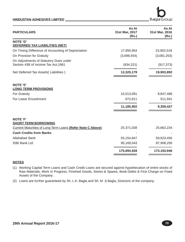| <b>PARTICULARS</b>                                                                                                                      | As At<br>31st Mar, 2017<br>(Rs.) | As At<br>31st Mar, 2016<br>(Rs.) |
|-----------------------------------------------------------------------------------------------------------------------------------------|----------------------------------|----------------------------------|
| NOTE 'D'<br>DEFERRED TAX LIABILITIES (NET)                                                                                              |                                  |                                  |
| On Timing Difference of Accounting of Depreciation                                                                                      | 17,950,954                       | 23,902,518                       |
| On Provision for Gratuity                                                                                                               | (3,696,554)                      | (3,081,253)                      |
| On Adjustments of Statutory Dues under<br>Section 43B of Income Tax Act, 1961                                                           | (934, 221)                       | (917, 373)                       |
| Net Deferred Tax Assets(Liabilities)                                                                                                    | 13,320,179                       | 19,903,892                       |
| NOTE 'E'<br><b>LONG TERM PROVISIONS</b><br>For Gratuity<br>For Leave Encashment                                                         | 10,513,091<br>672,811            | 8,847,486<br>511,941             |
|                                                                                                                                         | 11,185,902                       | 9,359,427                        |
| NOTE 'F'<br><b>SHORT TERM BORROWING</b><br>Current Maturities of Long Term Loans (Refer Note C Above)<br><b>Cash Credits from Banks</b> | 25,371,038                       | 25,662,234                       |
| <b>Allahabad Bank</b>                                                                                                                   | 55,154,847                       | 59,623,456                       |
| <b>IDBI Bank Ltd</b>                                                                                                                    | 95,169,043                       | 87,908,256                       |
|                                                                                                                                         | 175,694,928                      | 173,193,946                      |

# **NOTES**

(1) Working Capital Term Loans and Cash Credit Loans are secured against hypothecation of entire stocks of Raw Materials, Work in Progress, Finished Goods, Stores & Spares, Book-Debts & First Charge on Fixed Assets of the Company .

(2) Loans are further guaranteed by Sh. L.K. Bagla and Sh. M .S.Bagla, Directors of the company.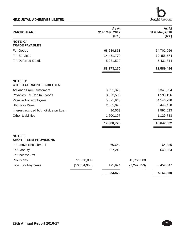

| <b>PARTICULARS</b>                                  |                | As At<br>31st Mar, 2017<br>(Rs.) |               | As At<br>31st Mar, 2016<br>(Rs.) |
|-----------------------------------------------------|----------------|----------------------------------|---------------|----------------------------------|
| NOTE 'G'<br><b>TRADE PAYABLES</b>                   |                |                                  |               |                                  |
| For Goods                                           |                | 68,639,851                       |               | 54,702,066                       |
| For Services                                        |                | 14,451,779                       |               | 12,455,574                       |
| For Deferred Credit                                 |                | 5,081,520                        |               | 5,431,844                        |
|                                                     |                | 88,173,150                       |               | 72,589,484                       |
| <b>NOTE 'H'</b><br><b>OTHER CURRENT LIABILITIES</b> |                |                                  |               |                                  |
| <b>Advance From Customers</b>                       |                | 3,691,373                        |               | 6,341,594                        |
| Payables For Capital Goods                          |                | 3,663,586                        |               | 1,593,196                        |
| Payable For employees                               |                | 5,591,910                        |               | 4,546,728                        |
| <b>Statutory Dues</b>                               |                | 2,805,096                        |               | 3,445,478                        |
| Interest accrued but not due on Loan                |                | 36,563                           |               | 1,591,023                        |
| <b>Other Liabilities</b>                            |                | 1,600,197                        |               | 1,129,783                        |
|                                                     |                | 17,388,725                       |               | 18,647,802                       |
| <b>NOTE 'I'</b><br><b>SHORT TERM PROVISIONS</b>     |                |                                  |               |                                  |
| For Leave Encashment                                |                | 60,642                           |               | 64,339                           |
| For Gratuity                                        |                | 667,243                          |               | 649,364                          |
| For Income Tax                                      |                |                                  |               |                                  |
| Provisions                                          | 11,000,000     |                                  | 13,750,000    |                                  |
| Less: Tax Payments                                  | (10, 804, 006) | 195,994                          | (7, 297, 353) | 6,452,647                        |
|                                                     |                | 923,879                          |               | 7,166,350                        |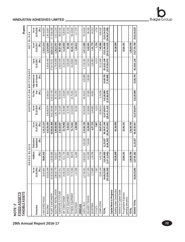| 29th Annual Report 2016-17 |  |
|----------------------------|--|

| FIXED ASSETS<br>J<br>NOTE "J                  |                                      |                              |                             |                                   |                                   |                              |                         |                                   |                                                   |                     |
|-----------------------------------------------|--------------------------------------|------------------------------|-----------------------------|-----------------------------------|-----------------------------------|------------------------------|-------------------------|-----------------------------------|---------------------------------------------------|---------------------|
| TANGIBLE ASSETS                               |                                      |                              |                             |                                   |                                   |                              |                         |                                   |                                                   | (Rupees)            |
|                                               |                                      | 0 S S<br>œ<br>O              | <b>BLOCK</b>                |                                   |                                   |                              | DEPRECIATION WRITTENOFF |                                   | ш<br>z                                            | <b>BLOCK</b>        |
|                                               | As on                                | Addition                     | Deduction                   | As on                             | As on<br>31.03.2016               | For the                      | Adjustment on           | ង<br>មិ                           | As on                                             | As on               |
| Particulars                                   | 31.03.2016<br>(Rs.)                  | (Rs.)                        | Capitalized<br>(Rs.)        | 31.03.2017<br>(Rs.)               | (Rs.)                             | (RS.)<br>Year                | sale of Assets<br>(Rs.) | 31.03.2017<br>(Rs.)               | 31.03.2017<br>(Rs.)                               | 31.03.2016<br>(Rs.) |
| LAND (FREE HOLD)                              | 26,64,804                            | 88,56,410                    |                             | 1, 15, 21, 214                    |                                   |                              |                         |                                   | 1, 15, 21, 214                                    | 26,64,804           |
| BUILDING                                      | 4,53,05,045                          |                              |                             | 4,53,05,045                       | 3,06,88,978                       | 13,56,514                    |                         | 3,20,45,492                       | 1,32,59,553                                       | 1,46,16,067         |
| PLANT & MACHINERY                             | 42,40,04,082                         | 1,18,80,386                  |                             | 43,58,84,468                      | 24,61,48,046                      | 2,43,22,705                  |                         | 27,04,70,751                      | 16,54,13,717                                      | 17,78,56,036        |
| ELECTRIC INSTALLATION                         | 2,98,84,778                          | 9,83,917                     |                             | 3,08,68,695                       | 1,46,73,535                       | 26,71,403                    |                         | 1,73,44,938                       | 1, 35, 23, 757                                    | 1,52,11,243         |
| FURNITURE & FIXTURE                           | 1,65,12,611                          | 37,48,236                    |                             | 2,02,60,847                       | 76,10,429                         | 29,53,016                    |                         | 1,05,63,445                       | 96,97,402                                         | 89,02,182           |
| AIR CONDITIONER                               | 24,68,232                            | 8,11,726                     |                             | 32,79,958                         | 19,39,389                         | 2,20,626                     |                         | 21,60,015                         | 11, 19, 943                                       | 5,28,843            |
| OFFICE EQUIPMENT                              | 9,22,031                             | 23,500                       |                             | 9,45,531                          | 8,79,788                          | 5,561                        |                         | 8,85,349                          | 60,182                                            | 42,243              |
| FITNESS EQUIPMENT                             | 72,74,065                            | 99,476                       |                             | 73,73,541                         | 13,54,539                         | 10,75,281                    |                         | 24,29,820                         | 49,43,721                                         | 59,19,526           |
| TELEVISION                                    | 1,47,599                             | 41,000                       |                             | 1,88,599                          | 30,220                            | 53,767                       |                         | 83,987                            | 1,04,612                                          | 1,17,379            |
| <b>VEHICLES</b>                               |                                      |                              |                             |                                   |                                   |                              |                         |                                   |                                                   |                     |
| CAR'S / BUS                                   | 1,27,66,261                          | 1,00,63,547                  | 3,63,082                    | 2,24,66,726                       | 92,50,635                         | 28,34,615                    | 3,29,889                | 1,17,55,361                       | 1,07,11,365                                       | 35,15,626           |
| DELIVERY TRUCKS                               | 13,27,005                            | 9,42,000                     | 7,59,945                    | 15,09,060                         | 12,38,840                         | 67,083                       | 7,38,904                | 5,67,019                          | 9,42,041                                          | 88,165              |
| <b>SCOOTERS</b>                               | 2,73,965                             | 1,33,758                     |                             | 4,07,723                          | 2,49,952                          | 16,001                       |                         | 2,65,953                          | 1,41,770                                          | 24,013              |
| CYCLE'S                                       | 7,967                                |                              |                             | 7,967                             | 6,213                             |                              |                         | 6,213                             | 1,754                                             | 1,754               |
| <b>COMPUTERS</b>                              | 33,65,148                            | 6,02,726                     |                             | 39,67,874                         | 26,98,510                         | 5,24,296                     |                         | 32,22,806                         | 7,45,068                                          | 6,66,638            |
| <b>TOTAL</b>                                  | 54, 69, 23, 593<br>(53, 10, 68, 150) | 3,81,86,682<br>(1,67,11,645) | $11,23,027$<br>$(8,56,202)$ | 58,39,87,248<br>(53, 69, 23, 593) | 31,67,69,074<br>(28, 41, 01, 112) | 3,61,00,868<br>(3,33,98,870) | (7,30,908)<br>10,68,793 | (31, 67, 69, 074)<br>35,18,01,149 | $(23,01,54,519)$ $(24,69,67,038)$<br>23,21,86,099 | 23,01,54,519        |
| Capital Work in Progress                      |                                      |                              |                             |                                   |                                   |                              |                         |                                   |                                                   |                     |
| Building under Construction                   |                                      | 83,39,509                    |                             | 83,39,509                         |                                   | ï                            |                         | í.                                | 83,39,509                                         |                     |
| Advance for Capital Goods                     |                                      |                              |                             |                                   |                                   |                              |                         |                                   |                                                   |                     |
| Pre-operative Expenses<br>pending allocation) |                                      | 22,69,191                    |                             | 22,69,191                         |                                   |                              |                         |                                   | 22,69,191                                         |                     |
| <b>TOTAL</b>                                  |                                      | 1,06,08,700                  |                             | 1,06,08,700                       |                                   |                              |                         |                                   | 1,06,08,700                                       |                     |
| <b>GRAND TOTAL</b>                            | 54,69,23,593                         | 4,87,95,382                  | 11,23,027                   | 59, 45, 95, 947                   | 31,67,69,074                      | 3,61,00,868                  | 10,68,793               | 35,18,01,149                      | 24,27,94,798                                      | 23,01,54,519        |
|                                               |                                      |                              |                             |                                   |                                   |                              |                         |                                   |                                                   |                     |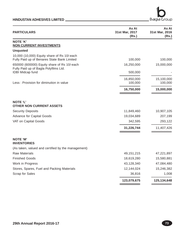

| <b>PARTICULARS</b>                                                                         | As At<br>31st Mar, 2017<br>(Rs.) | As At<br>31st Mar, 2016<br>(Rs.) |
|--------------------------------------------------------------------------------------------|----------------------------------|----------------------------------|
| NOTE 'K'<br><b>NON CURRENT INVESTMENTS</b>                                                 |                                  |                                  |
| <b>Unquoted</b>                                                                            |                                  |                                  |
| 10,000 (10,000) Equity share of Rs 10/-each<br>Fully Paid up of Benares State Bank Limited | 100,000                          | 100,000                          |
| 650000 (600000) Equity share of Rs 10/-each<br>Fully Paid up of Bagla Polyfilms Ltd.       | 16,250,000                       | 15,000,000                       |
| <b>IDBI</b> Midcap fund                                                                    | 500,000                          |                                  |
| Less: Provision for diminution in value                                                    | 16,850,000<br>100,000            | 15,100,000<br>100,000            |
|                                                                                            | 16,750,000                       | 15,000,000                       |
| <b>NOTE 'L'</b><br><b>OTHER NON CURRENT ASSETS</b>                                         |                                  |                                  |
| <b>Security Deposits</b>                                                                   | 11,849,460                       | 10,907,105                       |
| Advance for Capital Goods                                                                  | 19,034,689                       | 207,199                          |
| VAT on Capital Goods                                                                       | 342,595                          | 293,122                          |
|                                                                                            | 31,226,744                       | 11,407,426                       |
| <b>NOTE 'M'</b><br><b>INVENTORIES</b>                                                      |                                  |                                  |
| (As taken, valued and certified by the management)                                         |                                  |                                  |
| <b>Raw Materials</b>                                                                       | 49, 151, 215                     | 47,221,897                       |
| <b>Finished Goods</b>                                                                      | 18,619,280                       | 15,580,881                       |
| Work in Progress                                                                           | 43,128,340                       | 47,084,480                       |
| Stores, Spares, Fuel and Packing Materials                                                 | 12,144,024                       | 15,246,382                       |
| <b>Scrap for Sales</b>                                                                     | 36,816                           | 1,008                            |
|                                                                                            | 123,079,675                      | 125,134,648                      |

**======================================** ======================================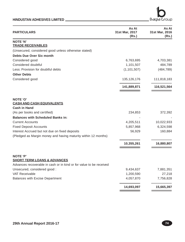

| <b>PARTICULARS</b>                                                                                                                              | As At<br>31st Mar, 2017<br>(Rs.) | As At<br>31st Mar, 2016<br>(Rs.) |
|-------------------------------------------------------------------------------------------------------------------------------------------------|----------------------------------|----------------------------------|
| <b>NOTE 'N'</b>                                                                                                                                 |                                  |                                  |
| <b>TRADE RECEIVABLES</b>                                                                                                                        |                                  |                                  |
| (Unsecured, considered good unless otherwise stated)                                                                                            |                                  |                                  |
| <b>Debts Due Over Six month</b>                                                                                                                 |                                  |                                  |
| Considered good                                                                                                                                 | 6,763,695                        | 4,703,381                        |
| Considered doubtful                                                                                                                             | 1,101,507                        | 484,789                          |
| Less: Provision for doubtful debts                                                                                                              | (1, 101, 507)                    | (484, 789)                       |
| <b>Other Debts</b>                                                                                                                              |                                  |                                  |
| Considered good                                                                                                                                 | 135, 126, 176                    | 111,818,183                      |
|                                                                                                                                                 | 141,889,871                      | 116,521,564                      |
| NOTE 'O'<br><u>CASH AND CASH EQUIVALENTS</u><br><b>Cash in Hand</b><br>(As per books and certified)<br><b>Balances with Scheduled Banks in:</b> | 234,853                          | 372,392                          |
| <b>Current Accounts</b>                                                                                                                         |                                  |                                  |
|                                                                                                                                                 | 4,205,511<br>5,857,968           | 10,022,933                       |
| <b>Fixed Deposit Accounts</b><br>Interest Accrued but not due on fixed deposits                                                                 | 56,929                           | 6,324,598<br>160,884             |
| (Pledged as Margin money and having maturity within 12 months)                                                                                  |                                  |                                  |
|                                                                                                                                                 | 10,355,261                       | 16,880,807                       |
| NOTE 'P'<br><b>SHORT TERM LOANS &amp; ADVANCES</b>                                                                                              |                                  |                                  |
| Advances recoverable in cash or in kind or for value to be received                                                                             |                                  |                                  |
| Unsecured, considered good:                                                                                                                     | 9,434,637                        | 7,881,351                        |
| VAT Receivable                                                                                                                                  | 1,200,590                        | 27,218                           |
| <b>Balances with Excise Department</b>                                                                                                          | 4,057,870                        | 7,756,828                        |
|                                                                                                                                                 | 14,693,097                       | 15,665,397                       |
|                                                                                                                                                 |                                  |                                  |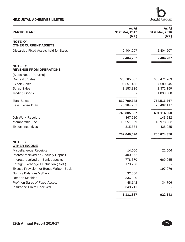| <b>PARTICULARS</b>                                              | As At<br>31st Mar, 2017<br>(Rs.) | As At<br>31st Mar, 2016<br>(Rs.) |
|-----------------------------------------------------------------|----------------------------------|----------------------------------|
| NOTE 'Q'<br><b>OTHER CURRENT ASSETS</b>                         |                                  |                                  |
| Discarded Fixed Assets held for Sales                           | 2,404,207                        | 2,404,207                        |
|                                                                 | 2,404,207                        | 2,404,207                        |
| NOTE 'R'                                                        |                                  |                                  |
| <b>REVENUE FROM OPERATIONS</b>                                  |                                  |                                  |
| [Sales Net of Returns]<br><b>Domestic Sales</b>                 | 720,785,057                      |                                  |
| <b>Export Sales</b>                                             | 95,851,455                       | 663,471,263<br>97,580,345        |
| <b>Scrap Sales</b>                                              | 3,153,836                        | 2,371,159                        |
| <b>Trading Goods</b>                                            |                                  | 1,093,600                        |
| <b>Total Sales</b>                                              | 819,790,348                      | 764,516,367                      |
| Less Excise Duty                                                | 78,984,961                       | 73,402,117                       |
|                                                                 | 740,805,387                      | 691,114,250                      |
| Job Work Receipts                                               | 367,680                          | 143,232                          |
| Membership Fee                                                  | 16,551,689                       | 13,978,833                       |
| <b>Export Incentives</b>                                        | 4,315,334                        | 438,035                          |
|                                                                 | 762,040,090                      | 705,674,350                      |
| <b>NOTE 'S'</b>                                                 |                                  |                                  |
| <b>OTHER INCOME</b>                                             |                                  |                                  |
| Miscellaneous Receipts<br>Interest received on Security Deposit | 14,000<br>400,572                | 21,506                           |
| Interest received on Bank deposits                              | 778,670                          | 669,055                          |
| Foreign Exchange Fluctuation (Net)                              | 3,173,786                        |                                  |
| Excess Provision for Bonus Written Back                         |                                  | 197,076                          |
| Sundry Balances W/Back                                          | 32,006                           |                                  |
| Rent on Machine                                                 | 336,000                          |                                  |
| Profit on Sales of Fixed Assets                                 | 48,142                           | 34,706                           |
| Insurance Claim Received                                        | 348,711                          |                                  |
|                                                                 | 5,131,887                        | 922,343                          |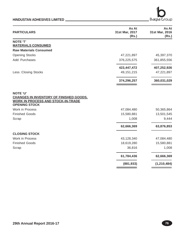

| <b>PARTICULARS</b>                                                                                                                                                                 | As At<br>31st Mar, 2017<br>(Rs.) | As At<br>31st Mar, 2016<br>(Rs.) |
|------------------------------------------------------------------------------------------------------------------------------------------------------------------------------------|----------------------------------|----------------------------------|
| <b>NOTE 'T'</b>                                                                                                                                                                    |                                  |                                  |
| <b>MATERIALS CONSUMED</b>                                                                                                                                                          |                                  |                                  |
| <b>Raw Materials Consumed</b>                                                                                                                                                      |                                  |                                  |
| <b>Opening Stocks</b>                                                                                                                                                              | 47,221,897                       | 45,397,370                       |
| Add: Purchases                                                                                                                                                                     | 376,225,575                      | 361,855,556                      |
|                                                                                                                                                                                    | 423,447,472                      | 407,252,926                      |
| <b>Less : Closing Stocks</b>                                                                                                                                                       | 49, 151, 215                     | 47,221,897                       |
|                                                                                                                                                                                    | 374,296,257                      | 360,031,029                      |
| <b>NOTE 'U'</b><br><b>CHANGES IN INVENTORY OF FINISHED GOODS.</b><br><b>WORK IN PROCESS AND STOCK-IN-TRADE</b><br><b>OPENING STOCK</b><br>Work in Process<br><b>Finished Goods</b> | 47,084,480<br>15,580,881         | 50,365,864<br>13,501,545         |
| Scrap                                                                                                                                                                              | 1,008                            | 9,444                            |
|                                                                                                                                                                                    | 62,666,369                       | 63,876,853                       |
| <b>CLOSING STOCK</b>                                                                                                                                                               |                                  |                                  |
| <b>Work in Process</b>                                                                                                                                                             | 43,128,340                       | 47,084,480                       |
| <b>Finished Goods</b>                                                                                                                                                              | 18,619,280                       | 15,580,881                       |
| Scrap                                                                                                                                                                              | 36,816                           | 1,008                            |
|                                                                                                                                                                                    | 61,784,436                       | 62,666,369                       |
|                                                                                                                                                                                    | (881, 933)                       | (1, 210, 484)                    |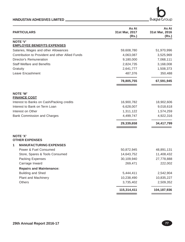| <b>PARTICULARS</b>                                   | As At<br>31st Mar, 2017<br>(Rs.) | As At<br>31st Mar, 2016<br>(Rs.) |
|------------------------------------------------------|----------------------------------|----------------------------------|
| <b>NOTE 'V'</b><br><b>EMPLOYEE BENEFITS EXPENSES</b> |                                  |                                  |
| Salaries, Wages and other Allowances                 | 59,608,780                       | 51,970,996                       |
| Contribution to Provident and other Allied Funds     | 4,063,087                        | 3,525,969                        |
| Director's Remuneration                              | 9,180,000                        | 7,068,111                        |
| <b>Staff Welfare and Benefits</b>                    | 2,824,735                        | 3,168,008                        |
| Gratuity                                             | 2,641,777                        | 1,508,373                        |
| Leave Encashment                                     | 487,376                          | 350,488                          |
|                                                      | 78,805,755                       | 67,591,945                       |
| NOTE 'W'                                             |                                  |                                  |
| <b>FINANCE COST</b>                                  |                                  |                                  |
| Interest to Banks on Cash/Packing credits            | 16,900,782                       | 18,902,606                       |
| Interest to Bank on Term Loan                        | 6,628,007                        | 9,018,618                        |
| Interest on Other                                    | 1,311,122                        | 1,574,259                        |
| <b>Bank Commission and Charges</b>                   | 4,499,747                        | 4,922,316                        |
|                                                      | 29,339,658                       | 34,417,799                       |
| <b>NOTE 'X'</b><br><b>OTHER EXPENSES</b>             |                                  |                                  |
| 1<br><b>MANUFACTURING EXPENSES</b>                   |                                  |                                  |
| Power & Fuel Consumed                                | 50,872,945                       | 48,891,131                       |
| Store, Spares & Tools Consumed                       | 14,643,752                       | 11,408,432                       |
| Packing Expenses                                     | 30,109,940                       | 27,778,888                       |
| Carriage Inward                                      | 269,471                          | 222,002                          |
| <b>Repairs and Maintenance:</b>                      |                                  |                                  |
| <b>Building and Shed</b>                             | 5,444,411                        | 2,542,904                        |
| Plant and Machinery                                  | 10,238,490                       | 10,835,227                       |
| <b>Others</b>                                        | 3,735,402                        | 2,509,352                        |
|                                                      | 115,314,411                      | 104,187,936                      |

**======================================** ======================================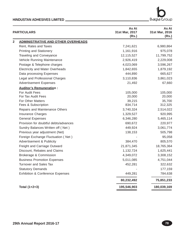| Bagla Group |
|-------------|

| 2<br><b>ADMINISTRATIVE AND OTHER OVERHEADS</b><br>Rent, Rates and Taxes<br>7,241,621<br><b>Printing and Stationery</b><br>1,161,916<br>Traveling and Conveyance<br>12,115,527<br>Vehicle Running Maintenance<br>2,926,419<br>Postage & Telephone charges<br>4,023,069<br><b>Electricity and Water Overheads</b><br>1,842,655<br>Data processing Expenses<br>444,890<br>Legal and Professional Charges<br>3,110,836<br><b>Advertisement Expenses</b><br>21,492<br>Auditor's Remuneration :<br>For Audit Fees<br>105,000<br>For Tax Audit Fees<br>20,000<br><b>For Other Matters</b><br>39,215<br>Fees & Subscription<br>834,714<br>Repairs and Maintenance Others<br>3,740,324<br>Insurance Charges<br>1,329,527<br><b>General Expenses</b><br>6,346,280<br>Provision for doubtful debts/advances<br>690,672<br>Sundry Balances Written off (Net)<br>449,924<br>Previous year adjustment (Net)<br>138,153<br>Foreign Exchange Fluctuation (Net)<br><b>Advertisement &amp; Publicity</b><br>384,470<br>Freight and Carriage Outward<br>21,871,345<br>Discount, Rebates and Claims<br>1,132,724<br>Brokerage & Commission<br>4,349,072<br><b>Business Promotion Expenses</b><br>5,011,085<br><b>Turnover and Sales Tax</b><br>452,281<br><b>Statutory Demands</b><br><b>Exhibition &amp; Conference Expenses</b><br>449,281<br>80,232,492 | <b>PARTICULARS</b> | As At<br>31st Mar, 2017<br>(Rs.) | As At<br>31st Mar, 2016<br>(Rs.) |
|----------------------------------------------------------------------------------------------------------------------------------------------------------------------------------------------------------------------------------------------------------------------------------------------------------------------------------------------------------------------------------------------------------------------------------------------------------------------------------------------------------------------------------------------------------------------------------------------------------------------------------------------------------------------------------------------------------------------------------------------------------------------------------------------------------------------------------------------------------------------------------------------------------------------------------------------------------------------------------------------------------------------------------------------------------------------------------------------------------------------------------------------------------------------------------------------------------------------------------------------------------------------------------------------------------------------------------------|--------------------|----------------------------------|----------------------------------|
|                                                                                                                                                                                                                                                                                                                                                                                                                                                                                                                                                                                                                                                                                                                                                                                                                                                                                                                                                                                                                                                                                                                                                                                                                                                                                                                                        |                    |                                  |                                  |
|                                                                                                                                                                                                                                                                                                                                                                                                                                                                                                                                                                                                                                                                                                                                                                                                                                                                                                                                                                                                                                                                                                                                                                                                                                                                                                                                        |                    |                                  | 6,980,864                        |
|                                                                                                                                                                                                                                                                                                                                                                                                                                                                                                                                                                                                                                                                                                                                                                                                                                                                                                                                                                                                                                                                                                                                                                                                                                                                                                                                        |                    |                                  | 975,078                          |
|                                                                                                                                                                                                                                                                                                                                                                                                                                                                                                                                                                                                                                                                                                                                                                                                                                                                                                                                                                                                                                                                                                                                                                                                                                                                                                                                        |                    |                                  | 11,799,752                       |
|                                                                                                                                                                                                                                                                                                                                                                                                                                                                                                                                                                                                                                                                                                                                                                                                                                                                                                                                                                                                                                                                                                                                                                                                                                                                                                                                        |                    |                                  | 2,229,008                        |
|                                                                                                                                                                                                                                                                                                                                                                                                                                                                                                                                                                                                                                                                                                                                                                                                                                                                                                                                                                                                                                                                                                                                                                                                                                                                                                                                        |                    |                                  | 3,596,267                        |
|                                                                                                                                                                                                                                                                                                                                                                                                                                                                                                                                                                                                                                                                                                                                                                                                                                                                                                                                                                                                                                                                                                                                                                                                                                                                                                                                        |                    |                                  | 1,879,192                        |
|                                                                                                                                                                                                                                                                                                                                                                                                                                                                                                                                                                                                                                                                                                                                                                                                                                                                                                                                                                                                                                                                                                                                                                                                                                                                                                                                        |                    |                                  | 665,627                          |
|                                                                                                                                                                                                                                                                                                                                                                                                                                                                                                                                                                                                                                                                                                                                                                                                                                                                                                                                                                                                                                                                                                                                                                                                                                                                                                                                        |                    |                                  | 3,861,023                        |
|                                                                                                                                                                                                                                                                                                                                                                                                                                                                                                                                                                                                                                                                                                                                                                                                                                                                                                                                                                                                                                                                                                                                                                                                                                                                                                                                        |                    |                                  | 67,660                           |
|                                                                                                                                                                                                                                                                                                                                                                                                                                                                                                                                                                                                                                                                                                                                                                                                                                                                                                                                                                                                                                                                                                                                                                                                                                                                                                                                        |                    |                                  |                                  |
|                                                                                                                                                                                                                                                                                                                                                                                                                                                                                                                                                                                                                                                                                                                                                                                                                                                                                                                                                                                                                                                                                                                                                                                                                                                                                                                                        |                    |                                  | 105,000                          |
|                                                                                                                                                                                                                                                                                                                                                                                                                                                                                                                                                                                                                                                                                                                                                                                                                                                                                                                                                                                                                                                                                                                                                                                                                                                                                                                                        |                    |                                  | 20,000                           |
|                                                                                                                                                                                                                                                                                                                                                                                                                                                                                                                                                                                                                                                                                                                                                                                                                                                                                                                                                                                                                                                                                                                                                                                                                                                                                                                                        |                    |                                  | 35,700                           |
|                                                                                                                                                                                                                                                                                                                                                                                                                                                                                                                                                                                                                                                                                                                                                                                                                                                                                                                                                                                                                                                                                                                                                                                                                                                                                                                                        |                    |                                  | 312,325                          |
|                                                                                                                                                                                                                                                                                                                                                                                                                                                                                                                                                                                                                                                                                                                                                                                                                                                                                                                                                                                                                                                                                                                                                                                                                                                                                                                                        |                    |                                  | 2,514,022                        |
|                                                                                                                                                                                                                                                                                                                                                                                                                                                                                                                                                                                                                                                                                                                                                                                                                                                                                                                                                                                                                                                                                                                                                                                                                                                                                                                                        |                    |                                  | 920,995                          |
|                                                                                                                                                                                                                                                                                                                                                                                                                                                                                                                                                                                                                                                                                                                                                                                                                                                                                                                                                                                                                                                                                                                                                                                                                                                                                                                                        |                    |                                  | 5,465,114                        |
|                                                                                                                                                                                                                                                                                                                                                                                                                                                                                                                                                                                                                                                                                                                                                                                                                                                                                                                                                                                                                                                                                                                                                                                                                                                                                                                                        |                    |                                  | 220,977                          |
|                                                                                                                                                                                                                                                                                                                                                                                                                                                                                                                                                                                                                                                                                                                                                                                                                                                                                                                                                                                                                                                                                                                                                                                                                                                                                                                                        |                    |                                  | 3,061,774                        |
|                                                                                                                                                                                                                                                                                                                                                                                                                                                                                                                                                                                                                                                                                                                                                                                                                                                                                                                                                                                                                                                                                                                                                                                                                                                                                                                                        |                    |                                  | 505,798                          |
|                                                                                                                                                                                                                                                                                                                                                                                                                                                                                                                                                                                                                                                                                                                                                                                                                                                                                                                                                                                                                                                                                                                                                                                                                                                                                                                                        |                    |                                  | 95,058                           |
|                                                                                                                                                                                                                                                                                                                                                                                                                                                                                                                                                                                                                                                                                                                                                                                                                                                                                                                                                                                                                                                                                                                                                                                                                                                                                                                                        |                    |                                  | 805,570                          |
|                                                                                                                                                                                                                                                                                                                                                                                                                                                                                                                                                                                                                                                                                                                                                                                                                                                                                                                                                                                                                                                                                                                                                                                                                                                                                                                                        |                    |                                  | 18,765,364                       |
|                                                                                                                                                                                                                                                                                                                                                                                                                                                                                                                                                                                                                                                                                                                                                                                                                                                                                                                                                                                                                                                                                                                                                                                                                                                                                                                                        |                    |                                  | 1,625,441                        |
|                                                                                                                                                                                                                                                                                                                                                                                                                                                                                                                                                                                                                                                                                                                                                                                                                                                                                                                                                                                                                                                                                                                                                                                                                                                                                                                                        |                    |                                  | 3,308,152                        |
|                                                                                                                                                                                                                                                                                                                                                                                                                                                                                                                                                                                                                                                                                                                                                                                                                                                                                                                                                                                                                                                                                                                                                                                                                                                                                                                                        |                    |                                  | 4,751,044                        |
|                                                                                                                                                                                                                                                                                                                                                                                                                                                                                                                                                                                                                                                                                                                                                                                                                                                                                                                                                                                                                                                                                                                                                                                                                                                                                                                                        |                    |                                  | 322,632                          |
|                                                                                                                                                                                                                                                                                                                                                                                                                                                                                                                                                                                                                                                                                                                                                                                                                                                                                                                                                                                                                                                                                                                                                                                                                                                                                                                                        |                    |                                  | 177,159                          |
|                                                                                                                                                                                                                                                                                                                                                                                                                                                                                                                                                                                                                                                                                                                                                                                                                                                                                                                                                                                                                                                                                                                                                                                                                                                                                                                                        |                    |                                  | 784,638                          |
|                                                                                                                                                                                                                                                                                                                                                                                                                                                                                                                                                                                                                                                                                                                                                                                                                                                                                                                                                                                                                                                                                                                                                                                                                                                                                                                                        |                    |                                  | 75,851,233                       |
| Total $(1+2+3)$<br>195,546,903                                                                                                                                                                                                                                                                                                                                                                                                                                                                                                                                                                                                                                                                                                                                                                                                                                                                                                                                                                                                                                                                                                                                                                                                                                                                                                         |                    |                                  | 180,039,169                      |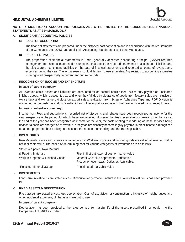

### **NOTE : Y SIGNIFICANT ACCOUNTING POLICIES AND OTHER NOTES TO THE CONSOLIDATED FINANCIAL STATEMENTS AS AT 31st MARCH, 2017**

### **A. SIGNIFICANT ACCOUNTING POLICIES**

#### **I. a) BASIS OF ACCOUNTING**

The financial statements are prepared under the historical cost convention and in accordance with the requirements of the Companies Act, 2013, and applicable Accounting Standards except otherwise stated.

#### **b) USE OF ESTIMATES**

The preparation of financial statements in under generally accepted accounting principal (GAAP) requires management to make estimates and assumptions that effect the reported statements of assets and liabilities and the disclosure of contingent liabilities on the date of financial statements and reported amounts of revenue and expenses during the year. The actual results could differ from these estimates. Any revision to accounting estimates is recognized prospectively in current and future periods.

#### **II. RECOGNITION OF INCOME AND EXPENDITURE**

#### **In case of parent company:**

All revenues costs, assets and liabilities are accounted for on accrual basis except excise duty payable on uncleared finished goods, which is accounted as and when they fall due by clearance of goods from factory, sales are inclusive of excise duty and exchange gain/loss on export sales, realization from Scrap of Adhesives Tape and POF Division is accounted for on cash basis, duty Drawbacks and other export incentive (income) are accounted for on receipt basis.

#### **In case of subsidiary company:**

Income from Fees and subscriptions, recorded net of discounts and rebates have been recognized as income for the year irrespective of the period, for which these are received. However, the Fees receivable from existing members as at the end of the year has been recognized as income for the year, the costs relating to rendering of these services being unascertainable are charged off to revenue in the year in which they become legally payable, interest income is recognized on a time proportion basis taking into account the amount outstanding and the rate applicable.

#### **III. INVENTORIES**

Raw Materials, stores and spares are valued at cost. Work-in-progress and finished goods are valued at lower of cost or net realizable value. The bases of determining cost for various categories of Inventories are as follows:

Stores & Spares, Raw Material

| & Packing Materials               | First in first out lower of cost or market value |
|-----------------------------------|--------------------------------------------------|
| Work-in-progress & Finished Goods | Material Cost plus appropriate Attributable      |
|                                   | Production overheads, Duties as Applicable.      |
| Rejected Materials/Scrap          | At estimated realizable Value                    |

#### **IV. INVESTMENTS**

Long Term Investments are stated at cost. Diminution of permanent nature in the value of investments has been provided for.

### **V. FIXED ASSETS & DEPRECIATION**

Fixed assets are stated at cost less depreciation. Cost of acquisition or construction is inclusive of freight, duties and other incidental expenses, till the assets are put to use.

#### **In case of parent company:**

Depreciation has been provided at the rates derived from useful life of the assets prescribed in schedule II to the Companies Act, 2013 as under: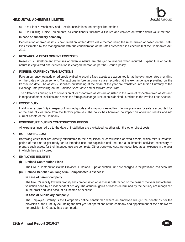

- a) On Plant & Machinery and Electric Installations, on straight-line method
- b) On Building, Office Equipments, Air conditioners, furniture & fixtures and vehicles on written down value method

#### **In case of subsidiary company:**

Depreciation on fixed assets is calculated on written down value method using the rates arrived at based on the useful lives estimated by the management with due consideration of the rates prescribed in Schedule II of the Companies Act, 2013.

#### **VI. RESEARCH & DEVELOPMENT EXPENSES**

Research & Development expenses of revenue nature are charged to revenue when incurred. Expenditure of capital nature is capitalized and depreciation is charged thereon as per the Group's policy.

#### **VII FOREIGN CURRENCY TRANSACTIONS**

Foreign currency loans/deferred credit availed to acquire fixed assets are accounted for at the exchange rates prevailing on the dates of disbursement. Transactions in foreign currency are recorded at the exchange rate prevailing on the transaction date. The assets & liabilities outstanding at the close of the year are translated into Indian Currency at the exchange rate prevailing on the Balance Sheet date and/or forward cover rate.

The differences arising out of conversion of loans for fixed assets are adjusted in the value of respective fixed assets and in respect of other liabilities and assets the foreign exchange fluctuation is debited / credited to the Profit & Loss Account.

#### **VIII EXCISE DUTY**

Liability for excise Duty in respect of finished goods and scrap not cleared from factory premises for sale is accounted for at the time of clearance from the factory premises. The policy has however, no impact on operating results and net current assets of the Company.

#### **IX EXPENDITURE DURING CONSTRUCTION PERIOD**

All expenses incurred up to the date of installation are capitalized together with the other direct costs.

#### **X BORROWING COST**

Borrowing costs that are directly attributable to the acquisition or construction of fixed assets, which take substantial period of the time to get ready for its intended use, are capitalize until the time all substantial activities necessary to prepare such assets for their intended use are complete. Other borrowing cost are recognized as an expense in the year in which they are incurred.

#### **XI EMPLOYEE BENEFITS:**

#### **(i) Defined Contribution Plans**

The Group Contributions to the Provident Fund and Superannuation Fund are charged to the profit and loss accounts

#### **(ii) Defined Benefit plan/ long term Compensated Absences:**

#### **In case of parent company:**

The Group's liability towards gratuity and compensated absences is determined on the basis of the year end actuarial valuation done by an independent actuary. The actuarial gains or losses determined by the actuary are recognized in the profit and loss account as income or expense.

#### **In case of Subsidiary company:**

The Employee Gratuity is the Companies define benefit plan where an employee will get the benefit as per the provision of the Gratuity Act. Being the first year of operations of the company and appointment of the employee's no provision for Gratuity has been made.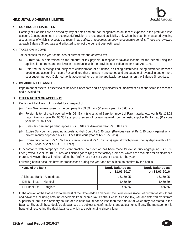

#### **XII CONTINGENT LIABILITES**

Contingent Liabilities are disclosed by way of notes and are not recognized as an item of expense in the profit and loss account. Contingent gains are recognized. Provision are recognized as liability only when they can be measured by using a substantial of which is expected to result in as outflow of resources embodying economic benefits. These are reviewed at each Balance Sheet date and adjusted to reflect the current best estimated.

#### **XIII TAXES ON INCOME**

Tax expenses for the year comprises of current tax and deferred tax.

- a) Current tax is determined on the amount of tax payable in respect of taxable income for the period using the applicable tax rates and tax laws in accordance with the provisions of Indian income Tax Act, 1961.
- b) Deferred tax is recognized, subject to consideration of prudence, on timing differences, being difference between taxable and accounting income / expenditure that originate in one period and are capable of reversal in one or more subsequent periods. Deferred tax is accounted for using the applicable tax rates as on the Balance Sheet date.

#### **XIV IMPAIRMENT OF ASSETS**

Impairment of assets is assessed at Balance Sheet date and if any indicators of impairment exist, the same is assessed and provided for.

#### **B OTHER NOTES ON ACCOUNTS**

- 1. Contingent liabilities not provided for in respect of:
	- (a) Bank Guarantees given by the company Rs.09.69 Lacs (Previous year Rs.0.60Lacs)
	- (b) Foreign letter of credit opened with IDBI Bank & Allahabad Bank for import of Raw material etc. worth Rs 113.21 Lacs (Previous year Rs. 96.35 Lacs) procurement of for raw material from domestic supplier Rs. Nil Lac (Previous year Rs. 96.87 Lac)
	- (c) Sales Tax demand pending appeals Rs**.** 0.01Lacs (Previous year Rs. 0.04 Lacs)
	- (d) Excise Duty demand pending appeals at High Court Rs 1.95 Lacs. (Previous year at Rs. 1.95 Lacs) against which protest money deposited Rs.1.95 Lacs (Previous year at Rs. 1.95 Lacs).
	- (e) Excise duty demand Rs.15.39 Lacs (Previous year at Rs.15.39 Lacs) against which protest money deposited Rs.1.30 Lacs (Previous year at Rs. 1.30 Lacs).
- 2. In accordance with company's consistent practice, no provision has been made for excise duty aggregating Rs 15.32 Lacs (Previous year Rs. 10.87 Lacs) on finished goods lying at the factory premises, which are accounted for on clearance thereof. However, this will neither affect the Profit / loss nor net current assets for the year.
- 3. Following banks accounts have no transactions during the year and are subject to confirm by the banks:

| Name of the Bank           | <b>Book Balance as</b><br>on 31.03.2017 | <b>Book Balance as</b><br>on 31.03.2016 |
|----------------------------|-----------------------------------------|-----------------------------------------|
| Allahabad Bank - Ahmedabad | 15.150.05                               | 15.150.05                               |
| IDBI Bank Ltd. - Mumbai    | 1.450.39                                | 1.450.39                                |
| IDBI Bank Ltd. - Banglore  | 456.66                                  | 456.66                                  |

4. In the opinion of the Board and to the best of their knowledge and belief, the value on realization of current assets, loans and advances including amount recoverable from Income Tax, Central Excise, Service Tax, VAT and deferred credit from suppliers all are in the ordinary course of business would not be less than the amount at which they are stated in the Balance Sheet, all these debit/credit balances are subject to confirmations and adjustments, if any. The management is hopeful of recovering the debit balances, which are outstanding since a long.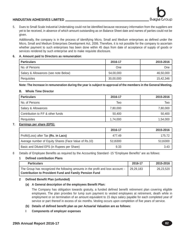

5. Dues to Small Scale Industrial Undertaking could not be identified because necessary information from the suppliers are yet to be received, in absence of which amount outstanding as on Balance Sheet date and names of parties could not be given.

Additionally, the company is in the process of identifying Micro, Small and Medium enterprises as defined under the Micro, Small and Medium Enterprises Development Act, 2006. Therefore, it is not possible for the company to ascertain whether payment to such enterprises has been done within 45 days from date of acceptance of supply of goods or services rendered by such enterprise and to make requisite disclosure.

#### **6. A. Amount paid to Directors as remuneration**:

| <b>Particulars</b>                   | 2016-17   | 2015-2016 |
|--------------------------------------|-----------|-----------|
| No. of Persons                       | One       | One       |
| Salary & Allowances (see note Below) | 54,00,000 | 46,50,000 |
| Perguisites                          | 30,00,000 | 15,42,346 |

**Note: The Increase in remuneration during the year is subject to approval of the members in the General Meeting.**

#### **B. Whole Time Director**

| <b>Particulars</b>                | 2016-17  | 2015-2016 |
|-----------------------------------|----------|-----------|
| No. of Persons                    | Two      | Two       |
| Salary & Allowances               | 7,80,000 | 7,80,000  |
| Contribution to P.F & other funds | 50.400   | 50,400    |
| Perguisites                       | 1,74,000 | 1,54,000  |

#### **7. Earnings per share (EPS):**

|                                                       | 2016-17 | 2015-2016 |
|-------------------------------------------------------|---------|-----------|
| Profit/(Loss) after Tax (Rs. in Lacs)                 | 477.49  | 175.72    |
| Average number of Equity Shares (Face Value of Rs.10) | 5116300 | 5116300   |
| Basic and Diluted EPS (in Rupees per Share)           | 9.33    | 3.43      |

8 Details of Employee Benefits as required by the Accounting Standard -15 "Employee Benefits" are as follows:

#### **1 Defined contribution Plans**

| <b>Particulars</b>                                                                                                                                | 2016-17   | 2015-2016 |
|---------------------------------------------------------------------------------------------------------------------------------------------------|-----------|-----------|
| The Group has recognized the following amounts in the profit and loss account: -<br><b>Contribution to Provident Fund and Family Pension Fund</b> | 29.29.183 | 26.23.520 |

#### **2 Defined Benefit Plan (unfunded)**

#### **(a) A General description of the employees Benefit Plan:**

The Company has obligation towards gratuity, a funded defined benefit retirement plan covering eligible employees. The plan provides for lump sum payment to vested employees at retirement, death while in employment or on termination of an amount equivalent to 15 days salary payable for each completed year of service or part thereof in excess of six months. Vesting occurs upon completion of five years of service.

- **(b) Details of defined benefit plan as per Actuarial Valuation are as follows:**
- **I Components of employer expenses**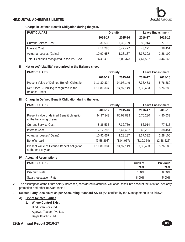## **Charge in Defined Benefit Obligation during the year.**

| <b>PARTICULARS</b>                        | Gratuity  |           | <b>Leave Encashment</b> |          |
|-------------------------------------------|-----------|-----------|-------------------------|----------|
|                                           | 2016-17   | 2015-16   | 2016-17                 | 2015-16  |
| <b>Current Service Cost</b>               | 8,36,535  | 7,32,759  | 86.914                  | 77,615   |
| Interest Cost                             | 7,12,286  | 6,47,427  | 43.221                  | 38,451   |
| Actuarial Losses (Gains)                  | 10.92.657 | 1,28,187  | 3,37,392                | 2,28,100 |
| Total Expenses recognized in the P& L A/c | 26,41,478 | 15,08,373 | 4,67,527                | 3,44,166 |

## **II Net Asset/ (Liability) recognized in the Balance sheet**

| <b>PARTICULARS</b>                                                | <b>Gratuity</b> |           | <b>Leave Encashment</b> |          |
|-------------------------------------------------------------------|-----------------|-----------|-------------------------|----------|
|                                                                   | 2016-17         | 2015-16   | 2016-17                 | 2015-16  |
| Present Value of Defined Benefit Obligation                       | 1,11,80,334     | 94.97.149 | 7.33.453                | 5,76,280 |
| Net Asset / (Liability) recognized in the<br><b>Balance Sheet</b> | 1,11,80,334     | 94.97.149 | 7,33,453                | 5,76,280 |

### **III Charge in Defined Benefit Obligation during the year.**

| <b>PARTICULARS</b>                                                      |             | Gratuity   | <b>Leave Encashment</b> |              |  |
|-------------------------------------------------------------------------|-------------|------------|-------------------------|--------------|--|
|                                                                         | 2016-17     | 2015-16    | 2016-17                 | 2015-16      |  |
| Present value of defined Benefit obligation<br>at the beginning of year | 94,97,149   | 80,92,833  | 5,76,280                | 4,80,639     |  |
| <b>Current Service Cost</b>                                             | 8,36,535    | 7,32,759   | 86,914                  | 77,615       |  |
| Interest Cost                                                           | 7,12,286    | 6,47,427   | 43.221                  | 38,451       |  |
| Actuarial Losses/(Gains)                                                | 10,92,657   | 1,28,187   | 3,37,392                | 2,28,100     |  |
| Benefits paid                                                           | (9,58,293)  | (1,04,057) | (3, 10, 354)            | (2, 48, 525) |  |
| Present value of Defined Benefit obligation<br>at the end of year       | 1,11,80,334 | 94,97,149  | 7,33,453                | 5,76,280     |  |

#### **IV Actuarial Assumptions**

| I PARTICULARS          | <b>Current</b><br>Year | <b>Previous</b><br>Year |
|------------------------|------------------------|-------------------------|
| I Discount Rate        | 7.50%                  | 8.00%                   |
| Salary escalation Rate | 8.00%                  | 5.00%                   |

**V** The assumption of the future salary increases, considered in actuarial valuation, takes into account the inflation, seniority, promotion and other relevant factor.

#### **9 Related Party Disclosure as per Accounting Standard AS-18** (As certified by the Management) is as follows:

## **A). List of Related Parties**

## **1. Where Control Exist**:

Hindustan Foils Ltd. Agarwal Tracom Pvt. Ltd. Bagla Polifilms Ltd.

## **29th Annual Report 2016-17 83**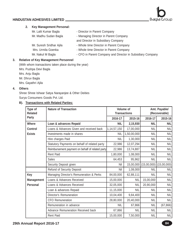

## **2. Key Management Personal:**

| Mr. Lalit Kumar Bagla    | - Director in Parent Company                               |
|--------------------------|------------------------------------------------------------|
| Mr. Madhu Sudan Bagla    | - Managing Director in Parent Company                      |
|                          | and Director in Subsidiary Company                         |
| Mr. Suresh Sridhar Ajila | - Whole time Director in Parent Company                    |
| Mrs. Urmila Goenka       | - Whole time Director in Parent Company                    |
| Mr. Nakul M Bagla        | - CFO in Parent Company and Director in Subsidiary Company |

**3. Relative of Key Management Personnel**

(With whom transactions taken place during the year) Mrs. Pushpa Devi Bagla Mrs. Anju Bagla Mr. Dhruv Bagla Mrs. Gayathri Ajila

## **4. Others**

Shree Shree Ishwar Satya Narayanjee & Other Deities Surya Consumers Goods Pvt. Ltd.

## **B). Transactions with Related Parties:**

| Type of<br><b>Related</b> | <b>Nature of Transaction</b>                     | Volume of<br><b>Transactions</b> |             | Amt. Payable/<br>(Recoverable)    |            |
|---------------------------|--------------------------------------------------|----------------------------------|-------------|-----------------------------------|------------|
| Party                     |                                                  | 2016-17                          | 2015-16     | 2016-17                           | 2015-16    |
| Where                     | Loan & advances Repaid                           | <b>NIL</b>                       | 2,15,930    | <b>NIL</b>                        | <b>NIL</b> |
| Control                   | Loans & Advances Given and received back         | 1,14,57,150                      | 17,00,000   | <b>NIL</b>                        | <b>NIL</b> |
| <b>Exists</b>             | Investments made in shares                       | <b>NIL</b>                       | 1,50,00,000 | <b>NIL</b>                        | <b>NIL</b> |
|                           | Hire charges Paid                                | <b>NIL</b>                       | 1,30,000    | <b>NIL</b>                        | NIL        |
|                           | Statutory Payments on behalf of related party    | 22,986                           | 12,07,294   | <b>NIL</b>                        | NIL        |
|                           | Reimbursement payment on behalf of related party | 22,986                           | 13,74,887   | <b>NIL</b>                        | <b>NIL</b> |
|                           | <b>Rent Paid</b>                                 | 1,80,000                         | 1,08,000    | <b>NIL</b>                        | <b>NIL</b> |
|                           | <b>Sales</b>                                     | 64,453                           | 95,962      | <b>NIL</b>                        | NIL        |
|                           | Security Deposit given                           | Nil                              |             | 15,00,000 (15,00,000) (15,00,000) |            |
|                           | Refund of Security Deposit                       | Nil                              | 1,08,000    | <b>NIL</b>                        | <b>NIL</b> |
| Key                       | Managing Director's Remuneration & Perks         | 84,00,000                        | 62,88,111   | <b>NIL</b>                        | NIL        |
| <b>Management</b>         | Loans & Advances Received                        | 15,00,000                        | <b>NIL</b>  | 15,00,000                         | <b>NIL</b> |
| Personal                  | Loans & Advances Received                        | 32,05,000                        | <b>NIL</b>  | 20,90,000                         | <b>NIL</b> |
|                           | Loan & advances Repaid                           | 11,15,000                        | <b>NIL</b>  | <b>NIL</b>                        | <b>NIL</b> |
|                           | Director's Remuneration                          | 10,04,400                        | 9,84,400    | <b>NIL</b>                        | NIL        |
|                           | <b>CFO Remuneration</b>                          | 28,80,000                        | 20,40,000   | <b>NIL</b>                        | <b>NIL</b> |
| Remuneration in advance   |                                                  | <b>NIL</b>                       | 67,866      | <b>NIL</b>                        | (67, 866)  |
|                           | Advance Remuneration Received back               | 67,866                           | <b>NIL</b>  | <b>NIL</b>                        | <b>NIL</b> |
|                           | <b>Rent Paid</b>                                 | 15,00,000                        | 7,50,000    | <b>NIL</b>                        | <b>NIL</b> |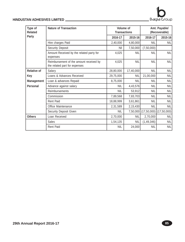

| Type of<br><b>Related</b>                                                | <b>Nature of Transaction</b>                         | Volume of<br><b>Transactions</b> |                          | Amt. Payable/<br>(Recoverable) |                          |
|--------------------------------------------------------------------------|------------------------------------------------------|----------------------------------|--------------------------|--------------------------------|--------------------------|
| Party                                                                    |                                                      | 2016-17                          | 2015-16                  | 2016-17                        | 2015-16                  |
|                                                                          | Hire charges Paid                                    | 2,40,000                         | 4,80,000                 | <b>NIL</b>                     | <b>NIL</b>               |
|                                                                          | <b>Security Deposit</b>                              | Nil                              | 7,50,000                 | (7, 50, 000)                   |                          |
|                                                                          | Amount Received by the related party for<br>expenses | 4,025                            | <b>NIL</b>               | <b>NIL</b>                     | <b>NIL</b>               |
| Reimbursement of the amount received by<br>the related part for expenses |                                                      | 4,025                            | <b>NIL</b>               | <b>NIL</b>                     | <b>NIL</b>               |
| <b>Relative of</b>                                                       | Salary                                               | 28,80,000                        | 17,40,000                | <b>NIL</b>                     | <b>NIL</b>               |
| Key                                                                      | Loans & Advances Received                            | 29,75,000                        | <b>NIL</b><br><b>NIL</b> | 21,00,000<br><b>NIL</b>        | <b>NIL</b><br><b>NIL</b> |
| <b>Management</b>                                                        | Loan & advances Repaid                               | 8,75,000                         |                          |                                |                          |
| Personal                                                                 | Advance against salary                               | <b>NIL</b>                       | 4,43,576                 | <b>NIL</b>                     | <b>NIL</b>               |
|                                                                          | Reimbursements                                       | <b>NIL</b>                       | 53,912                   | <b>NIL</b>                     | <b>NIL</b>               |
|                                                                          | Commission                                           | 7,89,568                         | 7,83,703                 | <b>NIL</b>                     | <b>NIL</b>               |
|                                                                          | <b>Rent Paid</b>                                     | 18,88,999                        | 3,61,861                 | <b>NIL</b>                     | <b>NIL</b>               |
|                                                                          | Office Maintenance                                   | 2,31,589                         | 2,15,430                 | <b>NIL</b>                     | <b>NIL</b>               |
| Security Deposit Given                                                   |                                                      | <b>NIL</b>                       |                          | 7,50,000 (17,50,000)           | (17,50,000)              |
| <b>Others</b>                                                            | Loan Received                                        | 2,70,000                         | <b>NIL</b>               | 2,70,000                       | <b>NIL</b>               |
|                                                                          | <b>Sales</b>                                         | 1,54,135                         | <b>NIL</b>               | (1, 49, 346)                   | <b>NIL</b>               |
|                                                                          | <b>Rent Paid</b>                                     | <b>NIL</b>                       | 24,000                   | <b>NIL</b>                     | <b>NIL</b>               |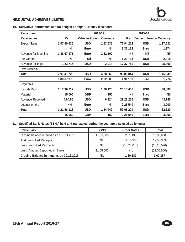| <b>Particulars</b>  |             | 2016-17                   |            | 2015-16     |                           |            |
|---------------------|-------------|---------------------------|------------|-------------|---------------------------|------------|
| <b>Receivables</b>  | Rs.         | Value in Foreign Currency |            | Rs.         | Value in foreign Currency |            |
| <b>Export Sales</b> | 1,07,50,635 | <b>USD</b>                | 1,63,635   | 76,94,212   | <b>USD</b>                | 1,17,531   |
|                     | <b>Nil</b>  | <b>Euro</b>               | <b>Nil</b> | 1,31,158    | Euro                      | 1,774      |
| Advance for Machine | 1,88,67,375 | Euro                      | 2,62,500   | <b>Nil</b>  | <b>Nil</b>                | <b>Nil</b> |
| For Others          | <b>Nil</b>  | <b>Nil</b>                | <b>Nil</b> | 1,23,715    | <b>USD</b>                | 2,018      |
| Advance for Import- | 1,23,715    | <b>USD</b>                | 2,018      | 17,37,759   | <b>USD</b>                | 25,800     |
| <b>Raw Material</b> |             |                           |            |             |                           |            |
| Total               | 2,97,41,725 | <b>USD</b>                | 4,28,063   | 96,86,844   | <b>USD</b>                | 1,45,349   |
|                     | 1,88,67,375 | <b>Euro</b>               | 2,62,500   | 1,31,158    | Euro                      | 1,774      |
| <b>Payables</b>     |             |                           |            |             |                           |            |
| Import-Raw          | 1,17,36,212 | <b>USD</b>                | 1,78,125   | 26, 15, 458 | <b>USD</b>                | 38,880     |
| Material            | 15,060      | <b>GBP</b>                | 150        | <b>Nil</b>  | <b>Euro</b>               | <b>Nil</b> |
| Advance Received    | 4,04,85     | <b>USD</b>                | 6,324      | 29,22,226   | <b>USD</b>                | 43,740     |
| against others      | 4Nil        | <b>Euro</b>               | <b>Nil</b> | 2,28,540    | <b>Euro</b>               | 3,000      |
| Total               | 1,21,56,126 | <b>USD</b>                | 1,84,449   | 57,66,224   | <b>USD</b>                | 82,620     |
|                     | 15,060      | <b>GBP</b>                | 150        | 2,28,540    | Euro                      | 3,000      |

## **10. Derivative Instruments and un-hedged Foreign Currency disclosure**

**11. Specified Bank Notes (SBNs) held and transacted during the year are disclosed as follows:**

| <b>Particulars</b>                       | SBN's         | <b>Other Notes</b> | Total         |
|------------------------------------------|---------------|--------------------|---------------|
| Closing balance in hand as on 08.11.2016 | 11,05,500     | 2,31,130           | 13,36,630     |
| Add: Permitted Receipts                  | <b>NIL</b>    | 12,55,333          | 12,55,333     |
| Less: Permitted Payments                 | <b>NIL</b>    | (13, 25, 076)      | (13, 25, 076) |
| Less: Amount Deposited in Banks          | (11, 05, 500) | NIL                | (11, 05, 500) |
| Closing Balance in hand as on 30.12.2016 | <b>NIL</b>    | 1,60,387           | 1,60,387      |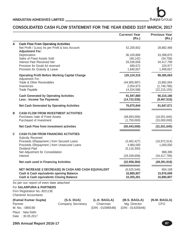

# **CONSOLIDATED CASH FLOW STATEMENT FOR THE YEAR ENDED 31ST MARCH, 2017**

|   |                                                                                                |                                                       |                 | <b>Currenct Year</b><br>(Rs.) | <b>Previous Year</b><br>(Rs.) |
|---|------------------------------------------------------------------------------------------------|-------------------------------------------------------|-----------------|-------------------------------|-------------------------------|
| A | <b>Cash Flow From Operating Activities</b><br>Net Profit / (Loss) As per Profit & loss Account |                                                       |                 | 52,200,602                    | 28,882,466                    |
|   | <b>Adjustment For:</b><br>Depreciation<br>Sales of Fixed Assets Sold                           |                                                       |                 | 36,100,868                    | 33,398,870                    |
|   | Interest Paid / Received Net                                                                   |                                                       |                 | (48, 142)<br>29,339,658       | (34, 706)<br>34,417,799       |
|   | Provision for Doubt ful reversed                                                               |                                                       |                 | 690,672                       | 220,977                       |
|   | Provision for Gratuity & Leave                                                                 |                                                       |                 | 1,840,657                     | 1,499,657                     |
|   | <b>Operating Profit Before Working Capital Change</b><br>Adjustment For:                       |                                                       |                 | 120,124,315                   | 98,385,063                    |
|   | Trade & Other Receivables                                                                      |                                                       |                 | (44, 905, 997)                | 15,892,064                    |
|   | Inventories                                                                                    |                                                       |                 | 2,054,973                     | (1,746,786)                   |
|   | <b>Trade Payable</b>                                                                           |                                                       |                 | 14,324,588                    | (22, 215, 155)                |
|   | <b>Cash Generated by Operating Activities</b><br><b>Less: Income Tax Payments</b>              |                                                       |                 | 91,597,880<br>(14, 722, 035)  | 90,315,186<br>(8,467,515)     |
|   | <b>Net Cash Generated by Operating Activities</b>                                              |                                                       |                 | 76,875,844                    | 81,847,671                    |
| в | <b>CASH FLOW FROM INVESTMENT ACTIVITIES</b>                                                    |                                                       |                 |                               |                               |
|   | Purchases /sale of Fixed Assets                                                                |                                                       |                 | (48,693,006)                  | (16, 551, 645)                |
|   | Purchased of Investment                                                                        |                                                       |                 | (1,750,000)                   | (15,000,000)                  |
|   | <b>Net Cash Flow from investment activities</b>                                                |                                                       |                 | (50, 443, 006)                | (31, 551, 645)                |
| C | <b>CASH FLOW FROM FINANCING ACTIVITIES</b><br>Subcidy Received                                 |                                                       |                 |                               |                               |
|   | Proceeds /(Repayment) from Secured Loans                                                       |                                                       |                 | (3,462,427)                   | (16, 972, 514)                |
|   | Proceeds /(Repayment) from Unsecured Loans                                                     |                                                       |                 | 4,960,000                     | 1,000,000                     |
|   | Dividend Paid                                                                                  |                                                       |                 | (5, 116, 300)                 |                               |
|   | Net Adjustment for Consolidation<br>Interest                                                   |                                                       |                 | (29, 339, 658)                | 998,395<br>(34, 417, 799)     |
|   |                                                                                                |                                                       |                 |                               |                               |
|   | Net cash used in Financing Activities                                                          |                                                       |                 | (32, 958, 384)                | (49, 391, 918)                |
|   |                                                                                                | NET INCREASE /( DECREASE) IN CASH AND CASH EQUIVALENT |                 | (6,525,546)                   | 904,108                       |
|   | Cash & Cash equivalents opening Balance                                                        |                                                       |                 | 16,880,807                    | 15,976,699                    |
|   | <b>Cash &amp; Cash equivalents Closing Balance</b>                                             |                                                       |                 | 10,355,261                    | 16,880,807                    |
|   | As per our report of even date attached                                                        |                                                       |                 |                               |                               |
|   | For SALARPURIA & PARTNERS<br>Firm Registration No.-302113E<br><b>Chartered Accountants</b>     |                                                       |                 |                               |                               |
|   | (Kamal Kumar Gupta)                                                                            | (S.S. DUA)                                            | (L.K. BAGLA)    | (M.S. BAGLA)                  | (N.M. BAGLA)                  |
|   | Partner                                                                                        | <b>Company Secretary</b>                              | Chairman        | Mg. Director                  | CFO                           |
|   | M. No.: 089190                                                                                 |                                                       | (DIN: 01596548) | (DIN: 01425646)               |                               |
|   | Place: New Delhi                                                                               |                                                       |                 |                               |                               |
|   | Date: 30.05.2017                                                                               |                                                       |                 |                               |                               |

**29th Annual Report 2016-17 87**